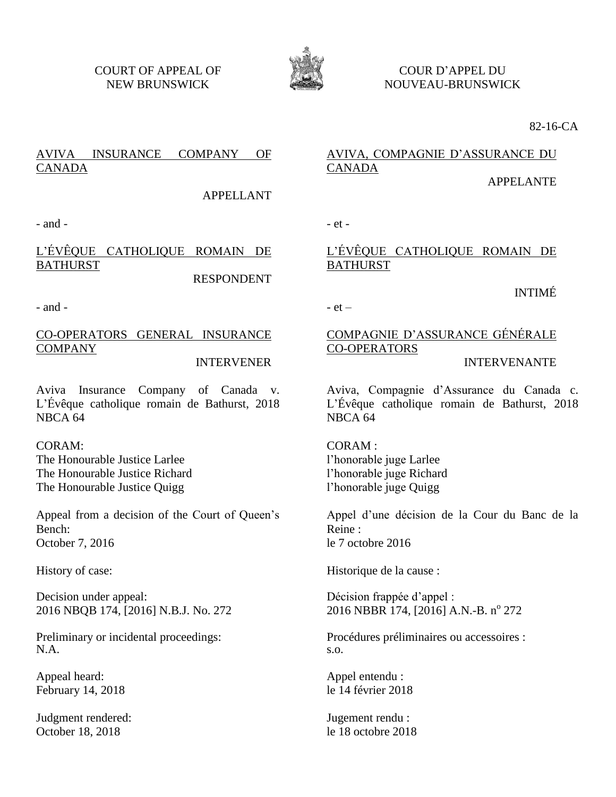COURT OF APPEAL OF NEW BRUNSWICK



COUR D'APPEL DU NOUVEAU-BRUNSWICK

82-16-CA

# AVIVA INSURANCE COMPANY OF CANADA

APPELLANT

 $-$  and  $-$ 

# L'ÉVÊQUE CATHOLIQUE ROMAIN DE BATHURST

RESPONDENT

- and -

CO-OPERATORS GENERAL INSURANCE COMPANY

### INTERVENER

Aviva Insurance Company of Canada v. L'Évêque catholique romain de Bathurst, 2018 NBCA 64

CORAM: The Honourable Justice Larlee The Honourable Justice Richard The Honourable Justice Quigg

Appeal from a decision of the Court of Queen's Bench: October 7, 2016

History of case:

Decision under appeal: 2016 NBQB 174, [2016] N.B.J. No. 272

Preliminary or incidental proceedings: N.A.

Appeal heard: February 14, 2018

Judgment rendered: October 18, 2018

# AVIVA, COMPAGNIE D'ASSURANCE DU CANADA

APPELANTE

INTIMÉ

# L'ÉVÊQUE CATHOLIQUE ROMAIN DE BATHURST

- et –

# COMPAGNIE D'ASSURANCE GÉNÉRALE CO-OPERATORS

## INTERVENANTE

Aviva, Compagnie d'Assurance du Canada c. L'Évêque catholique romain de Bathurst, 2018 NBCA 64

CORAM :

l'honorable juge Larlee l'honorable juge Richard l'honorable juge Quigg

Appel d'une décision de la Cour du Banc de la Reine : le 7 octobre 2016

Historique de la cause :

Décision frappée d'appel : 2016 NBBR 174, [2016] A.N.-B. nº 272

Procédures préliminaires ou accessoires : s.o.

Appel entendu : le 14 février 2018

Jugement rendu : le 18 octobre 2018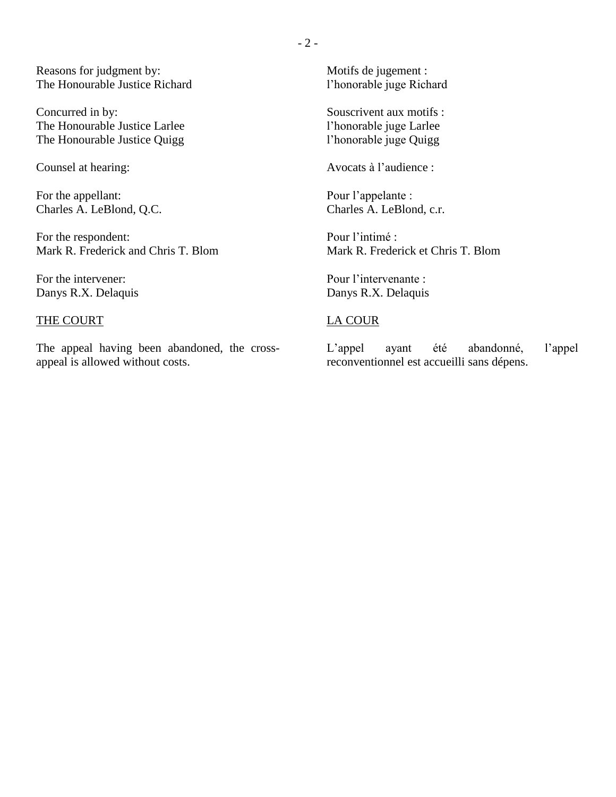Reasons for judgment by: The Honourable Justice Richard

Concurred in by: The Honourable Justice Larlee The Honourable Justice Quigg

Counsel at hearing:

For the appellant: Charles A. LeBlond, Q.C.

For the respondent: Mark R. Frederick and Chris T. Blom

For the intervener: Danys R.X. Delaquis

## THE COURT

The appeal having been abandoned, the crossappeal is allowed without costs.

Motifs de jugement : l'honorable juge Richard

Souscrivent aux motifs : l'honorable juge Larlee l'honorable juge Quigg

Avocats à l'audience :

Pour l'appelante : Charles A. LeBlond, c.r.

Pour l'intimé : Mark R. Frederick et Chris T. Blom

Pour l'intervenante : Danys R.X. Delaquis

## LA COUR

L'appel ayant été abandonné, l'appel reconventionnel est accueilli sans dépens.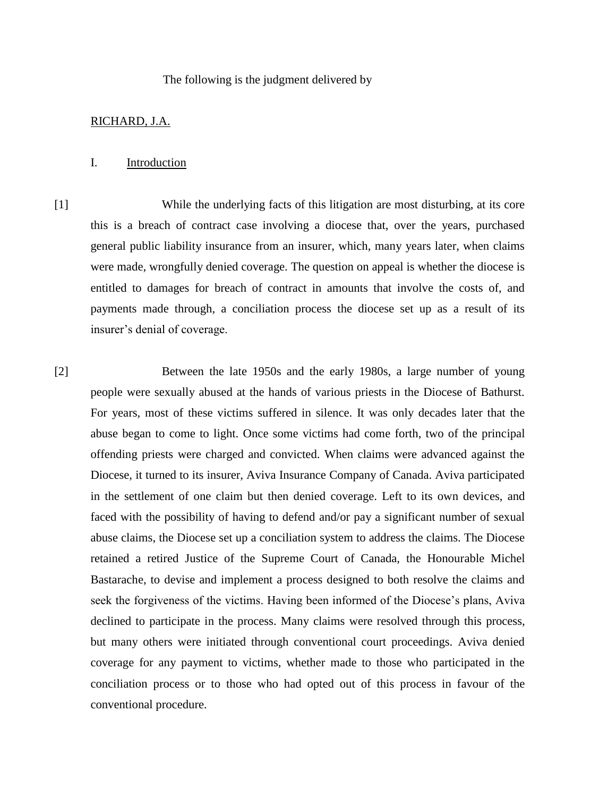### The following is the judgment delivered by

## RICHARD, J.A.

### I. Introduction

[1] While the underlying facts of this litigation are most disturbing, at its core this is a breach of contract case involving a diocese that, over the years, purchased general public liability insurance from an insurer, which, many years later, when claims were made, wrongfully denied coverage. The question on appeal is whether the diocese is entitled to damages for breach of contract in amounts that involve the costs of, and payments made through, a conciliation process the diocese set up as a result of its insurer's denial of coverage.

[2] Between the late 1950s and the early 1980s, a large number of young people were sexually abused at the hands of various priests in the Diocese of Bathurst. For years, most of these victims suffered in silence. It was only decades later that the abuse began to come to light. Once some victims had come forth, two of the principal offending priests were charged and convicted. When claims were advanced against the Diocese, it turned to its insurer, Aviva Insurance Company of Canada. Aviva participated in the settlement of one claim but then denied coverage. Left to its own devices, and faced with the possibility of having to defend and/or pay a significant number of sexual abuse claims, the Diocese set up a conciliation system to address the claims. The Diocese retained a retired Justice of the Supreme Court of Canada, the Honourable Michel Bastarache, to devise and implement a process designed to both resolve the claims and seek the forgiveness of the victims. Having been informed of the Diocese's plans, Aviva declined to participate in the process. Many claims were resolved through this process, but many others were initiated through conventional court proceedings. Aviva denied coverage for any payment to victims, whether made to those who participated in the conciliation process or to those who had opted out of this process in favour of the conventional procedure.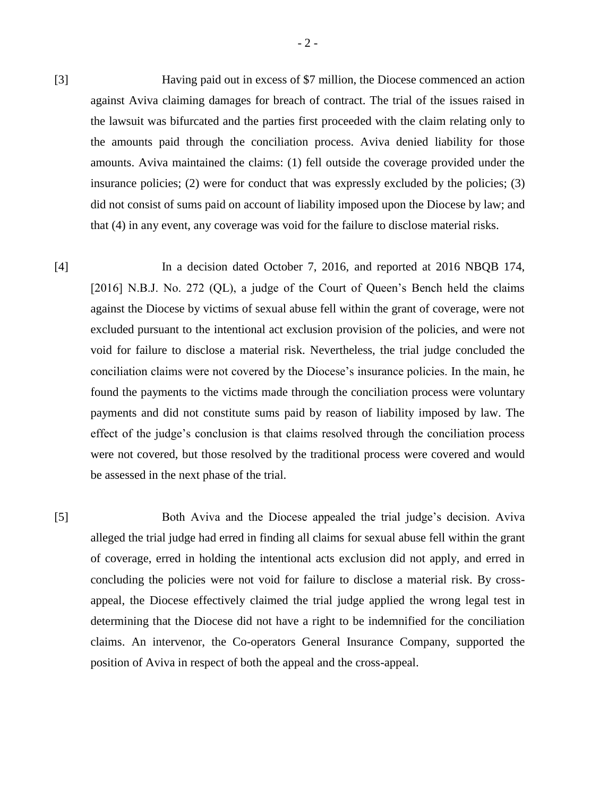[3] Having paid out in excess of \$7 million, the Diocese commenced an action against Aviva claiming damages for breach of contract. The trial of the issues raised in the lawsuit was bifurcated and the parties first proceeded with the claim relating only to the amounts paid through the conciliation process. Aviva denied liability for those amounts. Aviva maintained the claims: (1) fell outside the coverage provided under the insurance policies; (2) were for conduct that was expressly excluded by the policies; (3) did not consist of sums paid on account of liability imposed upon the Diocese by law; and that (4) in any event, any coverage was void for the failure to disclose material risks.

[4] In a decision dated October 7, 2016, and reported at 2016 NBQB 174, [2016] N.B.J. No. 272 (QL), a judge of the Court of Queen's Bench held the claims against the Diocese by victims of sexual abuse fell within the grant of coverage, were not excluded pursuant to the intentional act exclusion provision of the policies, and were not void for failure to disclose a material risk. Nevertheless, the trial judge concluded the conciliation claims were not covered by the Diocese's insurance policies. In the main, he found the payments to the victims made through the conciliation process were voluntary payments and did not constitute sums paid by reason of liability imposed by law. The effect of the judge's conclusion is that claims resolved through the conciliation process were not covered, but those resolved by the traditional process were covered and would be assessed in the next phase of the trial.

[5] Both Aviva and the Diocese appealed the trial judge's decision. Aviva alleged the trial judge had erred in finding all claims for sexual abuse fell within the grant of coverage, erred in holding the intentional acts exclusion did not apply, and erred in concluding the policies were not void for failure to disclose a material risk. By crossappeal, the Diocese effectively claimed the trial judge applied the wrong legal test in determining that the Diocese did not have a right to be indemnified for the conciliation claims. An intervenor, the Co-operators General Insurance Company, supported the position of Aviva in respect of both the appeal and the cross-appeal.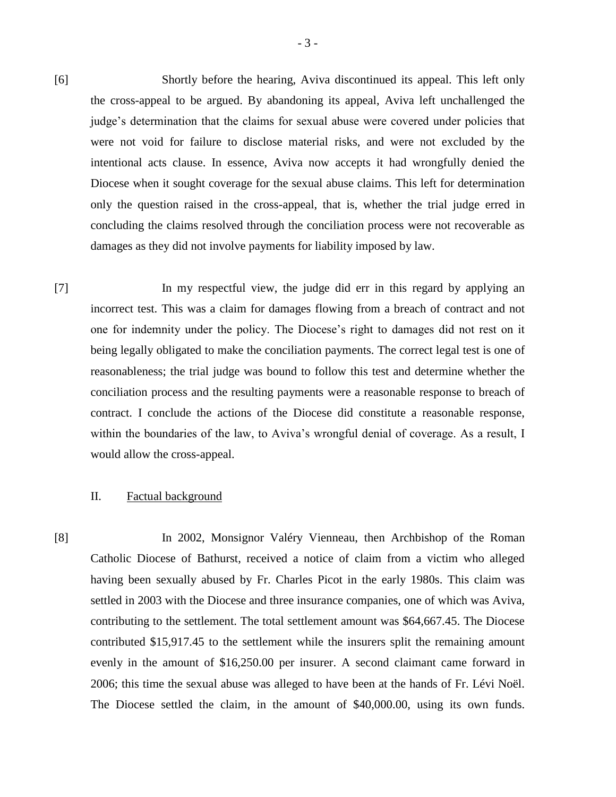[6] Shortly before the hearing, Aviva discontinued its appeal. This left only the cross-appeal to be argued. By abandoning its appeal, Aviva left unchallenged the judge's determination that the claims for sexual abuse were covered under policies that were not void for failure to disclose material risks, and were not excluded by the intentional acts clause. In essence, Aviva now accepts it had wrongfully denied the Diocese when it sought coverage for the sexual abuse claims. This left for determination only the question raised in the cross-appeal, that is, whether the trial judge erred in concluding the claims resolved through the conciliation process were not recoverable as damages as they did not involve payments for liability imposed by law.

[7] In my respectful view, the judge did err in this regard by applying an incorrect test. This was a claim for damages flowing from a breach of contract and not one for indemnity under the policy. The Diocese's right to damages did not rest on it being legally obligated to make the conciliation payments. The correct legal test is one of reasonableness; the trial judge was bound to follow this test and determine whether the conciliation process and the resulting payments were a reasonable response to breach of contract. I conclude the actions of the Diocese did constitute a reasonable response, within the boundaries of the law, to Aviva's wrongful denial of coverage. As a result, I would allow the cross-appeal.

#### II. Factual background

[8] In 2002, Monsignor Valéry Vienneau, then Archbishop of the Roman Catholic Diocese of Bathurst, received a notice of claim from a victim who alleged having been sexually abused by Fr. Charles Picot in the early 1980s. This claim was settled in 2003 with the Diocese and three insurance companies, one of which was Aviva, contributing to the settlement. The total settlement amount was \$64,667.45. The Diocese contributed \$15,917.45 to the settlement while the insurers split the remaining amount evenly in the amount of \$16,250.00 per insurer. A second claimant came forward in 2006; this time the sexual abuse was alleged to have been at the hands of Fr. Lévi Noël. The Diocese settled the claim, in the amount of \$40,000.00, using its own funds.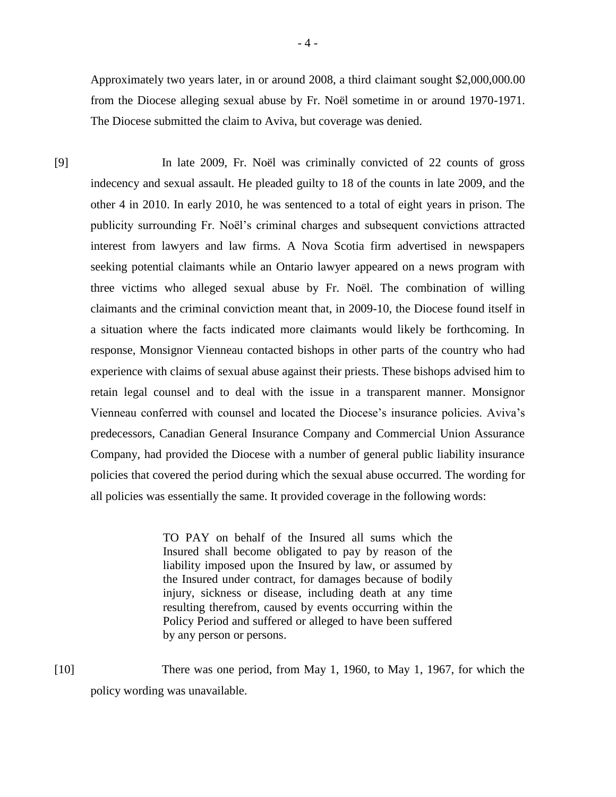Approximately two years later, in or around 2008, a third claimant sought \$2,000,000.00 from the Diocese alleging sexual abuse by Fr. Noël sometime in or around 1970-1971. The Diocese submitted the claim to Aviva, but coverage was denied.

[9] In late 2009, Fr. Noël was criminally convicted of 22 counts of gross indecency and sexual assault. He pleaded guilty to 18 of the counts in late 2009, and the other 4 in 2010. In early 2010, he was sentenced to a total of eight years in prison. The publicity surrounding Fr. Noël's criminal charges and subsequent convictions attracted interest from lawyers and law firms. A Nova Scotia firm advertised in newspapers seeking potential claimants while an Ontario lawyer appeared on a news program with three victims who alleged sexual abuse by Fr. Noël. The combination of willing claimants and the criminal conviction meant that, in 2009-10, the Diocese found itself in a situation where the facts indicated more claimants would likely be forthcoming. In response, Monsignor Vienneau contacted bishops in other parts of the country who had experience with claims of sexual abuse against their priests. These bishops advised him to retain legal counsel and to deal with the issue in a transparent manner. Monsignor Vienneau conferred with counsel and located the Diocese's insurance policies. Aviva's predecessors, Canadian General Insurance Company and Commercial Union Assurance Company, had provided the Diocese with a number of general public liability insurance policies that covered the period during which the sexual abuse occurred. The wording for all policies was essentially the same. It provided coverage in the following words:

> TO PAY on behalf of the Insured all sums which the Insured shall become obligated to pay by reason of the liability imposed upon the Insured by law, or assumed by the Insured under contract, for damages because of bodily injury, sickness or disease, including death at any time resulting therefrom, caused by events occurring within the Policy Period and suffered or alleged to have been suffered by any person or persons.

[10] There was one period, from May 1, 1960, to May 1, 1967, for which the policy wording was unavailable.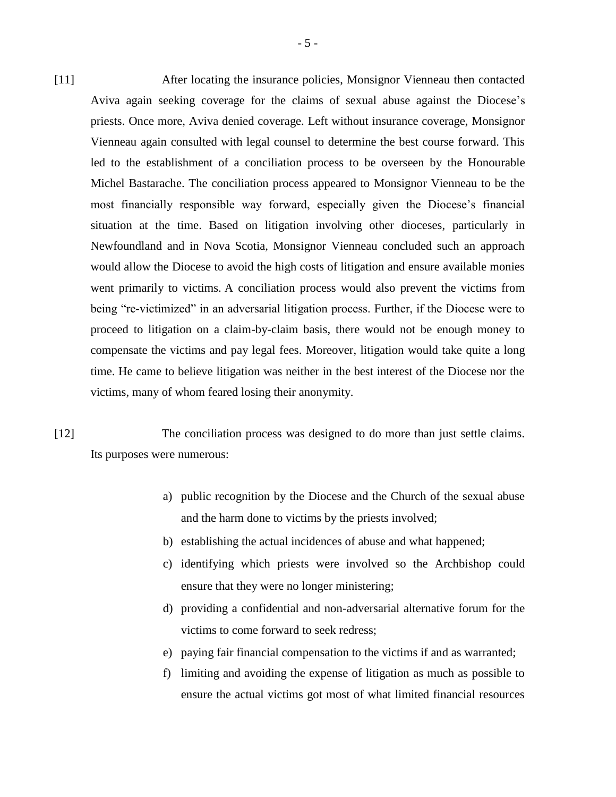[11] After locating the insurance policies, Monsignor Vienneau then contacted Aviva again seeking coverage for the claims of sexual abuse against the Diocese's priests. Once more, Aviva denied coverage. Left without insurance coverage, Monsignor Vienneau again consulted with legal counsel to determine the best course forward. This led to the establishment of a conciliation process to be overseen by the Honourable Michel Bastarache. The conciliation process appeared to Monsignor Vienneau to be the most financially responsible way forward, especially given the Diocese's financial situation at the time. Based on litigation involving other dioceses, particularly in Newfoundland and in Nova Scotia, Monsignor Vienneau concluded such an approach would allow the Diocese to avoid the high costs of litigation and ensure available monies went primarily to victims. A conciliation process would also prevent the victims from being "re-victimized" in an adversarial litigation process. Further, if the Diocese were to proceed to litigation on a claim-by-claim basis, there would not be enough money to compensate the victims and pay legal fees. Moreover, litigation would take quite a long time. He came to believe litigation was neither in the best interest of the Diocese nor the victims, many of whom feared losing their anonymity.

[12] The conciliation process was designed to do more than just settle claims. Its purposes were numerous:

- a) public recognition by the Diocese and the Church of the sexual abuse and the harm done to victims by the priests involved;
- b) establishing the actual incidences of abuse and what happened;
- c) identifying which priests were involved so the Archbishop could ensure that they were no longer ministering;
- d) providing a confidential and non-adversarial alternative forum for the victims to come forward to seek redress;
- e) paying fair financial compensation to the victims if and as warranted;
- f) limiting and avoiding the expense of litigation as much as possible to ensure the actual victims got most of what limited financial resources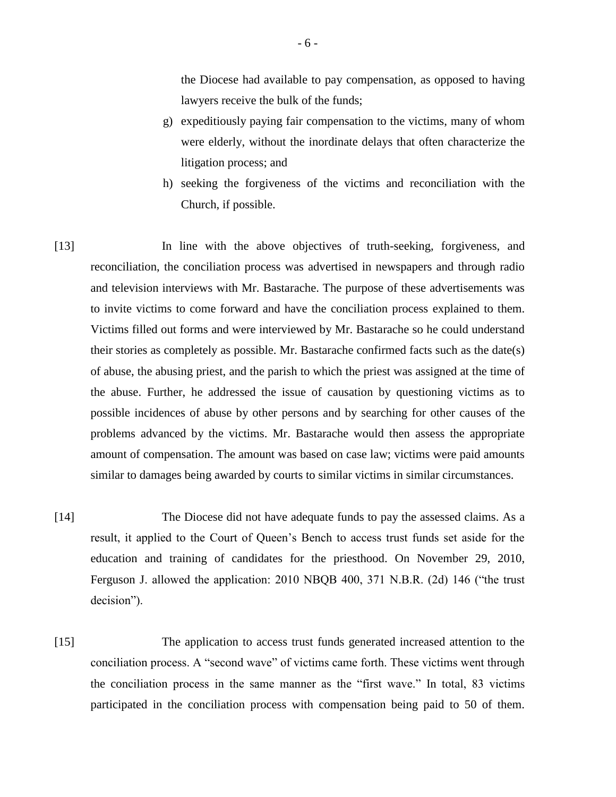the Diocese had available to pay compensation, as opposed to having lawyers receive the bulk of the funds;

- g) expeditiously paying fair compensation to the victims, many of whom were elderly, without the inordinate delays that often characterize the litigation process; and
- h) seeking the forgiveness of the victims and reconciliation with the Church, if possible.

[13] In line with the above objectives of truth-seeking, forgiveness, and reconciliation, the conciliation process was advertised in newspapers and through radio and television interviews with Mr. Bastarache. The purpose of these advertisements was to invite victims to come forward and have the conciliation process explained to them. Victims filled out forms and were interviewed by Mr. Bastarache so he could understand their stories as completely as possible. Mr. Bastarache confirmed facts such as the date(s) of abuse, the abusing priest, and the parish to which the priest was assigned at the time of the abuse. Further, he addressed the issue of causation by questioning victims as to possible incidences of abuse by other persons and by searching for other causes of the problems advanced by the victims. Mr. Bastarache would then assess the appropriate amount of compensation. The amount was based on case law; victims were paid amounts similar to damages being awarded by courts to similar victims in similar circumstances.

- [14] The Diocese did not have adequate funds to pay the assessed claims. As a result, it applied to the Court of Queen's Bench to access trust funds set aside for the education and training of candidates for the priesthood. On November 29, 2010, Ferguson J. allowed the application: 2010 NBQB 400, 371 N.B.R. (2d) 146 ("the trust decision").
- [15] The application to access trust funds generated increased attention to the conciliation process. A "second wave" of victims came forth. These victims went through the conciliation process in the same manner as the "first wave." In total, 83 victims participated in the conciliation process with compensation being paid to 50 of them.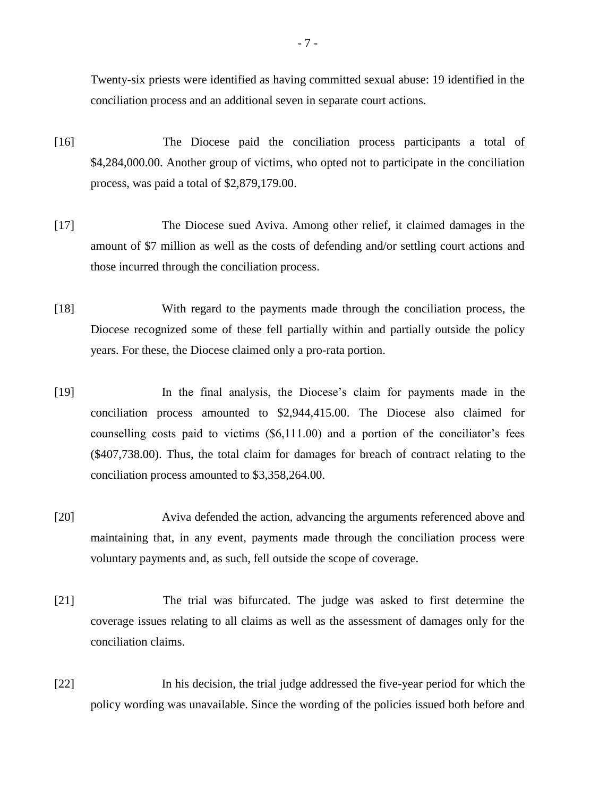Twenty-six priests were identified as having committed sexual abuse: 19 identified in the conciliation process and an additional seven in separate court actions.

- [16] The Diocese paid the conciliation process participants a total of \$4,284,000.00. Another group of victims, who opted not to participate in the conciliation process, was paid a total of \$2,879,179.00.
- [17] The Diocese sued Aviva. Among other relief, it claimed damages in the amount of \$7 million as well as the costs of defending and/or settling court actions and those incurred through the conciliation process.
- [18] With regard to the payments made through the conciliation process, the Diocese recognized some of these fell partially within and partially outside the policy years. For these, the Diocese claimed only a pro-rata portion.
- [19] In the final analysis, the Diocese's claim for payments made in the conciliation process amounted to \$2,944,415.00. The Diocese also claimed for counselling costs paid to victims (\$6,111.00) and a portion of the conciliator's fees (\$407,738.00). Thus, the total claim for damages for breach of contract relating to the conciliation process amounted to \$3,358,264.00.
- [20] Aviva defended the action, advancing the arguments referenced above and maintaining that, in any event, payments made through the conciliation process were voluntary payments and, as such, fell outside the scope of coverage.
- [21] The trial was bifurcated. The judge was asked to first determine the coverage issues relating to all claims as well as the assessment of damages only for the conciliation claims.
- [22] In his decision, the trial judge addressed the five-year period for which the policy wording was unavailable. Since the wording of the policies issued both before and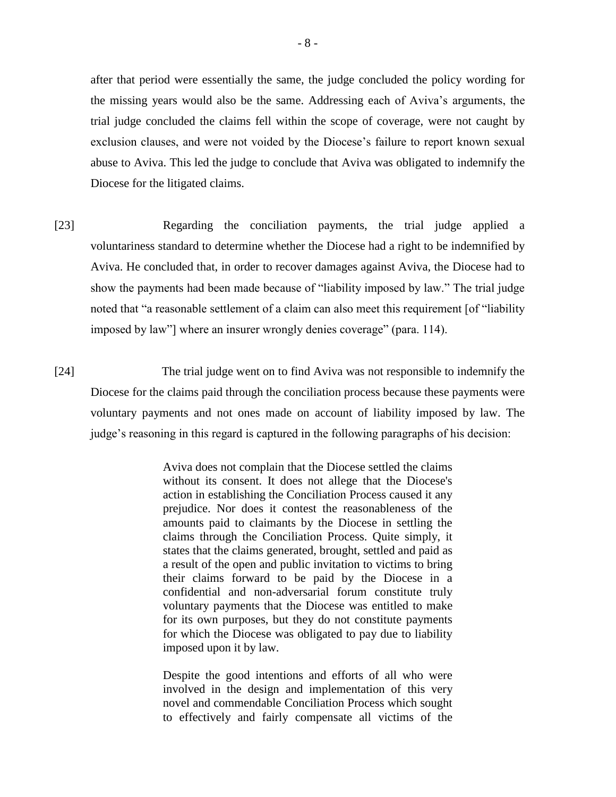after that period were essentially the same, the judge concluded the policy wording for the missing years would also be the same. Addressing each of Aviva's arguments, the trial judge concluded the claims fell within the scope of coverage, were not caught by exclusion clauses, and were not voided by the Diocese's failure to report known sexual abuse to Aviva. This led the judge to conclude that Aviva was obligated to indemnify the Diocese for the litigated claims.

[23] Regarding the conciliation payments, the trial judge applied a voluntariness standard to determine whether the Diocese had a right to be indemnified by Aviva. He concluded that, in order to recover damages against Aviva, the Diocese had to show the payments had been made because of "liability imposed by law." The trial judge noted that "a reasonable settlement of a claim can also meet this requirement [of "liability imposed by law"] where an insurer wrongly denies coverage" (para. 114).

[24] The trial judge went on to find Aviva was not responsible to indemnify the Diocese for the claims paid through the conciliation process because these payments were voluntary payments and not ones made on account of liability imposed by law. The judge's reasoning in this regard is captured in the following paragraphs of his decision:

> Aviva does not complain that the Diocese settled the claims without its consent. It does not allege that the Diocese's action in establishing the Conciliation Process caused it any prejudice. Nor does it contest the reasonableness of the amounts paid to claimants by the Diocese in settling the claims through the Conciliation Process. Quite simply, it states that the claims generated, brought, settled and paid as a result of the open and public invitation to victims to bring their claims forward to be paid by the Diocese in a confidential and non-adversarial forum constitute truly voluntary payments that the Diocese was entitled to make for its own purposes, but they do not constitute payments for which the Diocese was obligated to pay due to liability imposed upon it by law.

> Despite the good intentions and efforts of all who were involved in the design and implementation of this very novel and commendable Conciliation Process which sought to effectively and fairly compensate all victims of the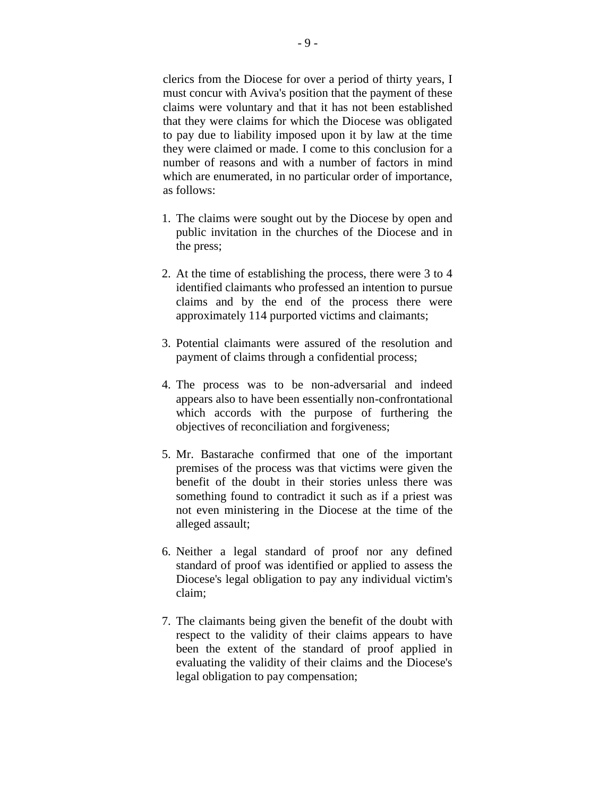clerics from the Diocese for over a period of thirty years, I must concur with Aviva's position that the payment of these claims were voluntary and that it has not been established that they were claims for which the Diocese was obligated to pay due to liability imposed upon it by law at the time they were claimed or made. I come to this conclusion for a number of reasons and with a number of factors in mind which are enumerated, in no particular order of importance, as follows:

- 1. The claims were sought out by the Diocese by open and public invitation in the churches of the Diocese and in the press;
- 2. At the time of establishing the process, there were 3 to 4 identified claimants who professed an intention to pursue claims and by the end of the process there were approximately 114 purported victims and claimants;
- 3. Potential claimants were assured of the resolution and payment of claims through a confidential process;
- 4. The process was to be non-adversarial and indeed appears also to have been essentially non-confrontational which accords with the purpose of furthering the objectives of reconciliation and forgiveness;
- 5. Mr. Bastarache confirmed that one of the important premises of the process was that victims were given the benefit of the doubt in their stories unless there was something found to contradict it such as if a priest was not even ministering in the Diocese at the time of the alleged assault;
- 6. Neither a legal standard of proof nor any defined standard of proof was identified or applied to assess the Diocese's legal obligation to pay any individual victim's claim;
- 7. The claimants being given the benefit of the doubt with respect to the validity of their claims appears to have been the extent of the standard of proof applied in evaluating the validity of their claims and the Diocese's legal obligation to pay compensation;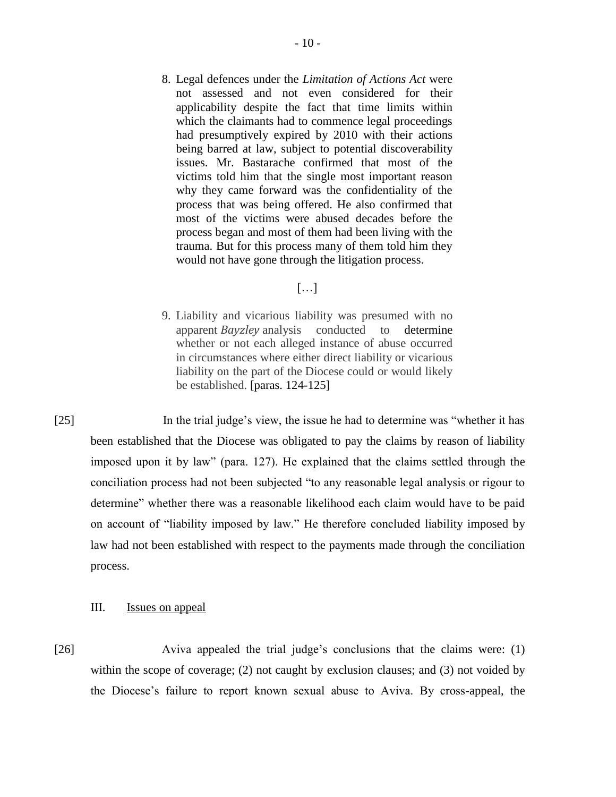8. Legal defences under the *Limitation of Actions Act* were not assessed and not even considered for their applicability despite the fact that time limits within which the claimants had to commence legal proceedings had presumptively expired by 2010 with their actions being barred at law, subject to potential discoverability issues. Mr. Bastarache confirmed that most of the victims told him that the single most important reason why they came forward was the confidentiality of the process that was being offered. He also confirmed that most of the victims were abused decades before the process began and most of them had been living with the trauma. But for this process many of them told him they would not have gone through the litigation process.

# $[\ldots]$

9. Liability and vicarious liability was presumed with no apparent *Bayzley* analysis conducted to determine whether or not each alleged instance of abuse occurred in circumstances where either direct liability or vicarious liability on the part of the Diocese could or would likely be established. [paras. 124-125]

[25] In the trial judge's view, the issue he had to determine was "whether it has been established that the Diocese was obligated to pay the claims by reason of liability imposed upon it by law" (para. 127). He explained that the claims settled through the conciliation process had not been subjected "to any reasonable legal analysis or rigour to determine" whether there was a reasonable likelihood each claim would have to be paid on account of "liability imposed by law." He therefore concluded liability imposed by law had not been established with respect to the payments made through the conciliation process.

## III. Issues on appeal

[26] Aviva appealed the trial judge's conclusions that the claims were: (1) within the scope of coverage; (2) not caught by exclusion clauses; and (3) not voided by the Diocese's failure to report known sexual abuse to Aviva. By cross-appeal, the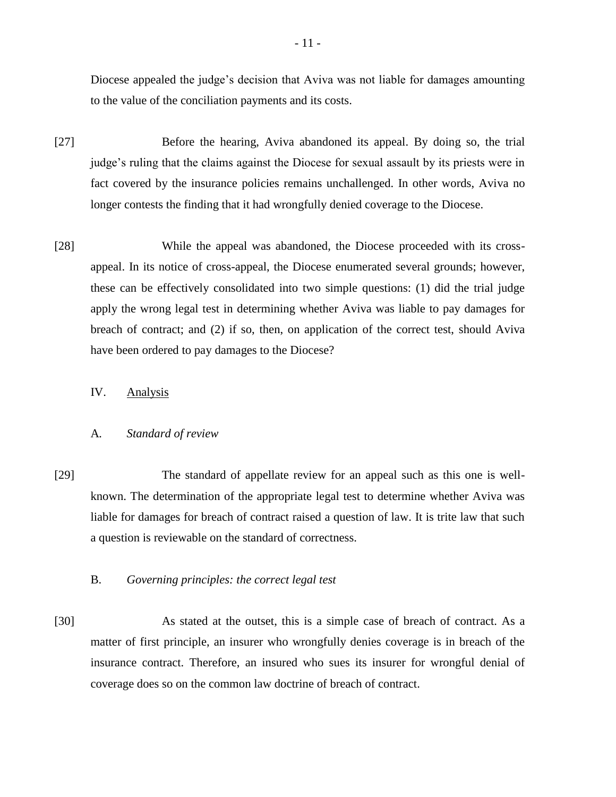Diocese appealed the judge's decision that Aviva was not liable for damages amounting to the value of the conciliation payments and its costs.

- [27] Before the hearing, Aviva abandoned its appeal. By doing so, the trial judge's ruling that the claims against the Diocese for sexual assault by its priests were in fact covered by the insurance policies remains unchallenged. In other words, Aviva no longer contests the finding that it had wrongfully denied coverage to the Diocese.
- [28] While the appeal was abandoned, the Diocese proceeded with its crossappeal. In its notice of cross-appeal, the Diocese enumerated several grounds; however, these can be effectively consolidated into two simple questions: (1) did the trial judge apply the wrong legal test in determining whether Aviva was liable to pay damages for breach of contract; and (2) if so, then, on application of the correct test, should Aviva have been ordered to pay damages to the Diocese?

IV. Analysis

## A*. Standard of review*

[29] The standard of appellate review for an appeal such as this one is wellknown. The determination of the appropriate legal test to determine whether Aviva was liable for damages for breach of contract raised a question of law. It is trite law that such a question is reviewable on the standard of correctness.

## B. *Governing principles: the correct legal test*

[30] As stated at the outset, this is a simple case of breach of contract. As a matter of first principle, an insurer who wrongfully denies coverage is in breach of the insurance contract. Therefore, an insured who sues its insurer for wrongful denial of coverage does so on the common law doctrine of breach of contract.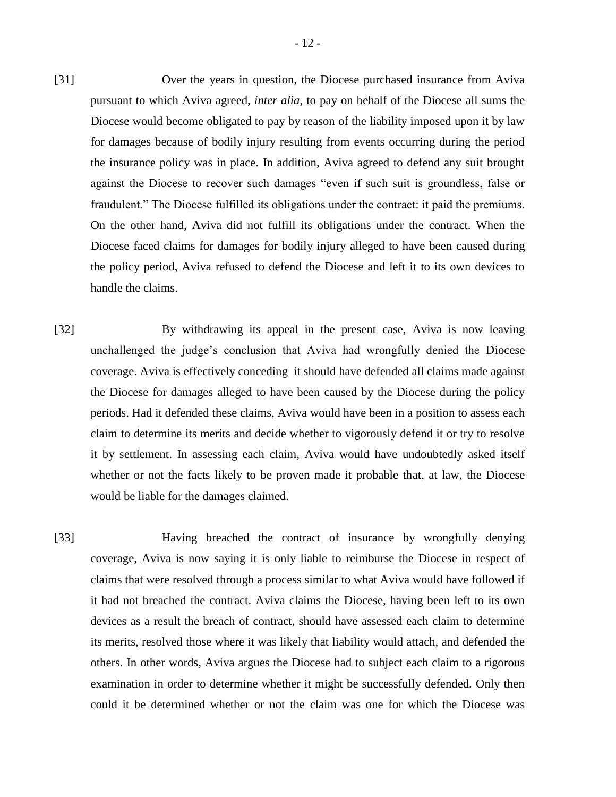- [31] Over the years in question, the Diocese purchased insurance from Aviva pursuant to which Aviva agreed, *inter alia*, to pay on behalf of the Diocese all sums the Diocese would become obligated to pay by reason of the liability imposed upon it by law for damages because of bodily injury resulting from events occurring during the period the insurance policy was in place. In addition, Aviva agreed to defend any suit brought against the Diocese to recover such damages "even if such suit is groundless, false or fraudulent." The Diocese fulfilled its obligations under the contract: it paid the premiums. On the other hand, Aviva did not fulfill its obligations under the contract. When the Diocese faced claims for damages for bodily injury alleged to have been caused during the policy period, Aviva refused to defend the Diocese and left it to its own devices to handle the claims.
- [32] By withdrawing its appeal in the present case, Aviva is now leaving unchallenged the judge's conclusion that Aviva had wrongfully denied the Diocese coverage. Aviva is effectively conceding it should have defended all claims made against the Diocese for damages alleged to have been caused by the Diocese during the policy periods. Had it defended these claims, Aviva would have been in a position to assess each claim to determine its merits and decide whether to vigorously defend it or try to resolve it by settlement. In assessing each claim, Aviva would have undoubtedly asked itself whether or not the facts likely to be proven made it probable that, at law, the Diocese would be liable for the damages claimed.
- [33] Having breached the contract of insurance by wrongfully denying coverage, Aviva is now saying it is only liable to reimburse the Diocese in respect of claims that were resolved through a process similar to what Aviva would have followed if it had not breached the contract. Aviva claims the Diocese, having been left to its own devices as a result the breach of contract, should have assessed each claim to determine its merits, resolved those where it was likely that liability would attach, and defended the others. In other words, Aviva argues the Diocese had to subject each claim to a rigorous examination in order to determine whether it might be successfully defended. Only then could it be determined whether or not the claim was one for which the Diocese was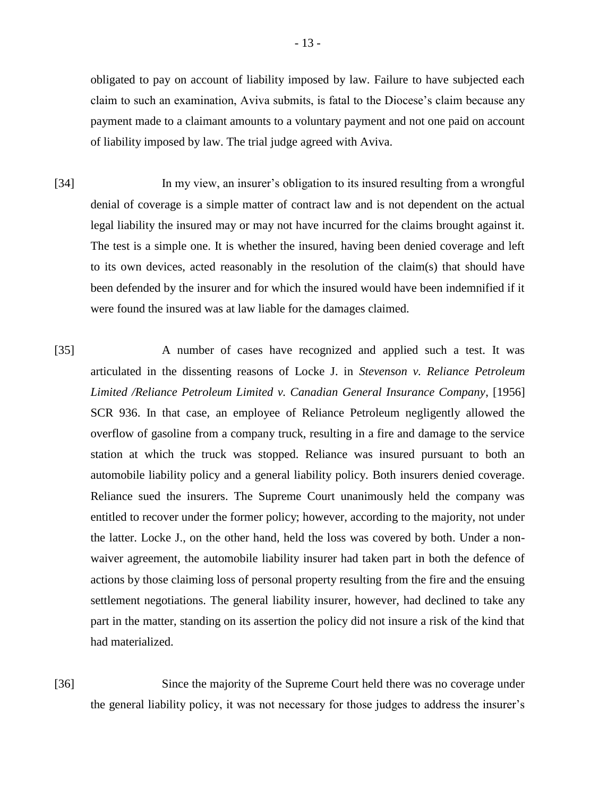obligated to pay on account of liability imposed by law. Failure to have subjected each claim to such an examination, Aviva submits, is fatal to the Diocese's claim because any payment made to a claimant amounts to a voluntary payment and not one paid on account of liability imposed by law. The trial judge agreed with Aviva.

- [34] In my view, an insurer's obligation to its insured resulting from a wrongful denial of coverage is a simple matter of contract law and is not dependent on the actual legal liability the insured may or may not have incurred for the claims brought against it. The test is a simple one. It is whether the insured, having been denied coverage and left to its own devices, acted reasonably in the resolution of the claim(s) that should have been defended by the insurer and for which the insured would have been indemnified if it were found the insured was at law liable for the damages claimed.
- [35] A number of cases have recognized and applied such a test. It was articulated in the dissenting reasons of Locke J. in *Stevenson v. Reliance Petroleum Limited /Reliance Petroleum Limited v. Canadian General Insurance Company*, [1956] SCR 936. In that case, an employee of Reliance Petroleum negligently allowed the overflow of gasoline from a company truck, resulting in a fire and damage to the service station at which the truck was stopped. Reliance was insured pursuant to both an automobile liability policy and a general liability policy. Both insurers denied coverage. Reliance sued the insurers. The Supreme Court unanimously held the company was entitled to recover under the former policy; however, according to the majority, not under the latter. Locke J., on the other hand, held the loss was covered by both. Under a nonwaiver agreement, the automobile liability insurer had taken part in both the defence of actions by those claiming loss of personal property resulting from the fire and the ensuing settlement negotiations. The general liability insurer, however, had declined to take any part in the matter, standing on its assertion the policy did not insure a risk of the kind that had materialized.
- [36] Since the majority of the Supreme Court held there was no coverage under the general liability policy, it was not necessary for those judges to address the insurer's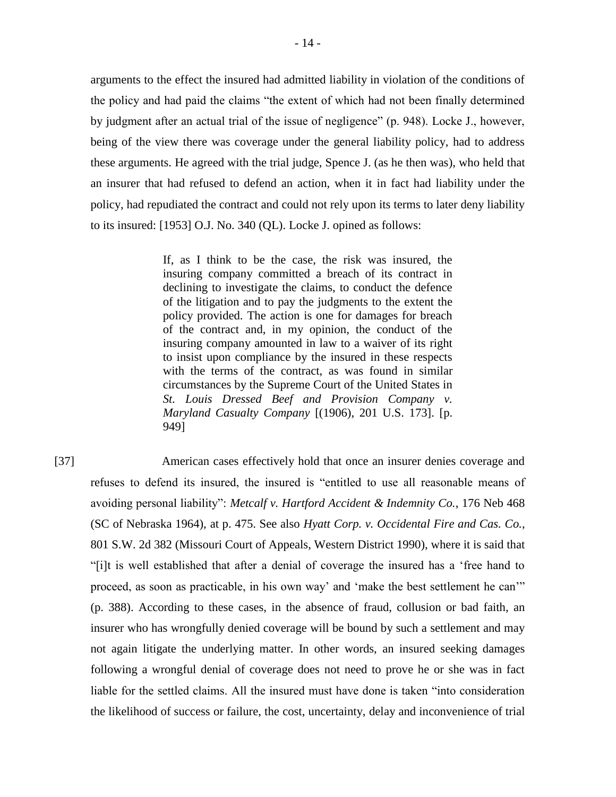arguments to the effect the insured had admitted liability in violation of the conditions of the policy and had paid the claims "the extent of which had not been finally determined by judgment after an actual trial of the issue of negligence" (p. 948). Locke J., however, being of the view there was coverage under the general liability policy, had to address these arguments. He agreed with the trial judge, Spence J. (as he then was), who held that an insurer that had refused to defend an action, when it in fact had liability under the policy, had repudiated the contract and could not rely upon its terms to later deny liability to its insured: [1953] O.J. No. 340 (QL). Locke J. opined as follows:

> If, as I think to be the case, the risk was insured, the insuring company committed a breach of its contract in declining to investigate the claims, to conduct the defence of the litigation and to pay the judgments to the extent the policy provided. The action is one for damages for breach of the contract and, in my opinion, the conduct of the insuring company amounted in law to a waiver of its right to insist upon compliance by the insured in these respects with the terms of the contract, as was found in similar circumstances by the Supreme Court of the United States in *St. Louis Dressed Beef and Provision Company v. Maryland Casualty Company* [(1906), 201 U.S. 173]. [p. 949]

[37] American cases effectively hold that once an insurer denies coverage and refuses to defend its insured, the insured is "entitled to use all reasonable means of avoiding personal liability": *Metcalf v. Hartford Accident & Indemnity Co.*, 176 Neb 468 (SC of Nebraska 1964), at p. 475. See also *Hyatt Corp. v. Occidental Fire and Cas. Co.*, 801 S.W. 2d 382 (Missouri Court of Appeals, Western District 1990), where it is said that "[i]t is well established that after a denial of coverage the insured has a 'free hand to proceed, as soon as practicable, in his own way' and 'make the best settlement he can'" (p. 388). According to these cases, in the absence of fraud, collusion or bad faith, an insurer who has wrongfully denied coverage will be bound by such a settlement and may not again litigate the underlying matter. In other words, an insured seeking damages following a wrongful denial of coverage does not need to prove he or she was in fact liable for the settled claims. All the insured must have done is taken "into consideration the likelihood of success or failure, the cost, uncertainty, delay and inconvenience of trial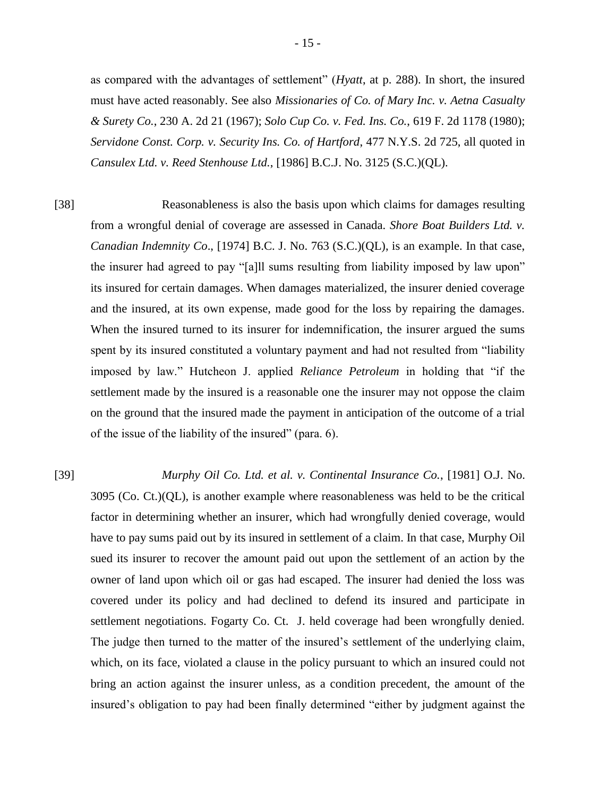as compared with the advantages of settlement" (*Hyatt*, at p. 288). In short, the insured must have acted reasonably. See also *Missionaries of Co. of Mary Inc. v. Aetna Casualty & Surety Co.*, 230 A. 2d 21 (1967); *Solo Cup Co. v. Fed. Ins. Co.*, 619 F. 2d 1178 (1980); *Servidone Const. Corp. v. Security Ins. Co. of Hartford*, 477 N.Y.S. 2d 725, all quoted in *Cansulex Ltd. v. Reed Stenhouse Ltd.*, [1986] B.C.J. No. 3125 (S.C.)(QL).

[38] Reasonableness is also the basis upon which claims for damages resulting from a wrongful denial of coverage are assessed in Canada. *Shore Boat Builders Ltd. v. Canadian Indemnity Co*., [1974] B.C. J. No. 763 (S.C.)(QL), is an example. In that case, the insurer had agreed to pay "[a]ll sums resulting from liability imposed by law upon" its insured for certain damages. When damages materialized, the insurer denied coverage and the insured, at its own expense, made good for the loss by repairing the damages. When the insured turned to its insurer for indemnification, the insurer argued the sums spent by its insured constituted a voluntary payment and had not resulted from "liability imposed by law." Hutcheon J. applied *Reliance Petroleum* in holding that "if the settlement made by the insured is a reasonable one the insurer may not oppose the claim on the ground that the insured made the payment in anticipation of the outcome of a trial of the issue of the liability of the insured" (para. 6).

[39] *Murphy Oil Co. Ltd. et al. v. Continental Insurance Co.*, [1981] O.J. No.  $3095$  (Co. Ct.)(QL), is another example where reasonableness was held to be the critical factor in determining whether an insurer, which had wrongfully denied coverage, would have to pay sums paid out by its insured in settlement of a claim. In that case, Murphy Oil sued its insurer to recover the amount paid out upon the settlement of an action by the owner of land upon which oil or gas had escaped. The insurer had denied the loss was covered under its policy and had declined to defend its insured and participate in settlement negotiations. Fogarty Co. Ct. J. held coverage had been wrongfully denied. The judge then turned to the matter of the insured's settlement of the underlying claim, which, on its face, violated a clause in the policy pursuant to which an insured could not bring an action against the insurer unless, as a condition precedent, the amount of the insured's obligation to pay had been finally determined "either by judgment against the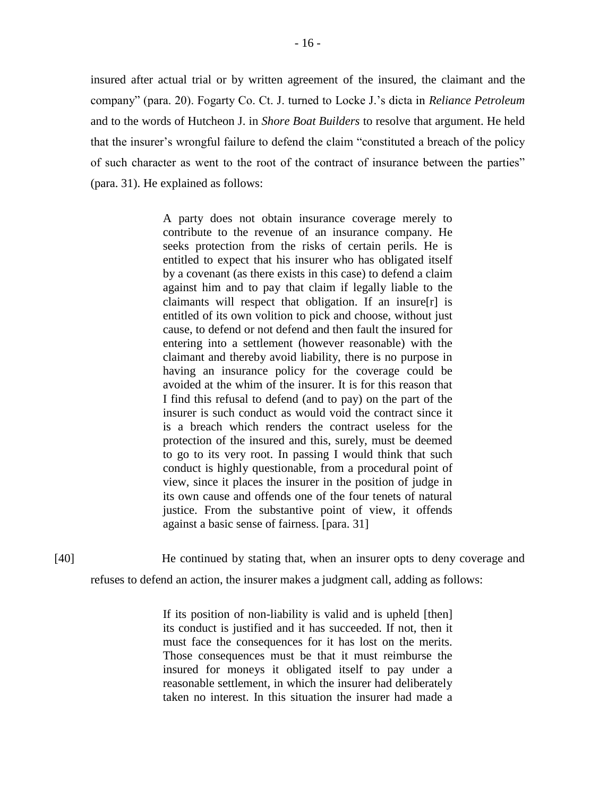insured after actual trial or by written agreement of the insured, the claimant and the company" (para. 20). Fogarty Co. Ct. J. turned to Locke J.'s dicta in *Reliance Petroleum* and to the words of Hutcheon J. in *Shore Boat Builders* to resolve that argument. He held that the insurer's wrongful failure to defend the claim "constituted a breach of the policy of such character as went to the root of the contract of insurance between the parties" (para. 31). He explained as follows:

> A party does not obtain insurance coverage merely to contribute to the revenue of an insurance company. He seeks protection from the risks of certain perils. He is entitled to expect that his insurer who has obligated itself by a covenant (as there exists in this case) to defend a claim against him and to pay that claim if legally liable to the claimants will respect that obligation. If an insure[r] is entitled of its own volition to pick and choose, without just cause, to defend or not defend and then fault the insured for entering into a settlement (however reasonable) with the claimant and thereby avoid liability, there is no purpose in having an insurance policy for the coverage could be avoided at the whim of the insurer. It is for this reason that I find this refusal to defend (and to pay) on the part of the insurer is such conduct as would void the contract since it is a breach which renders the contract useless for the protection of the insured and this, surely, must be deemed to go to its very root. In passing I would think that such conduct is highly questionable, from a procedural point of view, since it places the insurer in the position of judge in its own cause and offends one of the four tenets of natural justice. From the substantive point of view, it offends against a basic sense of fairness. [para. 31]

[40] He continued by stating that, when an insurer opts to deny coverage and refuses to defend an action, the insurer makes a judgment call, adding as follows:

> If its position of non-liability is valid and is upheld [then] its conduct is justified and it has succeeded. If not, then it must face the consequences for it has lost on the merits. Those consequences must be that it must reimburse the insured for moneys it obligated itself to pay under a reasonable settlement, in which the insurer had deliberately taken no interest. In this situation the insurer had made a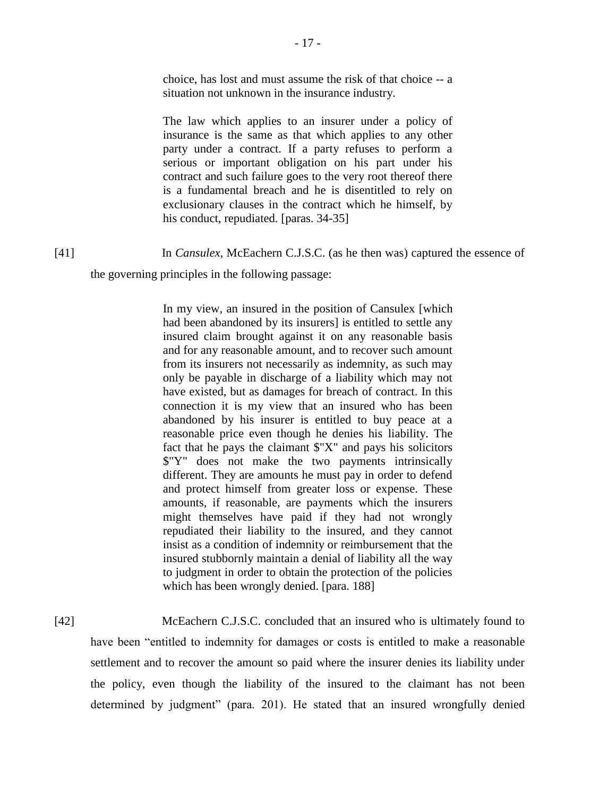choice, has lost and must assume the risk of that choice -- a situation not unknown in the insurance industry.

The law which applies to an insurer under a policy of insurance is the same as that which applies to any other party under a contract. If a party refuses to perform a serious or important obligation on his part under his contract and such failure goes to the very root thereof there is a fundamental breach and he is disentitled to rely on exclusionary clauses in the contract which he himself, by his conduct, repudiated. [paras. 34-35]

[41] In *Cansulex*, McEachern C.J.S.C. (as he then was) captured the essence of

the governing principles in the following passage:

In my view, an insured in the position of Cansulex [which had been abandoned by its insurers] is entitled to settle any insured claim brought against it on any reasonable basis and for any reasonable amount, and to recover such amount from its insurers not necessarily as indemnity, as such may only be payable in discharge of a liability which may not have existed, but as damages for breach of contract. In this connection it is my view that an insured who has been abandoned by his insurer is entitled to buy peace at a reasonable price even though he denies his liability. The fact that he pays the claimant  $\mathcal{F}^{\prime}X^{\prime\prime}$  and pays his solicitors \$"Y" does not make the two payments intrinsically different. They are amounts he must pay in order to defend and protect himself from greater loss or expense. These amounts, if reasonable, are payments which the insurers might themselves have paid if they had not wrongly repudiated their liability to the insured, and they cannot insist as a condition of indemnity or reimbursement that the insured stubbornly maintain a denial of liability all the way to judgment in order to obtain the protection of the policies which has been wrongly denied. [para. 188]

[42] McEachern C.J.S.C. concluded that an insured who is ultimately found to have been "entitled to indemnity for damages or costs is entitled to make a reasonable settlement and to recover the amount so paid where the insurer denies its liability under the policy, even though the liability of the insured to the claimant has not been determined by judgment" (para. 201). He stated that an insured wrongfully denied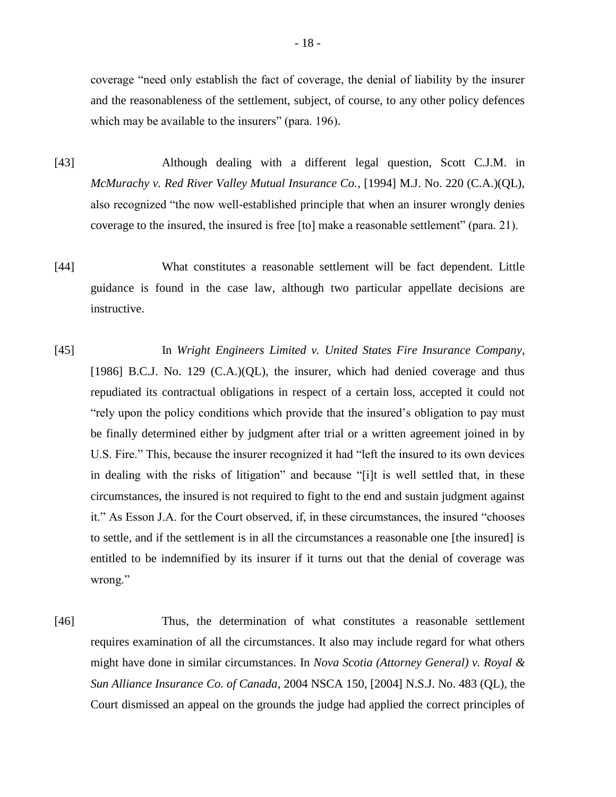coverage "need only establish the fact of coverage, the denial of liability by the insurer and the reasonableness of the settlement, subject, of course, to any other policy defences which may be available to the insurers" (para. 196).

- [43] Although dealing with a different legal question, Scott C.J.M. in *McMurachy v. Red River Valley Mutual Insurance Co.*, [1994] M.J. No. 220 (C.A.)(QL), also recognized "the now well-established principle that when an insurer wrongly denies coverage to the insured, the insured is free [to] make a reasonable settlement" (para. 21).
- [44] What constitutes a reasonable settlement will be fact dependent. Little guidance is found in the case law, although two particular appellate decisions are instructive.
- [45] In *Wright Engineers Limited v. United States Fire Insurance Company*, [1986] B.C.J. No. 129 (C.A.)(QL), the insurer, which had denied coverage and thus repudiated its contractual obligations in respect of a certain loss, accepted it could not "rely upon the policy conditions which provide that the insured's obligation to pay must be finally determined either by judgment after trial or a written agreement joined in by U.S. Fire." This, because the insurer recognized it had "left the insured to its own devices in dealing with the risks of litigation" and because "[i]t is well settled that, in these circumstances, the insured is not required to fight to the end and sustain judgment against it." As Esson J.A. for the Court observed, if, in these circumstances, the insured "chooses to settle, and if the settlement is in all the circumstances a reasonable one [the insured] is entitled to be indemnified by its insurer if it turns out that the denial of coverage was wrong."
- [46] Thus, the determination of what constitutes a reasonable settlement requires examination of all the circumstances. It also may include regard for what others might have done in similar circumstances. In *Nova Scotia (Attorney General) v. Royal & Sun Alliance Insurance Co. of Canada*, 2004 NSCA 150, [2004] N.S.J. No. 483 (QL), the Court dismissed an appeal on the grounds the judge had applied the correct principles of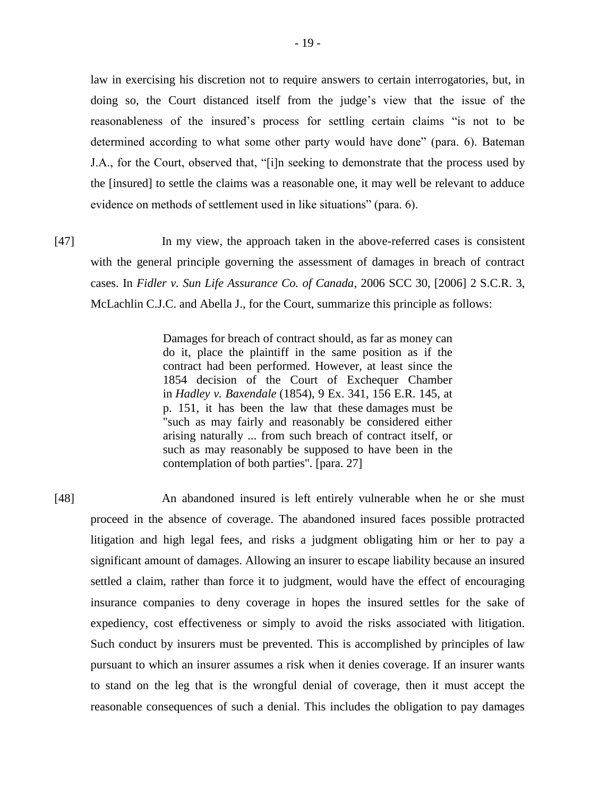law in exercising his discretion not to require answers to certain interrogatories, but, in doing so, the Court distanced itself from the judge's view that the issue of the reasonableness of the insured's process for settling certain claims "is not to be determined according to what some other party would have done" (para. 6). Bateman J.A., for the Court, observed that, "[i]n seeking to demonstrate that the process used by the [insured] to settle the claims was a reasonable one, it may well be relevant to adduce evidence on methods of settlement used in like situations" (para. 6).

[47] In my view, the approach taken in the above-referred cases is consistent with the general principle governing the assessment of damages in breach of contract cases. In *Fidler v. Sun Life Assurance Co. of Canada*, 2006 SCC 30, [2006] 2 S.C.R. 3, McLachlin C.J.C. and Abella J., for the Court, summarize this principle as follows:

> Damages for breach of contract should, as far as money can do it, place the plaintiff in the same position as if the contract had been performed. However, at least since the 1854 decision of the Court of Exchequer Chamber in *Hadley v. Baxendale* (1854), 9 Ex. 341, 156 E.R. 145, at p. 151, it has been the law that these damages must be "such as may fairly and reasonably be considered either arising naturally ... from such breach of contract itself, or such as may reasonably be supposed to have been in the contemplation of both parties". [para. 27]

[48] An abandoned insured is left entirely vulnerable when he or she must proceed in the absence of coverage. The abandoned insured faces possible protracted litigation and high legal fees, and risks a judgment obligating him or her to pay a significant amount of damages. Allowing an insurer to escape liability because an insured settled a claim, rather than force it to judgment, would have the effect of encouraging insurance companies to deny coverage in hopes the insured settles for the sake of expediency, cost effectiveness or simply to avoid the risks associated with litigation. Such conduct by insurers must be prevented. This is accomplished by principles of law pursuant to which an insurer assumes a risk when it denies coverage. If an insurer wants to stand on the leg that is the wrongful denial of coverage, then it must accept the reasonable consequences of such a denial. This includes the obligation to pay damages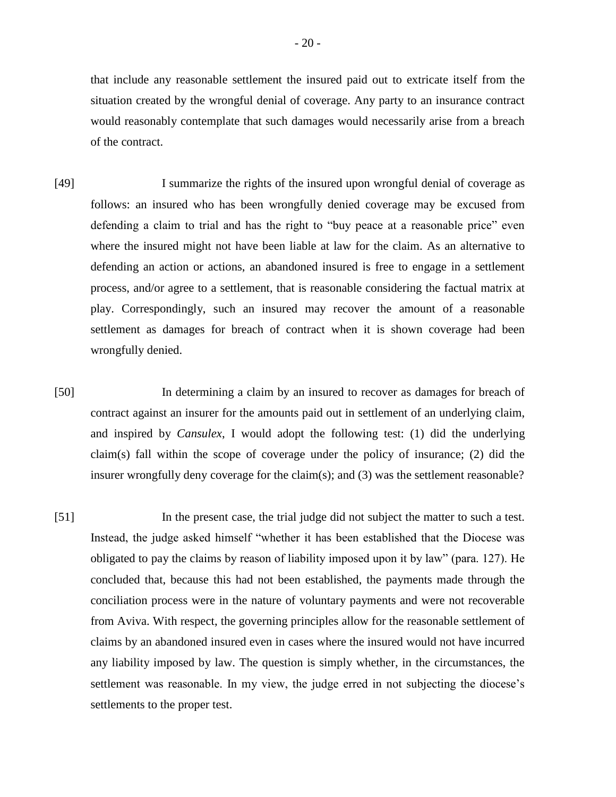that include any reasonable settlement the insured paid out to extricate itself from the situation created by the wrongful denial of coverage. Any party to an insurance contract would reasonably contemplate that such damages would necessarily arise from a breach of the contract.

- [49] I summarize the rights of the insured upon wrongful denial of coverage as follows: an insured who has been wrongfully denied coverage may be excused from defending a claim to trial and has the right to "buy peace at a reasonable price" even where the insured might not have been liable at law for the claim. As an alternative to defending an action or actions, an abandoned insured is free to engage in a settlement process, and/or agree to a settlement, that is reasonable considering the factual matrix at play. Correspondingly, such an insured may recover the amount of a reasonable settlement as damages for breach of contract when it is shown coverage had been wrongfully denied.
- [50] In determining a claim by an insured to recover as damages for breach of contract against an insurer for the amounts paid out in settlement of an underlying claim, and inspired by *Cansulex*, I would adopt the following test: (1) did the underlying claim(s) fall within the scope of coverage under the policy of insurance; (2) did the insurer wrongfully deny coverage for the claim(s); and (3) was the settlement reasonable?
- [51] In the present case, the trial judge did not subject the matter to such a test. Instead, the judge asked himself "whether it has been established that the Diocese was obligated to pay the claims by reason of liability imposed upon it by law" (para. 127). He concluded that, because this had not been established, the payments made through the conciliation process were in the nature of voluntary payments and were not recoverable from Aviva. With respect, the governing principles allow for the reasonable settlement of claims by an abandoned insured even in cases where the insured would not have incurred any liability imposed by law. The question is simply whether, in the circumstances, the settlement was reasonable. In my view, the judge erred in not subjecting the diocese's settlements to the proper test.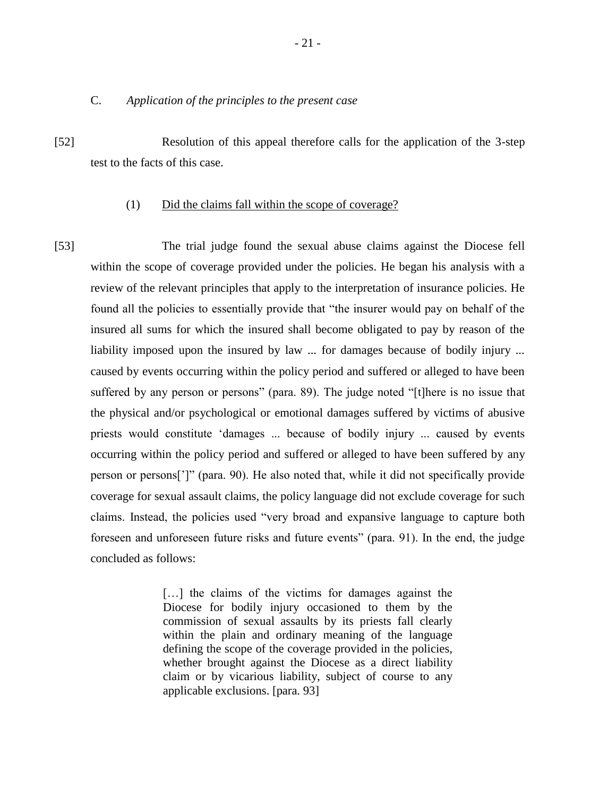## C. *Application of the principles to the present case*

[52] Resolution of this appeal therefore calls for the application of the 3-step test to the facts of this case.

#### (1) Did the claims fall within the scope of coverage?

[53] The trial judge found the sexual abuse claims against the Diocese fell within the scope of coverage provided under the policies. He began his analysis with a review of the relevant principles that apply to the interpretation of insurance policies. He found all the policies to essentially provide that "the insurer would pay on behalf of the insured all sums for which the insured shall become obligated to pay by reason of the liability imposed upon the insured by law ... for damages because of bodily injury ... caused by events occurring within the policy period and suffered or alleged to have been suffered by any person or persons" (para. 89). The judge noted "[t]here is no issue that the physical and/or psychological or emotional damages suffered by victims of abusive priests would constitute 'damages ... because of bodily injury ... caused by events occurring within the policy period and suffered or alleged to have been suffered by any person or persons[']" (para. 90). He also noted that, while it did not specifically provide coverage for sexual assault claims, the policy language did not exclude coverage for such claims. Instead, the policies used "very broad and expansive language to capture both foreseen and unforeseen future risks and future events" (para. 91). In the end, the judge concluded as follows:

> [...] the claims of the victims for damages against the Diocese for bodily injury occasioned to them by the commission of sexual assaults by its priests fall clearly within the plain and ordinary meaning of the language defining the scope of the coverage provided in the policies, whether brought against the Diocese as a direct liability claim or by vicarious liability, subject of course to any applicable exclusions. [para. 93]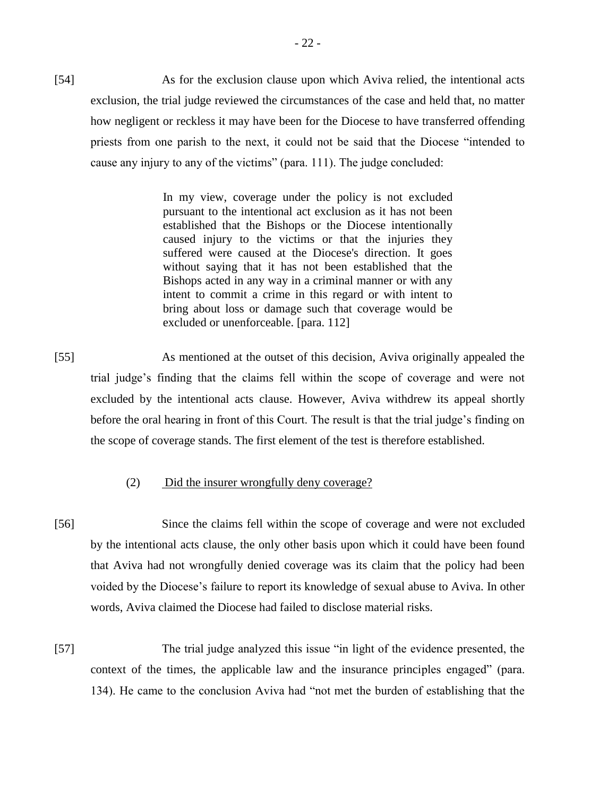[54] As for the exclusion clause upon which Aviva relied, the intentional acts exclusion, the trial judge reviewed the circumstances of the case and held that, no matter how negligent or reckless it may have been for the Diocese to have transferred offending priests from one parish to the next, it could not be said that the Diocese "intended to cause any injury to any of the victims" (para. 111). The judge concluded:

> In my view, coverage under the policy is not excluded pursuant to the intentional act exclusion as it has not been established that the Bishops or the Diocese intentionally caused injury to the victims or that the injuries they suffered were caused at the Diocese's direction. It goes without saying that it has not been established that the Bishops acted in any way in a criminal manner or with any intent to commit a crime in this regard or with intent to bring about loss or damage such that coverage would be excluded or unenforceable. [para. 112]

[55] As mentioned at the outset of this decision, Aviva originally appealed the trial judge's finding that the claims fell within the scope of coverage and were not excluded by the intentional acts clause. However, Aviva withdrew its appeal shortly before the oral hearing in front of this Court. The result is that the trial judge's finding on the scope of coverage stands. The first element of the test is therefore established.

# (2) Did the insurer wrongfully deny coverage?

- [56] Since the claims fell within the scope of coverage and were not excluded by the intentional acts clause, the only other basis upon which it could have been found that Aviva had not wrongfully denied coverage was its claim that the policy had been voided by the Diocese's failure to report its knowledge of sexual abuse to Aviva. In other words, Aviva claimed the Diocese had failed to disclose material risks.
- [57] The trial judge analyzed this issue "in light of the evidence presented, the context of the times, the applicable law and the insurance principles engaged" (para. 134). He came to the conclusion Aviva had "not met the burden of establishing that the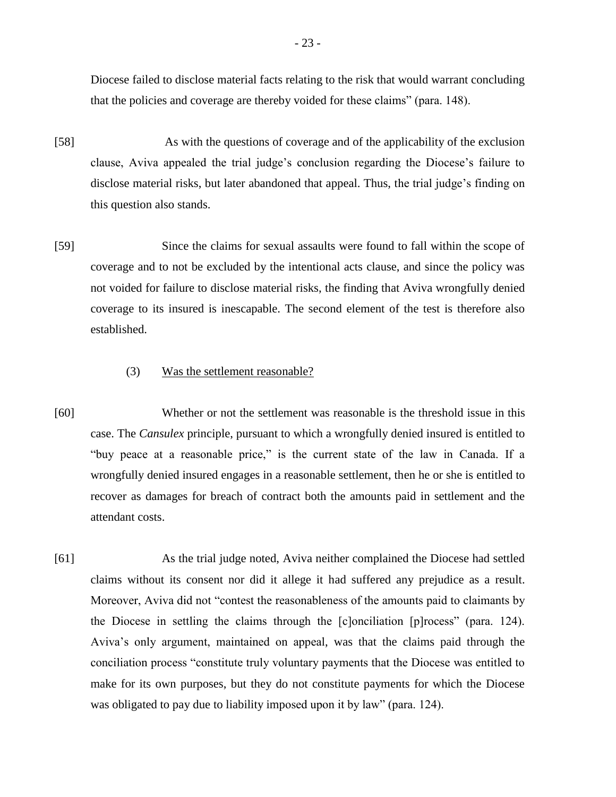Diocese failed to disclose material facts relating to the risk that would warrant concluding that the policies and coverage are thereby voided for these claims" (para. 148).

- [58] As with the questions of coverage and of the applicability of the exclusion clause, Aviva appealed the trial judge's conclusion regarding the Diocese's failure to disclose material risks, but later abandoned that appeal. Thus, the trial judge's finding on this question also stands.
- [59] Since the claims for sexual assaults were found to fall within the scope of coverage and to not be excluded by the intentional acts clause, and since the policy was not voided for failure to disclose material risks, the finding that Aviva wrongfully denied coverage to its insured is inescapable. The second element of the test is therefore also established.

# (3) Was the settlement reasonable?

- [60] Whether or not the settlement was reasonable is the threshold issue in this case. The *Cansulex* principle, pursuant to which a wrongfully denied insured is entitled to "buy peace at a reasonable price," is the current state of the law in Canada. If a wrongfully denied insured engages in a reasonable settlement, then he or she is entitled to recover as damages for breach of contract both the amounts paid in settlement and the attendant costs.
- [61] As the trial judge noted, Aviva neither complained the Diocese had settled claims without its consent nor did it allege it had suffered any prejudice as a result. Moreover, Aviva did not "contest the reasonableness of the amounts paid to claimants by the Diocese in settling the claims through the [c]onciliation [p]rocess" (para. 124). Aviva's only argument, maintained on appeal, was that the claims paid through the conciliation process "constitute truly voluntary payments that the Diocese was entitled to make for its own purposes, but they do not constitute payments for which the Diocese was obligated to pay due to liability imposed upon it by law" (para. 124).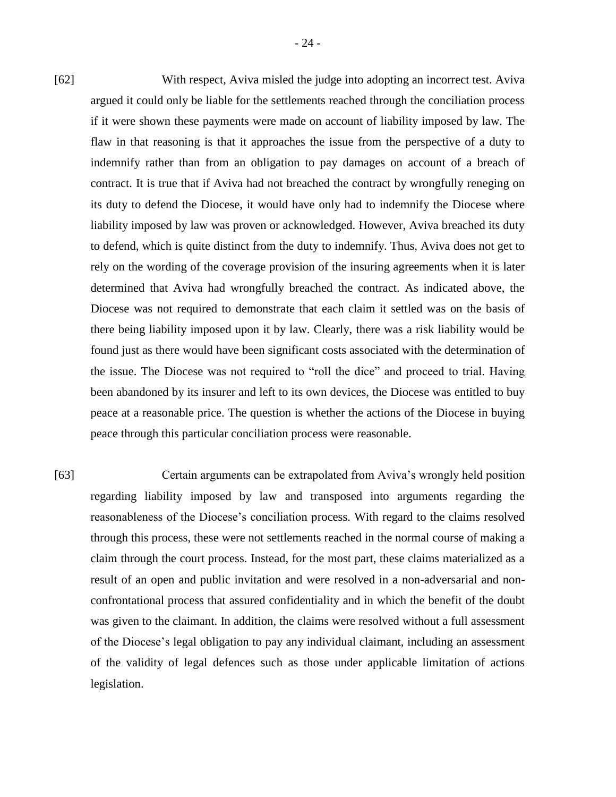[62] With respect, Aviva misled the judge into adopting an incorrect test. Aviva argued it could only be liable for the settlements reached through the conciliation process if it were shown these payments were made on account of liability imposed by law. The flaw in that reasoning is that it approaches the issue from the perspective of a duty to indemnify rather than from an obligation to pay damages on account of a breach of contract. It is true that if Aviva had not breached the contract by wrongfully reneging on its duty to defend the Diocese, it would have only had to indemnify the Diocese where liability imposed by law was proven or acknowledged. However, Aviva breached its duty to defend, which is quite distinct from the duty to indemnify. Thus, Aviva does not get to rely on the wording of the coverage provision of the insuring agreements when it is later determined that Aviva had wrongfully breached the contract. As indicated above, the Diocese was not required to demonstrate that each claim it settled was on the basis of there being liability imposed upon it by law. Clearly, there was a risk liability would be found just as there would have been significant costs associated with the determination of the issue. The Diocese was not required to "roll the dice" and proceed to trial. Having been abandoned by its insurer and left to its own devices, the Diocese was entitled to buy peace at a reasonable price. The question is whether the actions of the Diocese in buying peace through this particular conciliation process were reasonable.

[63] Certain arguments can be extrapolated from Aviva's wrongly held position regarding liability imposed by law and transposed into arguments regarding the reasonableness of the Diocese's conciliation process. With regard to the claims resolved through this process, these were not settlements reached in the normal course of making a claim through the court process. Instead, for the most part, these claims materialized as a result of an open and public invitation and were resolved in a non-adversarial and nonconfrontational process that assured confidentiality and in which the benefit of the doubt was given to the claimant. In addition, the claims were resolved without a full assessment of the Diocese's legal obligation to pay any individual claimant, including an assessment of the validity of legal defences such as those under applicable limitation of actions legislation.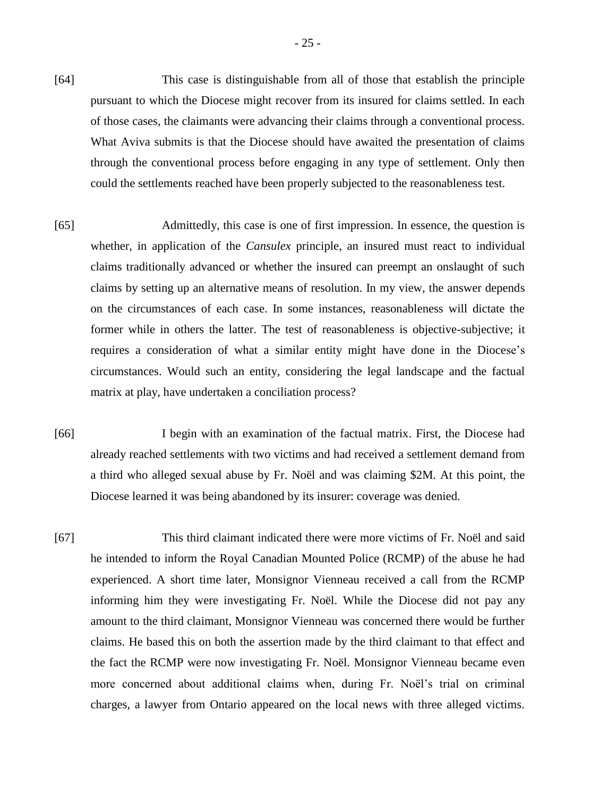- [64] This case is distinguishable from all of those that establish the principle pursuant to which the Diocese might recover from its insured for claims settled. In each of those cases, the claimants were advancing their claims through a conventional process. What Aviva submits is that the Diocese should have awaited the presentation of claims through the conventional process before engaging in any type of settlement. Only then could the settlements reached have been properly subjected to the reasonableness test.
- [65] Admittedly, this case is one of first impression. In essence, the question is whether, in application of the *Cansulex* principle, an insured must react to individual claims traditionally advanced or whether the insured can preempt an onslaught of such claims by setting up an alternative means of resolution. In my view, the answer depends on the circumstances of each case. In some instances, reasonableness will dictate the former while in others the latter. The test of reasonableness is objective-subjective; it requires a consideration of what a similar entity might have done in the Diocese's circumstances. Would such an entity, considering the legal landscape and the factual matrix at play, have undertaken a conciliation process?
- [66] I begin with an examination of the factual matrix. First, the Diocese had already reached settlements with two victims and had received a settlement demand from a third who alleged sexual abuse by Fr. Noël and was claiming \$2M. At this point, the Diocese learned it was being abandoned by its insurer: coverage was denied.
- [67] This third claimant indicated there were more victims of Fr. Noël and said he intended to inform the Royal Canadian Mounted Police (RCMP) of the abuse he had experienced. A short time later, Monsignor Vienneau received a call from the RCMP informing him they were investigating Fr. Noël. While the Diocese did not pay any amount to the third claimant, Monsignor Vienneau was concerned there would be further claims. He based this on both the assertion made by the third claimant to that effect and the fact the RCMP were now investigating Fr. Noël. Monsignor Vienneau became even more concerned about additional claims when, during Fr. Noël's trial on criminal charges, a lawyer from Ontario appeared on the local news with three alleged victims.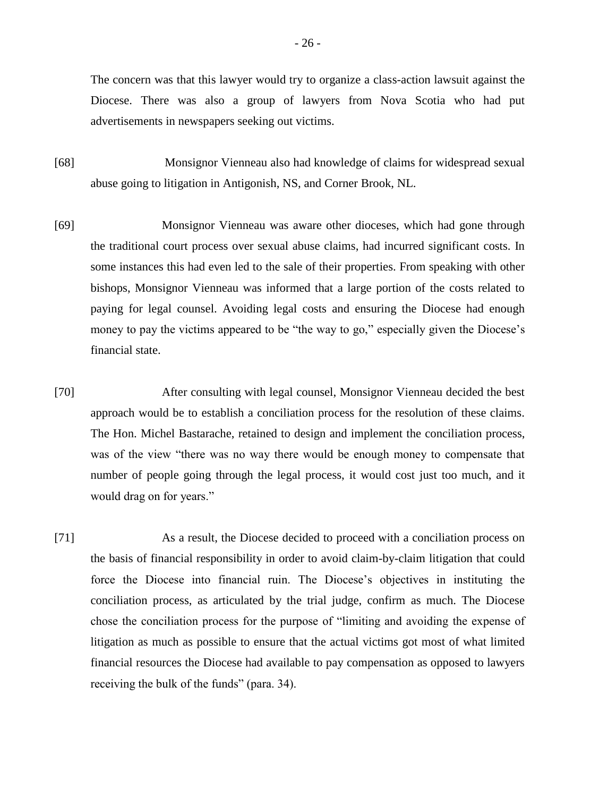The concern was that this lawyer would try to organize a class-action lawsuit against the Diocese. There was also a group of lawyers from Nova Scotia who had put advertisements in newspapers seeking out victims.

- [68] Monsignor Vienneau also had knowledge of claims for widespread sexual abuse going to litigation in Antigonish, NS, and Corner Brook, NL.
- [69] Monsignor Vienneau was aware other dioceses, which had gone through the traditional court process over sexual abuse claims, had incurred significant costs. In some instances this had even led to the sale of their properties. From speaking with other bishops, Monsignor Vienneau was informed that a large portion of the costs related to paying for legal counsel. Avoiding legal costs and ensuring the Diocese had enough money to pay the victims appeared to be "the way to go," especially given the Diocese's financial state.
- [70] After consulting with legal counsel, Monsignor Vienneau decided the best approach would be to establish a conciliation process for the resolution of these claims. The Hon. Michel Bastarache, retained to design and implement the conciliation process, was of the view "there was no way there would be enough money to compensate that number of people going through the legal process, it would cost just too much, and it would drag on for years."
- [71] As a result, the Diocese decided to proceed with a conciliation process on the basis of financial responsibility in order to avoid claim-by-claim litigation that could force the Diocese into financial ruin. The Diocese's objectives in instituting the conciliation process, as articulated by the trial judge, confirm as much. The Diocese chose the conciliation process for the purpose of "limiting and avoiding the expense of litigation as much as possible to ensure that the actual victims got most of what limited financial resources the Diocese had available to pay compensation as opposed to lawyers receiving the bulk of the funds" (para. 34).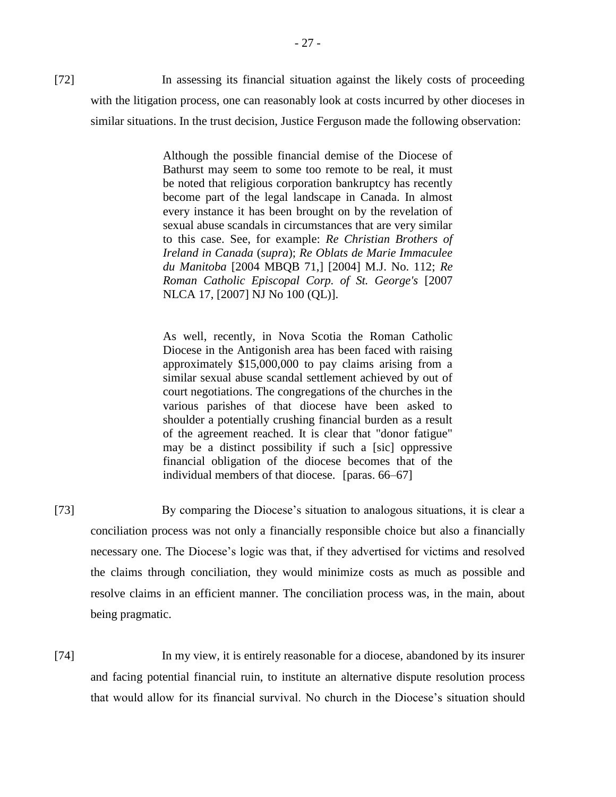[72] In assessing its financial situation against the likely costs of proceeding with the litigation process, one can reasonably look at costs incurred by other dioceses in similar situations. In the trust decision, Justice Ferguson made the following observation:

> Although the possible financial demise of the Diocese of Bathurst may seem to some too remote to be real, it must be noted that religious corporation bankruptcy has recently become part of the legal landscape in Canada. In almost every instance it has been brought on by the revelation of sexual abuse scandals in circumstances that are very similar to this case. See, for example: *Re Christian Brothers of Ireland in Canada* (*supra*); *Re Oblats de Marie Immaculee du Manitoba* [2004 MBQB 71,] [2004] M.J. No. 112; *Re Roman Catholic Episcopal Corp. of St. George's* [2007 NLCA 17, [2007] NJ No 100 (QL)].

> As well, recently, in Nova Scotia the Roman Catholic Diocese in the Antigonish area has been faced with raising approximately \$15,000,000 to pay claims arising from a similar sexual abuse scandal settlement achieved by out of court negotiations. The congregations of the churches in the various parishes of that diocese have been asked to shoulder a potentially crushing financial burden as a result of the agreement reached. It is clear that "donor fatigue" may be a distinct possibility if such a [sic] oppressive financial obligation of the diocese becomes that of the individual members of that diocese. [paras. 66–67]

[73] By comparing the Diocese's situation to analogous situations, it is clear a conciliation process was not only a financially responsible choice but also a financially necessary one. The Diocese's logic was that, if they advertised for victims and resolved the claims through conciliation, they would minimize costs as much as possible and resolve claims in an efficient manner. The conciliation process was, in the main, about being pragmatic.

[74] In my view, it is entirely reasonable for a diocese, abandoned by its insurer and facing potential financial ruin, to institute an alternative dispute resolution process that would allow for its financial survival. No church in the Diocese's situation should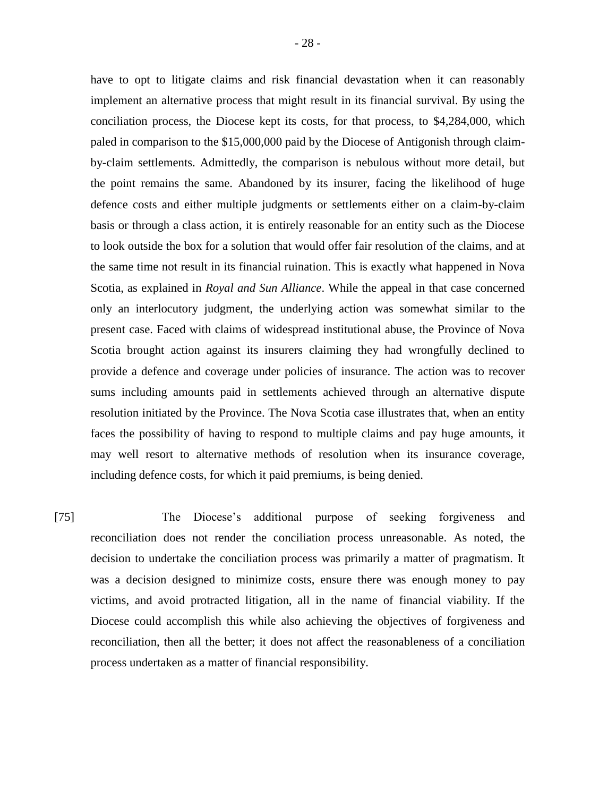have to opt to litigate claims and risk financial devastation when it can reasonably implement an alternative process that might result in its financial survival. By using the conciliation process, the Diocese kept its costs, for that process, to \$4,284,000, which paled in comparison to the \$15,000,000 paid by the Diocese of Antigonish through claimby-claim settlements. Admittedly, the comparison is nebulous without more detail, but the point remains the same. Abandoned by its insurer, facing the likelihood of huge defence costs and either multiple judgments or settlements either on a claim-by-claim basis or through a class action, it is entirely reasonable for an entity such as the Diocese to look outside the box for a solution that would offer fair resolution of the claims, and at the same time not result in its financial ruination. This is exactly what happened in Nova Scotia, as explained in *Royal and Sun Alliance*. While the appeal in that case concerned only an interlocutory judgment, the underlying action was somewhat similar to the present case. Faced with claims of widespread institutional abuse, the Province of Nova Scotia brought action against its insurers claiming they had wrongfully declined to provide a defence and coverage under policies of insurance. The action was to recover sums including amounts paid in settlements achieved through an alternative dispute resolution initiated by the Province. The Nova Scotia case illustrates that, when an entity faces the possibility of having to respond to multiple claims and pay huge amounts, it may well resort to alternative methods of resolution when its insurance coverage, including defence costs, for which it paid premiums, is being denied.

[75] The Diocese's additional purpose of seeking forgiveness and reconciliation does not render the conciliation process unreasonable. As noted, the decision to undertake the conciliation process was primarily a matter of pragmatism. It was a decision designed to minimize costs, ensure there was enough money to pay victims, and avoid protracted litigation, all in the name of financial viability. If the Diocese could accomplish this while also achieving the objectives of forgiveness and reconciliation, then all the better; it does not affect the reasonableness of a conciliation process undertaken as a matter of financial responsibility.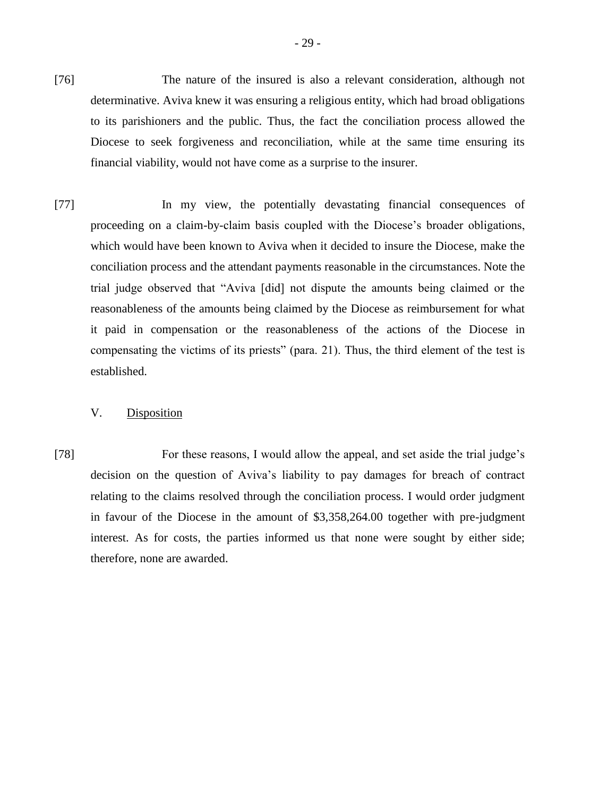- [76] The nature of the insured is also a relevant consideration, although not determinative. Aviva knew it was ensuring a religious entity, which had broad obligations to its parishioners and the public. Thus, the fact the conciliation process allowed the Diocese to seek forgiveness and reconciliation, while at the same time ensuring its financial viability, would not have come as a surprise to the insurer.
- [77] In my view, the potentially devastating financial consequences of proceeding on a claim-by-claim basis coupled with the Diocese's broader obligations, which would have been known to Aviva when it decided to insure the Diocese, make the conciliation process and the attendant payments reasonable in the circumstances. Note the trial judge observed that "Aviva [did] not dispute the amounts being claimed or the reasonableness of the amounts being claimed by the Diocese as reimbursement for what it paid in compensation or the reasonableness of the actions of the Diocese in compensating the victims of its priests" (para. 21). Thus, the third element of the test is established.

## V. Disposition

[78] For these reasons, I would allow the appeal, and set aside the trial judge's decision on the question of Aviva's liability to pay damages for breach of contract relating to the claims resolved through the conciliation process. I would order judgment in favour of the Diocese in the amount of \$3,358,264.00 together with pre-judgment interest. As for costs, the parties informed us that none were sought by either side; therefore, none are awarded.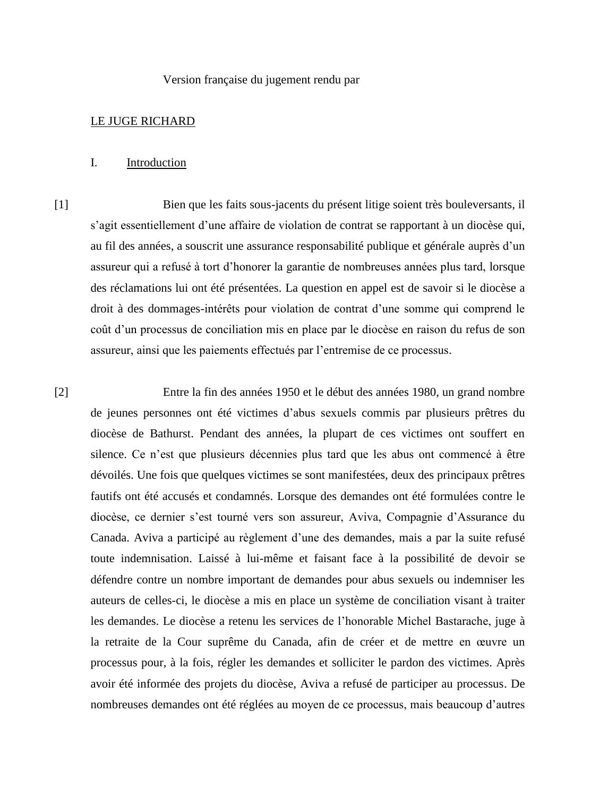#### Version française du jugement rendu par

### LE JUGE RICHARD

#### I. Introduction

[1] Bien que les faits sous-jacents du présent litige soient très bouleversants, il s'agit essentiellement d'une affaire de violation de contrat se rapportant à un diocèse qui, au fil des années, a souscrit une assurance responsabilité publique et générale auprès d'un assureur qui a refusé à tort d'honorer la garantie de nombreuses années plus tard, lorsque des réclamations lui ont été présentées. La question en appel est de savoir si le diocèse a droit à des dommages-intérêts pour violation de contrat d'une somme qui comprend le coût d'un processus de conciliation mis en place par le diocèse en raison du refus de son assureur, ainsi que les paiements effectués par l'entremise de ce processus.

[2] Entre la fin des années 1950 et le début des années 1980, un grand nombre de jeunes personnes ont été victimes d'abus sexuels commis par plusieurs prêtres du diocèse de Bathurst. Pendant des années, la plupart de ces victimes ont souffert en silence. Ce n'est que plusieurs décennies plus tard que les abus ont commencé à être dévoilés. Une fois que quelques victimes se sont manifestées, deux des principaux prêtres fautifs ont été accusés et condamnés. Lorsque des demandes ont été formulées contre le diocèse, ce dernier s'est tourné vers son assureur, Aviva, Compagnie d'Assurance du Canada. Aviva a participé au règlement d'une des demandes, mais a par la suite refusé toute indemnisation. Laissé à lui-même et faisant face à la possibilité de devoir se défendre contre un nombre important de demandes pour abus sexuels ou indemniser les auteurs de celles-ci, le diocèse a mis en place un système de conciliation visant à traiter les demandes. Le diocèse a retenu les services de l'honorable Michel Bastarache, juge à la retraite de la Cour suprême du Canada, afin de créer et de mettre en œuvre un processus pour, à la fois, régler les demandes et solliciter le pardon des victimes. Après avoir été informée des projets du diocèse, Aviva a refusé de participer au processus. De nombreuses demandes ont été réglées au moyen de ce processus, mais beaucoup d'autres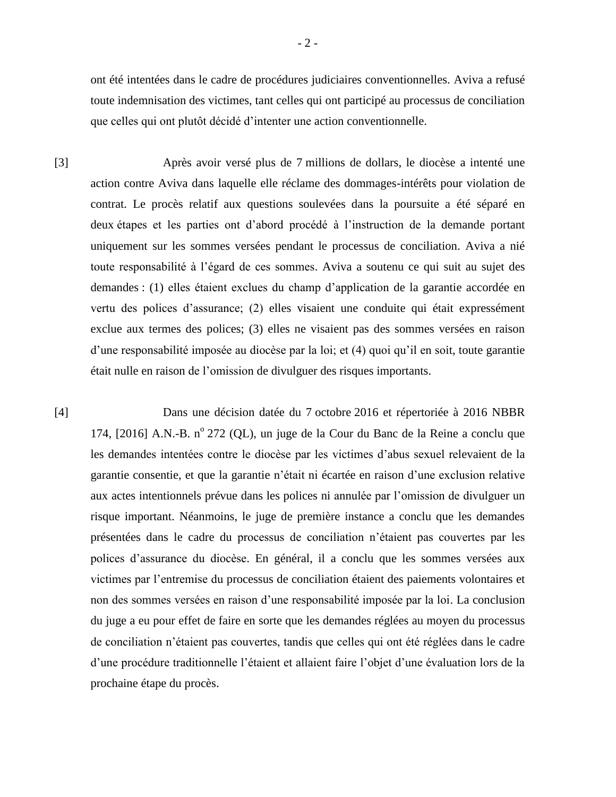ont été intentées dans le cadre de procédures judiciaires conventionnelles. Aviva a refusé toute indemnisation des victimes, tant celles qui ont participé au processus de conciliation que celles qui ont plutôt décidé d'intenter une action conventionnelle.

[3] Après avoir versé plus de 7 millions de dollars, le diocèse a intenté une action contre Aviva dans laquelle elle réclame des dommages-intérêts pour violation de contrat. Le procès relatif aux questions soulevées dans la poursuite a été séparé en deux étapes et les parties ont d'abord procédé à l'instruction de la demande portant uniquement sur les sommes versées pendant le processus de conciliation. Aviva a nié toute responsabilité à l'égard de ces sommes. Aviva a soutenu ce qui suit au sujet des demandes : (1) elles étaient exclues du champ d'application de la garantie accordée en vertu des polices d'assurance; (2) elles visaient une conduite qui était expressément exclue aux termes des polices; (3) elles ne visaient pas des sommes versées en raison d'une responsabilité imposée au diocèse par la loi; et (4) quoi qu'il en soit, toute garantie était nulle en raison de l'omission de divulguer des risques importants.

[4] Dans une décision datée du 7 octobre 2016 et répertoriée à 2016 NBBR 174, [2016] A.N.-B. nº 272 (QL), un juge de la Cour du Banc de la Reine a conclu que les demandes intentées contre le diocèse par les victimes d'abus sexuel relevaient de la garantie consentie, et que la garantie n'était ni écartée en raison d'une exclusion relative aux actes intentionnels prévue dans les polices ni annulée par l'omission de divulguer un risque important. Néanmoins, le juge de première instance a conclu que les demandes présentées dans le cadre du processus de conciliation n'étaient pas couvertes par les polices d'assurance du diocèse. En général, il a conclu que les sommes versées aux victimes par l'entremise du processus de conciliation étaient des paiements volontaires et non des sommes versées en raison d'une responsabilité imposée par la loi. La conclusion du juge a eu pour effet de faire en sorte que les demandes réglées au moyen du processus de conciliation n'étaient pas couvertes, tandis que celles qui ont été réglées dans le cadre d'une procédure traditionnelle l'étaient et allaient faire l'objet d'une évaluation lors de la prochaine étape du procès.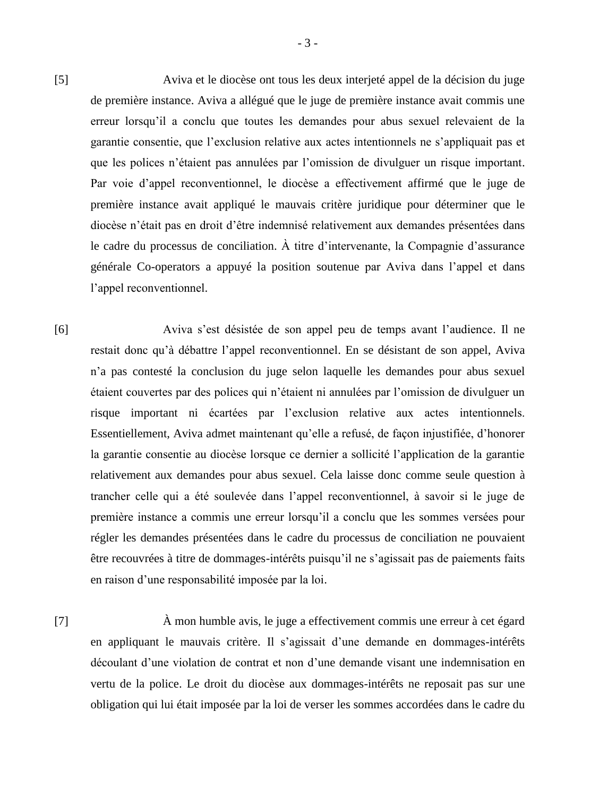[5] Aviva et le diocèse ont tous les deux interjeté appel de la décision du juge de première instance. Aviva a allégué que le juge de première instance avait commis une erreur lorsqu'il a conclu que toutes les demandes pour abus sexuel relevaient de la garantie consentie, que l'exclusion relative aux actes intentionnels ne s'appliquait pas et que les polices n'étaient pas annulées par l'omission de divulguer un risque important. Par voie d'appel reconventionnel, le diocèse a effectivement affirmé que le juge de première instance avait appliqué le mauvais critère juridique pour déterminer que le diocèse n'était pas en droit d'être indemnisé relativement aux demandes présentées dans le cadre du processus de conciliation. À titre d'intervenante, la Compagnie d'assurance générale Co-operators a appuyé la position soutenue par Aviva dans l'appel et dans l'appel reconventionnel.

[6] Aviva s'est désistée de son appel peu de temps avant l'audience. Il ne restait donc qu'à débattre l'appel reconventionnel. En se désistant de son appel, Aviva n'a pas contesté la conclusion du juge selon laquelle les demandes pour abus sexuel étaient couvertes par des polices qui n'étaient ni annulées par l'omission de divulguer un risque important ni écartées par l'exclusion relative aux actes intentionnels. Essentiellement, Aviva admet maintenant qu'elle a refusé, de façon injustifiée, d'honorer la garantie consentie au diocèse lorsque ce dernier a sollicité l'application de la garantie relativement aux demandes pour abus sexuel. Cela laisse donc comme seule question à trancher celle qui a été soulevée dans l'appel reconventionnel, à savoir si le juge de première instance a commis une erreur lorsqu'il a conclu que les sommes versées pour régler les demandes présentées dans le cadre du processus de conciliation ne pouvaient être recouvrées à titre de dommages-intérêts puisqu'il ne s'agissait pas de paiements faits en raison d'une responsabilité imposée par la loi.

[7] À mon humble avis, le juge a effectivement commis une erreur à cet égard en appliquant le mauvais critère. Il s'agissait d'une demande en dommages-intérêts découlant d'une violation de contrat et non d'une demande visant une indemnisation en vertu de la police. Le droit du diocèse aux dommages-intérêts ne reposait pas sur une obligation qui lui était imposée par la loi de verser les sommes accordées dans le cadre du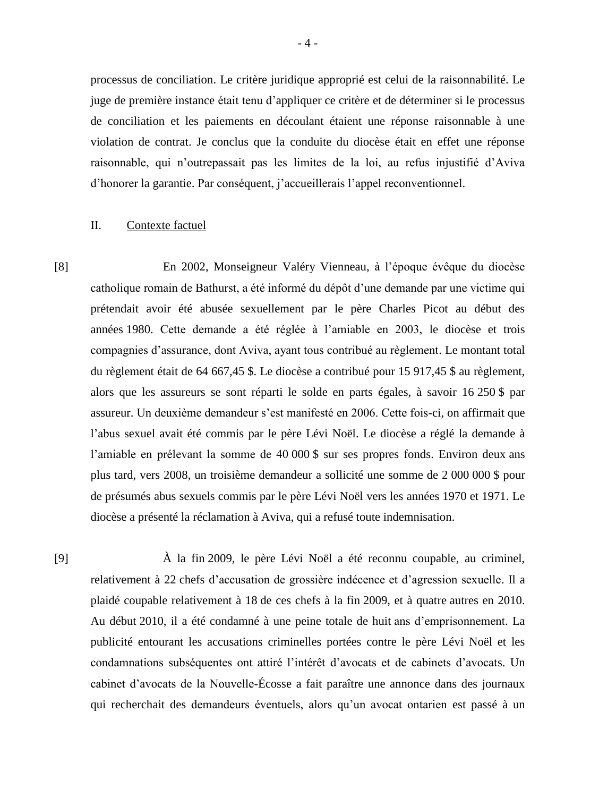processus de conciliation. Le critère juridique approprié est celui de la raisonnabilité. Le juge de première instance était tenu d'appliquer ce critère et de déterminer si le processus de conciliation et les paiements en découlant étaient une réponse raisonnable à une violation de contrat. Je conclus que la conduite du diocèse était en effet une réponse raisonnable, qui n'outrepassait pas les limites de la loi, au refus injustifié d'Aviva d'honorer la garantie. Par conséquent, j'accueillerais l'appel reconventionnel.

#### II. Contexte factuel

[8] En 2002, Monseigneur Valéry Vienneau, à l'époque évêque du diocèse catholique romain de Bathurst, a été informé du dépôt d'une demande par une victime qui prétendait avoir été abusée sexuellement par le père Charles Picot au début des années 1980. Cette demande a été réglée à l'amiable en 2003, le diocèse et trois compagnies d'assurance, dont Aviva, ayant tous contribué au règlement. Le montant total du règlement était de 64 667,45 \$. Le diocèse a contribué pour 15 917,45 \$ au règlement, alors que les assureurs se sont réparti le solde en parts égales, à savoir 16 250 \$ par assureur. Un deuxième demandeur s'est manifesté en 2006. Cette fois-ci, on affirmait que l'abus sexuel avait été commis par le père Lévi Noël. Le diocèse a réglé la demande à l'amiable en prélevant la somme de 40 000 \$ sur ses propres fonds. Environ deux ans plus tard, vers 2008, un troisième demandeur a sollicité une somme de 2 000 000 \$ pour de présumés abus sexuels commis par le père Lévi Noël vers les années 1970 et 1971. Le diocèse a présenté la réclamation à Aviva, qui a refusé toute indemnisation.

[9] À la fin 2009, le père Lévi Noël a été reconnu coupable, au criminel, relativement à 22 chefs d'accusation de grossière indécence et d'agression sexuelle. Il a plaidé coupable relativement à 18 de ces chefs à la fin 2009, et à quatre autres en 2010. Au début 2010, il a été condamné à une peine totale de huit ans d'emprisonnement. La publicité entourant les accusations criminelles portées contre le père Lévi Noël et les condamnations subséquentes ont attiré l'intérêt d'avocats et de cabinets d'avocats. Un cabinet d'avocats de la Nouvelle-Écosse a fait paraître une annonce dans des journaux qui recherchait des demandeurs éventuels, alors qu'un avocat ontarien est passé à un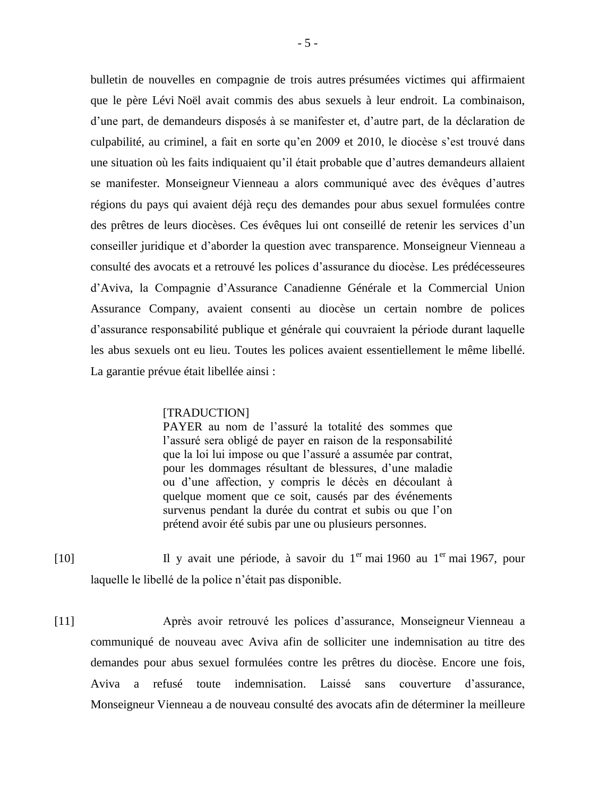bulletin de nouvelles en compagnie de trois autres présumées victimes qui affirmaient que le père Lévi Noël avait commis des abus sexuels à leur endroit. La combinaison, d'une part, de demandeurs disposés à se manifester et, d'autre part, de la déclaration de culpabilité, au criminel, a fait en sorte qu'en 2009 et 2010, le diocèse s'est trouvé dans une situation où les faits indiquaient qu'il était probable que d'autres demandeurs allaient se manifester. Monseigneur Vienneau a alors communiqué avec des évêques d'autres régions du pays qui avaient déjà reçu des demandes pour abus sexuel formulées contre des prêtres de leurs diocèses. Ces évêques lui ont conseillé de retenir les services d'un conseiller juridique et d'aborder la question avec transparence. Monseigneur Vienneau a consulté des avocats et a retrouvé les polices d'assurance du diocèse. Les prédécesseures d'Aviva, la Compagnie d'Assurance Canadienne Générale et la Commercial Union Assurance Company, avaient consenti au diocèse un certain nombre de polices d'assurance responsabilité publique et générale qui couvraient la période durant laquelle les abus sexuels ont eu lieu. Toutes les polices avaient essentiellement le même libellé. La garantie prévue était libellée ainsi :

#### [TRADUCTION]

PAYER au nom de l'assuré la totalité des sommes que l'assuré sera obligé de payer en raison de la responsabilité que la loi lui impose ou que l'assuré a assumée par contrat, pour les dommages résultant de blessures, d'une maladie ou d'une affection, y compris le décès en découlant à quelque moment que ce soit, causés par des événements survenus pendant la durée du contrat et subis ou que l'on prétend avoir été subis par une ou plusieurs personnes.

- [10] Il y avait une période, à savoir du 1<sup>er</sup> mai 1960 au 1<sup>er</sup> mai 1967, pour laquelle le libellé de la police n'était pas disponible.
- [11] Après avoir retrouvé les polices d'assurance, Monseigneur Vienneau a communiqué de nouveau avec Aviva afin de solliciter une indemnisation au titre des demandes pour abus sexuel formulées contre les prêtres du diocèse. Encore une fois, Aviva a refusé toute indemnisation. Laissé sans couverture d'assurance, Monseigneur Vienneau a de nouveau consulté des avocats afin de déterminer la meilleure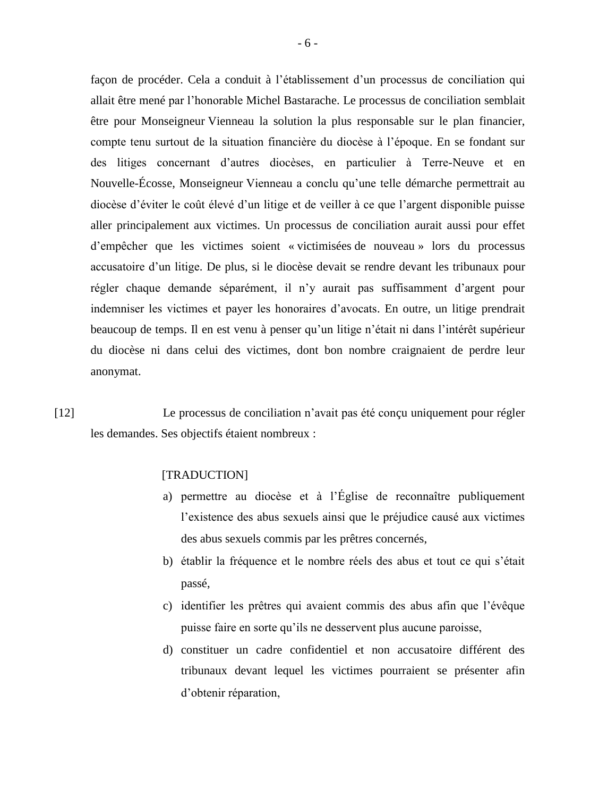façon de procéder. Cela a conduit à l'établissement d'un processus de conciliation qui allait être mené par l'honorable Michel Bastarache. Le processus de conciliation semblait être pour Monseigneur Vienneau la solution la plus responsable sur le plan financier, compte tenu surtout de la situation financière du diocèse à l'époque. En se fondant sur des litiges concernant d'autres diocèses, en particulier à Terre-Neuve et en Nouvelle-Écosse, Monseigneur Vienneau a conclu qu'une telle démarche permettrait au diocèse d'éviter le coût élevé d'un litige et de veiller à ce que l'argent disponible puisse aller principalement aux victimes. Un processus de conciliation aurait aussi pour effet d'empêcher que les victimes soient « victimisées de nouveau » lors du processus accusatoire d'un litige. De plus, si le diocèse devait se rendre devant les tribunaux pour régler chaque demande séparément, il n'y aurait pas suffisamment d'argent pour indemniser les victimes et payer les honoraires d'avocats. En outre, un litige prendrait beaucoup de temps. Il en est venu à penser qu'un litige n'était ni dans l'intérêt supérieur du diocèse ni dans celui des victimes, dont bon nombre craignaient de perdre leur anonymat.

[12] Le processus de conciliation n'avait pas été conçu uniquement pour régler les demandes. Ses objectifs étaient nombreux :

### [TRADUCTION]

- a) permettre au diocèse et à l'Église de reconnaître publiquement l'existence des abus sexuels ainsi que le préjudice causé aux victimes des abus sexuels commis par les prêtres concernés,
- b) établir la fréquence et le nombre réels des abus et tout ce qui s'était passé,
- c) identifier les prêtres qui avaient commis des abus afin que l'évêque puisse faire en sorte qu'ils ne desservent plus aucune paroisse,
- d) constituer un cadre confidentiel et non accusatoire différent des tribunaux devant lequel les victimes pourraient se présenter afin d'obtenir réparation,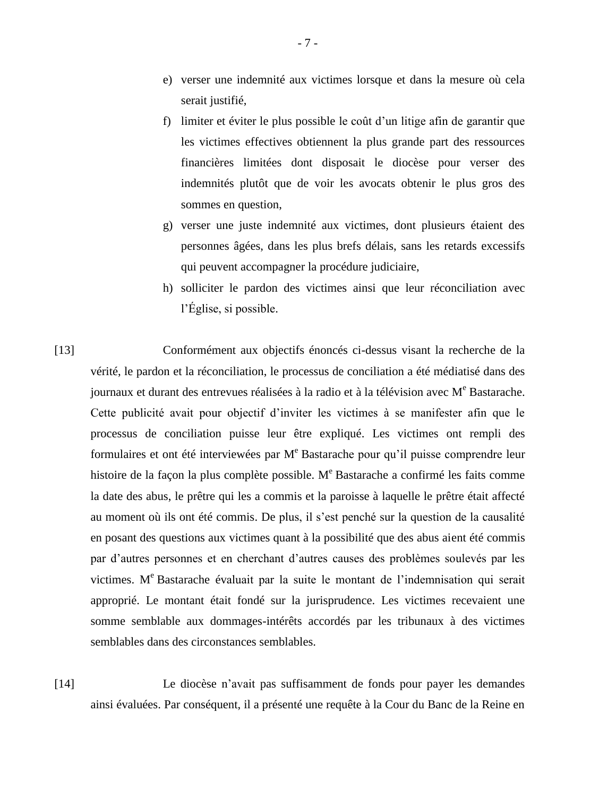- e) verser une indemnité aux victimes lorsque et dans la mesure où cela serait justifié,
- f) limiter et éviter le plus possible le coût d'un litige afin de garantir que les victimes effectives obtiennent la plus grande part des ressources financières limitées dont disposait le diocèse pour verser des indemnités plutôt que de voir les avocats obtenir le plus gros des sommes en question,
- g) verser une juste indemnité aux victimes, dont plusieurs étaient des personnes âgées, dans les plus brefs délais, sans les retards excessifs qui peuvent accompagner la procédure judiciaire,
- h) solliciter le pardon des victimes ainsi que leur réconciliation avec l'Église, si possible.

[13] Conformément aux objectifs énoncés ci-dessus visant la recherche de la vérité, le pardon et la réconciliation, le processus de conciliation a été médiatisé dans des journaux et durant des entrevues réalisées à la radio et à la télévision avec  $M<sup>e</sup>$  Bastarache. Cette publicité avait pour objectif d'inviter les victimes à se manifester afin que le processus de conciliation puisse leur être expliqué. Les victimes ont rempli des formulaires et ont été interviewées par  $M<sup>e</sup>$  Bastarache pour qu'il puisse comprendre leur histoire de la façon la plus complète possible. M<sup>e</sup> Bastarache a confirmé les faits comme la date des abus, le prêtre qui les a commis et la paroisse à laquelle le prêtre était affecté au moment où ils ont été commis. De plus, il s'est penché sur la question de la causalité en posant des questions aux victimes quant à la possibilité que des abus aient été commis par d'autres personnes et en cherchant d'autres causes des problèmes soulevés par les victimes. M <sup>e</sup> Bastarache évaluait par la suite le montant de l'indemnisation qui serait approprié. Le montant était fondé sur la jurisprudence. Les victimes recevaient une somme semblable aux dommages-intérêts accordés par les tribunaux à des victimes semblables dans des circonstances semblables.

[14] Le diocèse n'avait pas suffisamment de fonds pour payer les demandes ainsi évaluées. Par conséquent, il a présenté une requête à la Cour du Banc de la Reine en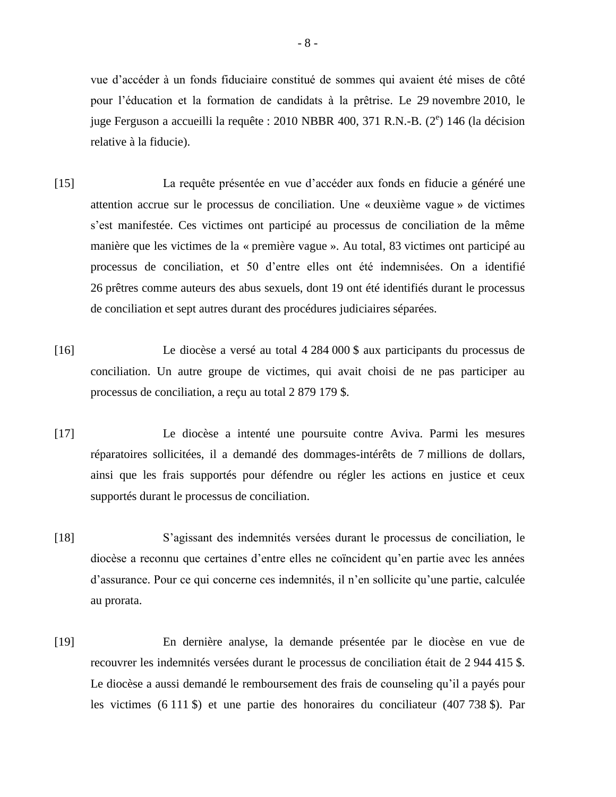vue d'accéder à un fonds fiduciaire constitué de sommes qui avaient été mises de côté pour l'éducation et la formation de candidats à la prêtrise. Le 29 novembre 2010, le juge Ferguson a accueilli la requête : 2010 NBBR 400, 371 R.N.-B. (2<sup>e</sup>) 146 (la décision relative à la fiducie).

- [15] La requête présentée en vue d'accéder aux fonds en fiducie a généré une attention accrue sur le processus de conciliation. Une « deuxième vague » de victimes s'est manifestée. Ces victimes ont participé au processus de conciliation de la même manière que les victimes de la « première vague ». Au total, 83 victimes ont participé au processus de conciliation, et 50 d'entre elles ont été indemnisées. On a identifié 26 prêtres comme auteurs des abus sexuels, dont 19 ont été identifiés durant le processus de conciliation et sept autres durant des procédures judiciaires séparées.
- [16] Le diocèse a versé au total 4 284 000 \$ aux participants du processus de conciliation. Un autre groupe de victimes, qui avait choisi de ne pas participer au processus de conciliation, a reçu au total 2 879 179 \$.
- [17] Le diocèse a intenté une poursuite contre Aviva. Parmi les mesures réparatoires sollicitées, il a demandé des dommages-intérêts de 7 millions de dollars, ainsi que les frais supportés pour défendre ou régler les actions en justice et ceux supportés durant le processus de conciliation.
- [18] S'agissant des indemnités versées durant le processus de conciliation, le diocèse a reconnu que certaines d'entre elles ne coïncident qu'en partie avec les années d'assurance. Pour ce qui concerne ces indemnités, il n'en sollicite qu'une partie, calculée au prorata.
- [19] En dernière analyse, la demande présentée par le diocèse en vue de recouvrer les indemnités versées durant le processus de conciliation était de 2 944 415 \$. Le diocèse a aussi demandé le remboursement des frais de counseling qu'il a payés pour les victimes (6 111 \$) et une partie des honoraires du conciliateur (407 738 \$). Par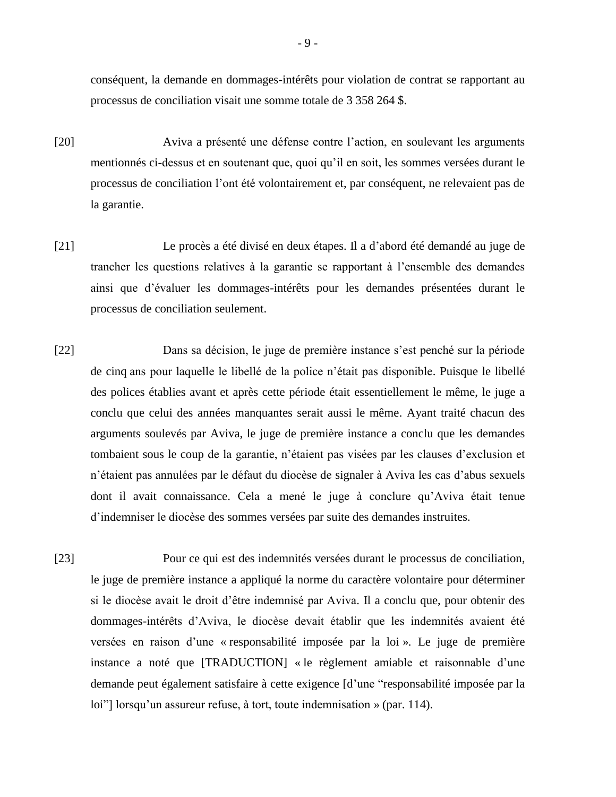conséquent, la demande en dommages-intérêts pour violation de contrat se rapportant au processus de conciliation visait une somme totale de 3 358 264 \$.

- [20] Aviva a présenté une défense contre l'action, en soulevant les arguments mentionnés ci-dessus et en soutenant que, quoi qu'il en soit, les sommes versées durant le processus de conciliation l'ont été volontairement et, par conséquent, ne relevaient pas de la garantie.
- [21] Le procès a été divisé en deux étapes. Il a d'abord été demandé au juge de trancher les questions relatives à la garantie se rapportant à l'ensemble des demandes ainsi que d'évaluer les dommages-intérêts pour les demandes présentées durant le processus de conciliation seulement.
- [22] Dans sa décision, le juge de première instance s'est penché sur la période de cinq ans pour laquelle le libellé de la police n'était pas disponible. Puisque le libellé des polices établies avant et après cette période était essentiellement le même, le juge a conclu que celui des années manquantes serait aussi le même. Ayant traité chacun des arguments soulevés par Aviva, le juge de première instance a conclu que les demandes tombaient sous le coup de la garantie, n'étaient pas visées par les clauses d'exclusion et n'étaient pas annulées par le défaut du diocèse de signaler à Aviva les cas d'abus sexuels dont il avait connaissance. Cela a mené le juge à conclure qu'Aviva était tenue d'indemniser le diocèse des sommes versées par suite des demandes instruites.
- [23] Pour ce qui est des indemnités versées durant le processus de conciliation, le juge de première instance a appliqué la norme du caractère volontaire pour déterminer si le diocèse avait le droit d'être indemnisé par Aviva. Il a conclu que, pour obtenir des dommages-intérêts d'Aviva, le diocèse devait établir que les indemnités avaient été versées en raison d'une « responsabilité imposée par la loi ». Le juge de première instance a noté que [TRADUCTION] « le règlement amiable et raisonnable d'une demande peut également satisfaire à cette exigence [d'une "responsabilité imposée par la loi"] lorsqu'un assureur refuse, à tort, toute indemnisation » (par. 114).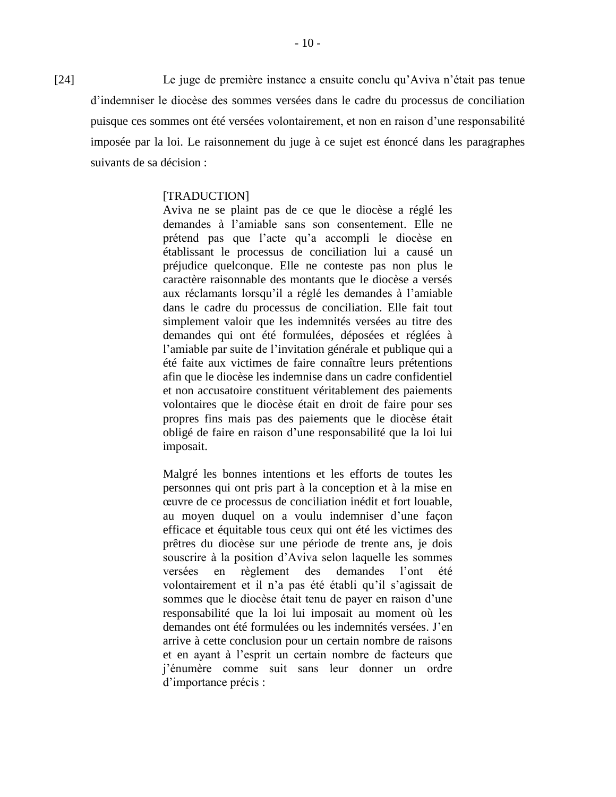[24] Le juge de première instance a ensuite conclu qu'Aviva n'était pas tenue d'indemniser le diocèse des sommes versées dans le cadre du processus de conciliation puisque ces sommes ont été versées volontairement, et non en raison d'une responsabilité imposée par la loi. Le raisonnement du juge à ce sujet est énoncé dans les paragraphes suivants de sa décision :

## [TRADUCTION]

Aviva ne se plaint pas de ce que le diocèse a réglé les demandes à l'amiable sans son consentement. Elle ne prétend pas que l'acte qu'a accompli le diocèse en établissant le processus de conciliation lui a causé un préjudice quelconque. Elle ne conteste pas non plus le caractère raisonnable des montants que le diocèse a versés aux réclamants lorsqu'il a réglé les demandes à l'amiable dans le cadre du processus de conciliation. Elle fait tout simplement valoir que les indemnités versées au titre des demandes qui ont été formulées, déposées et réglées à l'amiable par suite de l'invitation générale et publique qui a été faite aux victimes de faire connaître leurs prétentions afin que le diocèse les indemnise dans un cadre confidentiel et non accusatoire constituent véritablement des paiements volontaires que le diocèse était en droit de faire pour ses propres fins mais pas des paiements que le diocèse était obligé de faire en raison d'une responsabilité que la loi lui imposait.

Malgré les bonnes intentions et les efforts de toutes les personnes qui ont pris part à la conception et à la mise en œuvre de ce processus de conciliation inédit et fort louable, au moyen duquel on a voulu indemniser d'une façon efficace et équitable tous ceux qui ont été les victimes des prêtres du diocèse sur une période de trente ans, je dois souscrire à la position d'Aviva selon laquelle les sommes versées en règlement des demandes l'ont été volontairement et il n'a pas été établi qu'il s'agissait de sommes que le diocèse était tenu de payer en raison d'une responsabilité que la loi lui imposait au moment où les demandes ont été formulées ou les indemnités versées. J'en arrive à cette conclusion pour un certain nombre de raisons et en ayant à l'esprit un certain nombre de facteurs que j'énumère comme suit sans leur donner un ordre d'importance précis :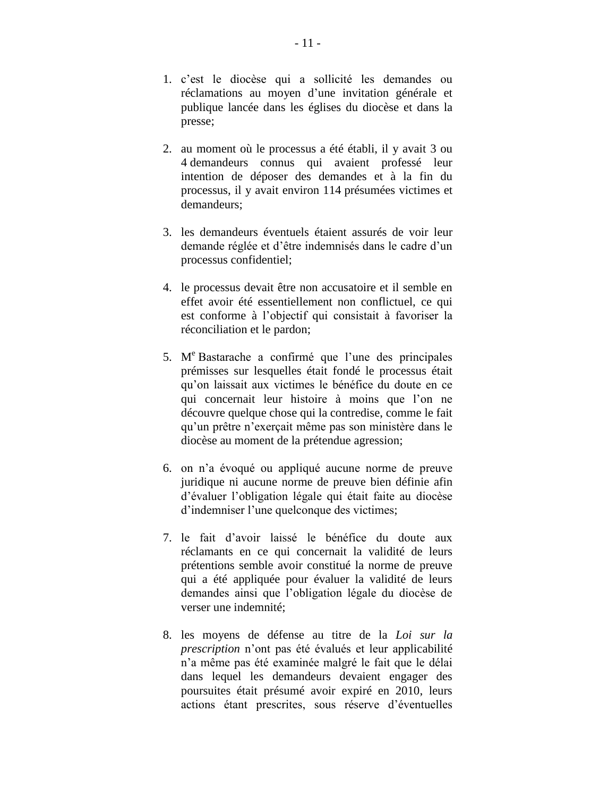- 1. c'est le diocèse qui a sollicité les demandes ou réclamations au moyen d'une invitation générale et publique lancée dans les églises du diocèse et dans la presse;
- 2. au moment où le processus a été établi, il y avait 3 ou 4 demandeurs connus qui avaient professé leur intention de déposer des demandes et à la fin du processus, il y avait environ 114 présumées victimes et demandeurs;
- 3. les demandeurs éventuels étaient assurés de voir leur demande réglée et d'être indemnisés dans le cadre d'un processus confidentiel;
- 4. le processus devait être non accusatoire et il semble en effet avoir été essentiellement non conflictuel, ce qui est conforme à l'objectif qui consistait à favoriser la réconciliation et le pardon;
- 5. M <sup>e</sup> Bastarache a confirmé que l'une des principales prémisses sur lesquelles était fondé le processus était qu'on laissait aux victimes le bénéfice du doute en ce qui concernait leur histoire à moins que l'on ne découvre quelque chose qui la contredise, comme le fait qu'un prêtre n'exerçait même pas son ministère dans le diocèse au moment de la prétendue agression;
- 6. on n'a évoqué ou appliqué aucune norme de preuve juridique ni aucune norme de preuve bien définie afin d'évaluer l'obligation légale qui était faite au diocèse d'indemniser l'une quelconque des victimes;
- 7. le fait d'avoir laissé le bénéfice du doute aux réclamants en ce qui concernait la validité de leurs prétentions semble avoir constitué la norme de preuve qui a été appliquée pour évaluer la validité de leurs demandes ainsi que l'obligation légale du diocèse de verser une indemnité;
- 8. les moyens de défense au titre de la *Loi sur la prescription* n'ont pas été évalués et leur applicabilité n'a même pas été examinée malgré le fait que le délai dans lequel les demandeurs devaient engager des poursuites était présumé avoir expiré en 2010, leurs actions étant prescrites, sous réserve d'éventuelles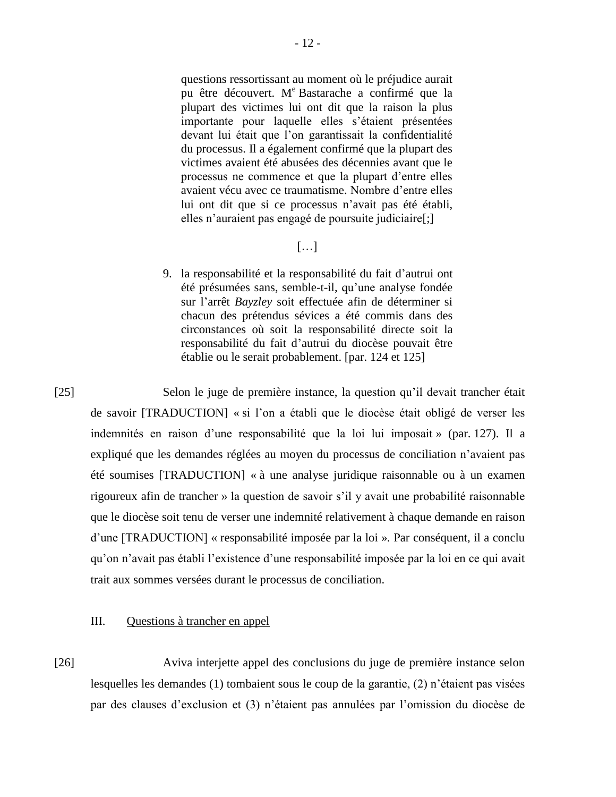questions ressortissant au moment où le préjudice aurait pu être découvert. M <sup>e</sup> Bastarache a confirmé que la plupart des victimes lui ont dit que la raison la plus importante pour laquelle elles s'étaient présentées devant lui était que l'on garantissait la confidentialité du processus. Il a également confirmé que la plupart des victimes avaient été abusées des décennies avant que le processus ne commence et que la plupart d'entre elles avaient vécu avec ce traumatisme. Nombre d'entre elles lui ont dit que si ce processus n'avait pas été établi, elles n'auraient pas engagé de poursuite judiciaire[;]

# $[...]$

9. la responsabilité et la responsabilité du fait d'autrui ont été présumées sans, semble-t-il, qu'une analyse fondée sur l'arrêt *Bayzley* soit effectuée afin de déterminer si chacun des prétendus sévices a été commis dans des circonstances où soit la responsabilité directe soit la responsabilité du fait d'autrui du diocèse pouvait être établie ou le serait probablement. [par. 124 et 125]

[25] Selon le juge de première instance, la question qu'il devait trancher était de savoir [TRADUCTION] « si l'on a établi que le diocèse était obligé de verser les indemnités en raison d'une responsabilité que la loi lui imposait » (par. 127). Il a expliqué que les demandes réglées au moyen du processus de conciliation n'avaient pas été soumises [TRADUCTION] « à une analyse juridique raisonnable ou à un examen rigoureux afin de trancher » la question de savoir s'il y avait une probabilité raisonnable que le diocèse soit tenu de verser une indemnité relativement à chaque demande en raison d'une [TRADUCTION] « responsabilité imposée par la loi ». Par conséquent, il a conclu qu'on n'avait pas établi l'existence d'une responsabilité imposée par la loi en ce qui avait trait aux sommes versées durant le processus de conciliation.

# III. Questions à trancher en appel

[26] Aviva interjette appel des conclusions du juge de première instance selon lesquelles les demandes (1) tombaient sous le coup de la garantie, (2) n'étaient pas visées par des clauses d'exclusion et (3) n'étaient pas annulées par l'omission du diocèse de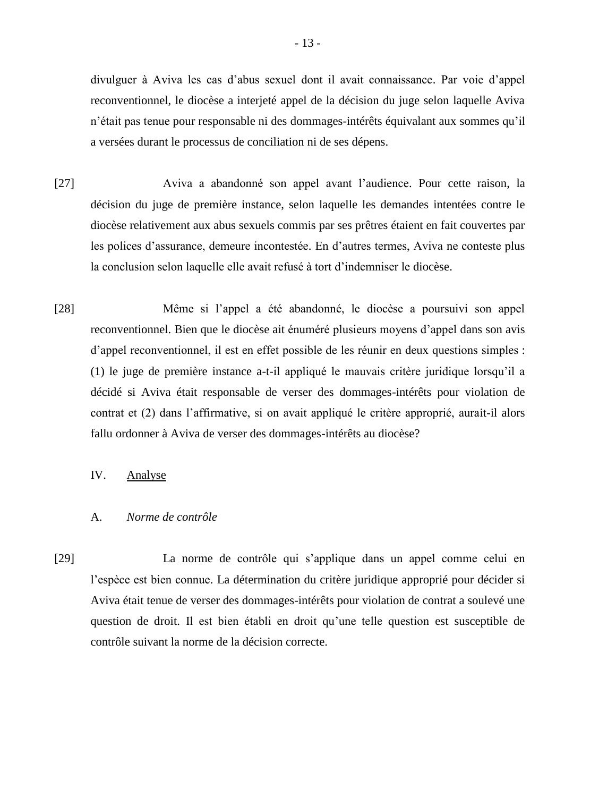divulguer à Aviva les cas d'abus sexuel dont il avait connaissance. Par voie d'appel reconventionnel, le diocèse a interjeté appel de la décision du juge selon laquelle Aviva n'était pas tenue pour responsable ni des dommages-intérêts équivalant aux sommes qu'il a versées durant le processus de conciliation ni de ses dépens.

- [27] Aviva a abandonné son appel avant l'audience. Pour cette raison, la décision du juge de première instance, selon laquelle les demandes intentées contre le diocèse relativement aux abus sexuels commis par ses prêtres étaient en fait couvertes par les polices d'assurance, demeure incontestée. En d'autres termes, Aviva ne conteste plus la conclusion selon laquelle elle avait refusé à tort d'indemniser le diocèse.
- [28] Même si l'appel a été abandonné, le diocèse a poursuivi son appel reconventionnel. Bien que le diocèse ait énuméré plusieurs moyens d'appel dans son avis d'appel reconventionnel, il est en effet possible de les réunir en deux questions simples : (1) le juge de première instance a-t-il appliqué le mauvais critère juridique lorsqu'il a décidé si Aviva était responsable de verser des dommages-intérêts pour violation de contrat et (2) dans l'affirmative, si on avait appliqué le critère approprié, aurait-il alors fallu ordonner à Aviva de verser des dommages-intérêts au diocèse?

#### IV. Analyse

### A. *Norme de contrôle*

[29] La norme de contrôle qui s'applique dans un appel comme celui en l'espèce est bien connue. La détermination du critère juridique approprié pour décider si Aviva était tenue de verser des dommages-intérêts pour violation de contrat a soulevé une question de droit. Il est bien établi en droit qu'une telle question est susceptible de contrôle suivant la norme de la décision correcte.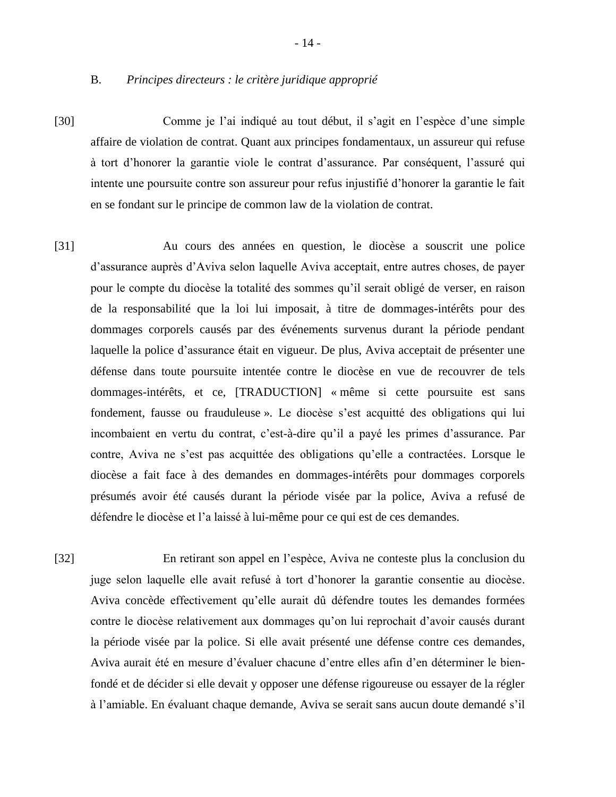B. *Principes directeurs : le critère juridique approprié*

- [30] Comme je l'ai indiqué au tout début, il s'agit en l'espèce d'une simple affaire de violation de contrat. Quant aux principes fondamentaux, un assureur qui refuse à tort d'honorer la garantie viole le contrat d'assurance. Par conséquent, l'assuré qui intente une poursuite contre son assureur pour refus injustifié d'honorer la garantie le fait en se fondant sur le principe de common law de la violation de contrat.
- [31] Au cours des années en question, le diocèse a souscrit une police d'assurance auprès d'Aviva selon laquelle Aviva acceptait, entre autres choses, de payer pour le compte du diocèse la totalité des sommes qu'il serait obligé de verser, en raison de la responsabilité que la loi lui imposait, à titre de dommages-intérêts pour des dommages corporels causés par des événements survenus durant la période pendant laquelle la police d'assurance était en vigueur. De plus, Aviva acceptait de présenter une défense dans toute poursuite intentée contre le diocèse en vue de recouvrer de tels dommages-intérêts, et ce, [TRADUCTION] « même si cette poursuite est sans fondement, fausse ou frauduleuse ». Le diocèse s'est acquitté des obligations qui lui incombaient en vertu du contrat, c'est-à-dire qu'il a payé les primes d'assurance. Par contre, Aviva ne s'est pas acquittée des obligations qu'elle a contractées. Lorsque le diocèse a fait face à des demandes en dommages-intérêts pour dommages corporels présumés avoir été causés durant la période visée par la police, Aviva a refusé de défendre le diocèse et l'a laissé à lui-même pour ce qui est de ces demandes.
- [32] En retirant son appel en l'espèce, Aviva ne conteste plus la conclusion du juge selon laquelle elle avait refusé à tort d'honorer la garantie consentie au diocèse. Aviva concède effectivement qu'elle aurait dû défendre toutes les demandes formées contre le diocèse relativement aux dommages qu'on lui reprochait d'avoir causés durant la période visée par la police. Si elle avait présenté une défense contre ces demandes, Aviva aurait été en mesure d'évaluer chacune d'entre elles afin d'en déterminer le bienfondé et de décider si elle devait y opposer une défense rigoureuse ou essayer de la régler à l'amiable. En évaluant chaque demande, Aviva se serait sans aucun doute demandé s'il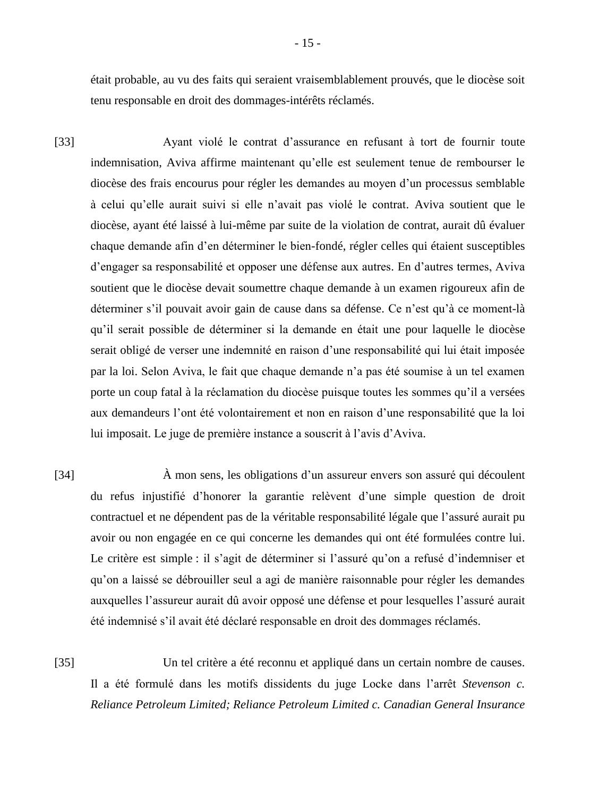était probable, au vu des faits qui seraient vraisemblablement prouvés, que le diocèse soit tenu responsable en droit des dommages-intérêts réclamés.

- [33] Ayant violé le contrat d'assurance en refusant à tort de fournir toute indemnisation, Aviva affirme maintenant qu'elle est seulement tenue de rembourser le diocèse des frais encourus pour régler les demandes au moyen d'un processus semblable à celui qu'elle aurait suivi si elle n'avait pas violé le contrat. Aviva soutient que le diocèse, ayant été laissé à lui-même par suite de la violation de contrat, aurait dû évaluer chaque demande afin d'en déterminer le bien-fondé, régler celles qui étaient susceptibles d'engager sa responsabilité et opposer une défense aux autres. En d'autres termes, Aviva soutient que le diocèse devait soumettre chaque demande à un examen rigoureux afin de déterminer s'il pouvait avoir gain de cause dans sa défense. Ce n'est qu'à ce moment-là qu'il serait possible de déterminer si la demande en était une pour laquelle le diocèse serait obligé de verser une indemnité en raison d'une responsabilité qui lui était imposée par la loi. Selon Aviva, le fait que chaque demande n'a pas été soumise à un tel examen porte un coup fatal à la réclamation du diocèse puisque toutes les sommes qu'il a versées aux demandeurs l'ont été volontairement et non en raison d'une responsabilité que la loi lui imposait. Le juge de première instance a souscrit à l'avis d'Aviva.
- [34] À mon sens, les obligations d'un assureur envers son assuré qui découlent du refus injustifié d'honorer la garantie relèvent d'une simple question de droit contractuel et ne dépendent pas de la véritable responsabilité légale que l'assuré aurait pu avoir ou non engagée en ce qui concerne les demandes qui ont été formulées contre lui. Le critère est simple : il s'agit de déterminer si l'assuré qu'on a refusé d'indemniser et qu'on a laissé se débrouiller seul a agi de manière raisonnable pour régler les demandes auxquelles l'assureur aurait dû avoir opposé une défense et pour lesquelles l'assuré aurait été indemnisé s'il avait été déclaré responsable en droit des dommages réclamés.

[35] Un tel critère a été reconnu et appliqué dans un certain nombre de causes. Il a été formulé dans les motifs dissidents du juge Locke dans l'arrêt *Stevenson c. Reliance Petroleum Limited; Reliance Petroleum Limited c. Canadian General Insurance*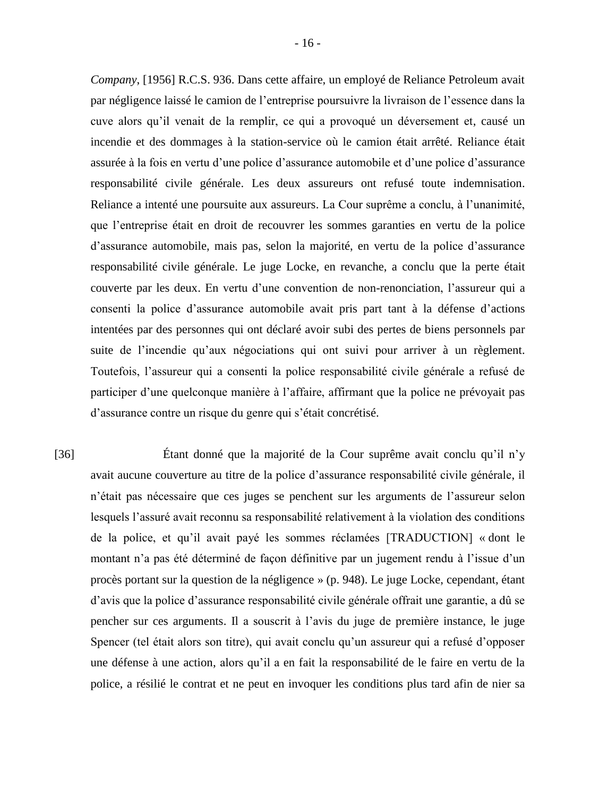*Company*, [1956] R.C.S. 936. Dans cette affaire, un employé de Reliance Petroleum avait par négligence laissé le camion de l'entreprise poursuivre la livraison de l'essence dans la cuve alors qu'il venait de la remplir, ce qui a provoqué un déversement et, causé un incendie et des dommages à la station-service où le camion était arrêté. Reliance était assurée à la fois en vertu d'une police d'assurance automobile et d'une police d'assurance responsabilité civile générale. Les deux assureurs ont refusé toute indemnisation. Reliance a intenté une poursuite aux assureurs. La Cour suprême a conclu, à l'unanimité, que l'entreprise était en droit de recouvrer les sommes garanties en vertu de la police d'assurance automobile, mais pas, selon la majorité, en vertu de la police d'assurance responsabilité civile générale. Le juge Locke, en revanche, a conclu que la perte était couverte par les deux. En vertu d'une convention de non-renonciation, l'assureur qui a consenti la police d'assurance automobile avait pris part tant à la défense d'actions intentées par des personnes qui ont déclaré avoir subi des pertes de biens personnels par suite de l'incendie qu'aux négociations qui ont suivi pour arriver à un règlement. Toutefois, l'assureur qui a consenti la police responsabilité civile générale a refusé de participer d'une quelconque manière à l'affaire, affirmant que la police ne prévoyait pas d'assurance contre un risque du genre qui s'était concrétisé.

[36] Étant donné que la majorité de la Cour suprême avait conclu qu'il n'y avait aucune couverture au titre de la police d'assurance responsabilité civile générale, il n'était pas nécessaire que ces juges se penchent sur les arguments de l'assureur selon lesquels l'assuré avait reconnu sa responsabilité relativement à la violation des conditions de la police, et qu'il avait payé les sommes réclamées [TRADUCTION] « dont le montant n'a pas été déterminé de façon définitive par un jugement rendu à l'issue d'un procès portant sur la question de la négligence » (p. 948). Le juge Locke, cependant, étant d'avis que la police d'assurance responsabilité civile générale offrait une garantie, a dû se pencher sur ces arguments. Il a souscrit à l'avis du juge de première instance, le juge Spencer (tel était alors son titre), qui avait conclu qu'un assureur qui a refusé d'opposer une défense à une action, alors qu'il a en fait la responsabilité de le faire en vertu de la police, a résilié le contrat et ne peut en invoquer les conditions plus tard afin de nier sa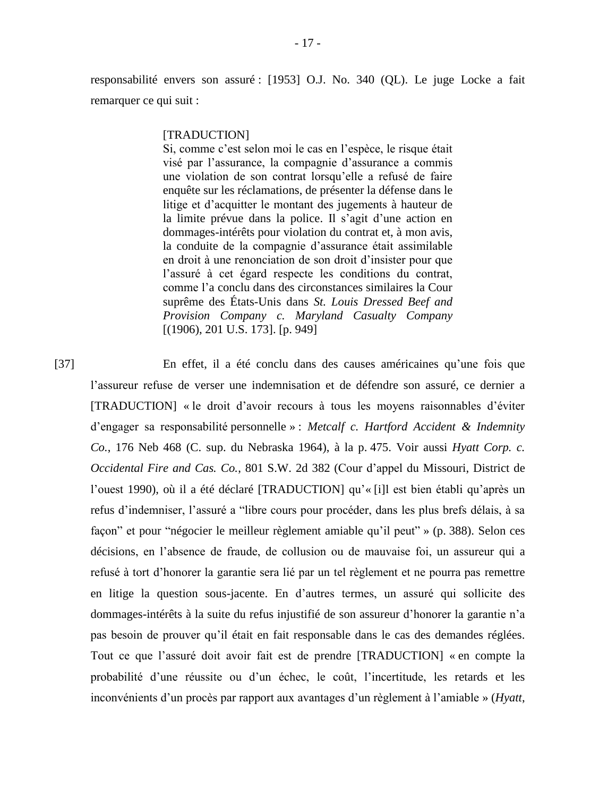responsabilité envers son assuré : [1953] O.J. No. 340 (QL). Le juge Locke a fait remarquer ce qui suit :

#### [TRADUCTION]

Si, comme c'est selon moi le cas en l'espèce, le risque était visé par l'assurance, la compagnie d'assurance a commis une violation de son contrat lorsqu'elle a refusé de faire enquête sur les réclamations, de présenter la défense dans le litige et d'acquitter le montant des jugements à hauteur de la limite prévue dans la police. Il s'agit d'une action en dommages-intérêts pour violation du contrat et, à mon avis, la conduite de la compagnie d'assurance était assimilable en droit à une renonciation de son droit d'insister pour que l'assuré à cet égard respecte les conditions du contrat, comme l'a conclu dans des circonstances similaires la Cour suprême des États-Unis dans *St. Louis Dressed Beef and Provision Company c. Maryland Casualty Company* [(1906), 201 U.S. 173]. [p. 949]

[37] En effet, il a été conclu dans des causes américaines qu'une fois que l'assureur refuse de verser une indemnisation et de défendre son assuré, ce dernier a [TRADUCTION] « le droit d'avoir recours à tous les moyens raisonnables d'éviter d'engager sa responsabilité personnelle » : *Metcalf c. Hartford Accident & Indemnity Co.*, 176 Neb 468 (C. sup. du Nebraska 1964), à la p. 475. Voir aussi *Hyatt Corp. c. Occidental Fire and Cas. Co.*, 801 S.W. 2d 382 (Cour d'appel du Missouri, District de l'ouest 1990), où il a été déclaré [TRADUCTION] qu'« [i]l est bien établi qu'après un refus d'indemniser, l'assuré a "libre cours pour procéder, dans les plus brefs délais, à sa façon" et pour "négocier le meilleur règlement amiable qu'il peut" » (p. 388). Selon ces décisions, en l'absence de fraude, de collusion ou de mauvaise foi, un assureur qui a refusé à tort d'honorer la garantie sera lié par un tel règlement et ne pourra pas remettre en litige la question sous-jacente. En d'autres termes, un assuré qui sollicite des dommages-intérêts à la suite du refus injustifié de son assureur d'honorer la garantie n'a pas besoin de prouver qu'il était en fait responsable dans le cas des demandes réglées. Tout ce que l'assuré doit avoir fait est de prendre [TRADUCTION] « en compte la probabilité d'une réussite ou d'un échec, le coût, l'incertitude, les retards et les inconvénients d'un procès par rapport aux avantages d'un règlement à l'amiable » (*Hyatt*,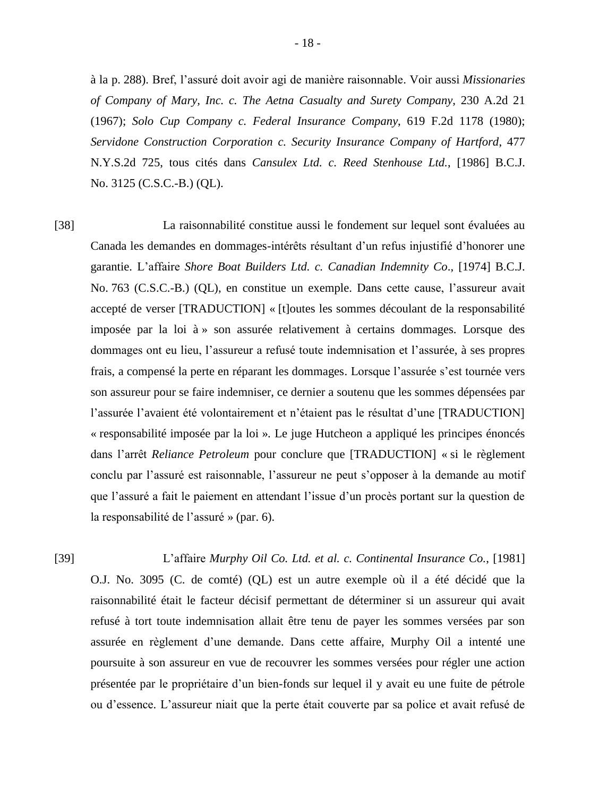à la p. 288). Bref, l'assuré doit avoir agi de manière raisonnable. Voir aussi *Missionaries of Company of Mary, Inc. c. The Aetna Casualty and Surety Company*, 230 A.2d 21 (1967); *Solo Cup Company c. Federal Insurance Company*, 619 F.2d 1178 (1980); *Servidone Construction Corporation c. Security Insurance Company of Hartford*, 477 N.Y.S.2d 725, tous cités dans *Cansulex Ltd. c. Reed Stenhouse Ltd.*, [1986] B.C.J. No. 3125 (C.S.C.-B.) (QL).

[38] La raisonnabilité constitue aussi le fondement sur lequel sont évaluées au Canada les demandes en dommages-intérêts résultant d'un refus injustifié d'honorer une garantie. L'affaire *Shore Boat Builders Ltd. c. Canadian Indemnity Co*., [1974] B.C.J. No. 763 (C.S.C.-B.) (QL), en constitue un exemple. Dans cette cause, l'assureur avait accepté de verser [TRADUCTION] « [t]outes les sommes découlant de la responsabilité imposée par la loi à » son assurée relativement à certains dommages. Lorsque des dommages ont eu lieu, l'assureur a refusé toute indemnisation et l'assurée, à ses propres frais, a compensé la perte en réparant les dommages. Lorsque l'assurée s'est tournée vers son assureur pour se faire indemniser, ce dernier a soutenu que les sommes dépensées par l'assurée l'avaient été volontairement et n'étaient pas le résultat d'une [TRADUCTION] « responsabilité imposée par la loi ». Le juge Hutcheon a appliqué les principes énoncés dans l'arrêt *Reliance Petroleum* pour conclure que [TRADUCTION] « si le règlement conclu par l'assuré est raisonnable, l'assureur ne peut s'opposer à la demande au motif que l'assuré a fait le paiement en attendant l'issue d'un procès portant sur la question de la responsabilité de l'assuré » (par. 6).

[39] L'affaire *Murphy Oil Co. Ltd. et al. c. Continental Insurance Co.*, [1981] O.J. No. 3095 (C. de comté) (QL) est un autre exemple où il a été décidé que la raisonnabilité était le facteur décisif permettant de déterminer si un assureur qui avait refusé à tort toute indemnisation allait être tenu de payer les sommes versées par son assurée en règlement d'une demande. Dans cette affaire, Murphy Oil a intenté une poursuite à son assureur en vue de recouvrer les sommes versées pour régler une action présentée par le propriétaire d'un bien-fonds sur lequel il y avait eu une fuite de pétrole ou d'essence. L'assureur niait que la perte était couverte par sa police et avait refusé de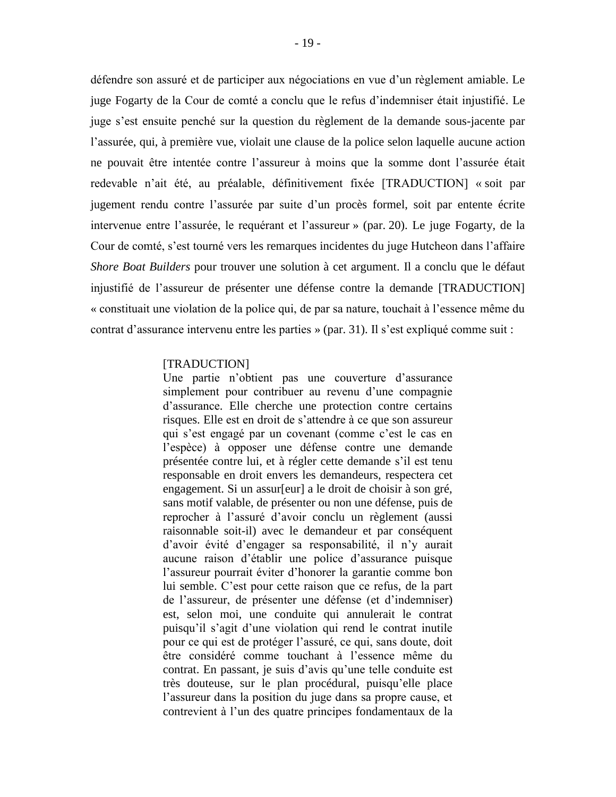défendre son assuré et de participer aux négociations en vue d'un règlement amiable. Le juge Fogarty de la Cour de comté a conclu que le refus d'indemniser était injustifié. Le juge s'est ensuite penché sur la question du règlement de la demande sous-jacente par l'assurée, qui, à première vue, violait une clause de la police selon laquelle aucune action ne pouvait être intentée contre l'assureur à moins que la somme dont l'assurée était redevable n'ait été, au préalable, définitivement fixée [TRADUCTION] « soit par jugement rendu contre l'assurée par suite d'un procès formel, soit par entente écrite intervenue entre l'assurée, le requérant et l'assureur » (par. 20). Le juge Fogarty, de la Cour de comté, s'est tourné vers les remarques incidentes du juge Hutcheon dans l'affaire *Shore Boat Builders* pour trouver une solution à cet argument. Il a conclu que le défaut injustifié de l'assureur de présenter une défense contre la demande [TRADUCTION] « constituait une violation de la police qui, de par sa nature, touchait à l'essence même du contrat d'assurance intervenu entre les parties » (par. 31). Il s'est expliqué comme suit :

#### [TRADUCTION]

Une partie n'obtient pas une couverture d'assurance simplement pour contribuer au revenu d'une compagnie d'assurance. Elle cherche une protection contre certains risques. Elle est en droit de s'attendre à ce que son assureur qui s'est engagé par un covenant (comme c'est le cas en l'espèce) à opposer une défense contre une demande présentée contre lui, et à régler cette demande s'il est tenu responsable en droit envers les demandeurs, respectera cet engagement. Si un assur[eur] a le droit de choisir à son gré, sans motif valable, de présenter ou non une défense, puis de reprocher à l'assuré d'avoir conclu un règlement (aussi raisonnable soit-il) avec le demandeur et par conséquent d'avoir évité d'engager sa responsabilité, il n'y aurait aucune raison d'établir une police d'assurance puisque l'assureur pourrait éviter d'honorer la garantie comme bon lui semble. C'est pour cette raison que ce refus, de la part de l'assureur, de présenter une défense (et d'indemniser) est, selon moi, une conduite qui annulerait le contrat puisqu'il s'agit d'une violation qui rend le contrat inutile pour ce qui est de protéger l'assuré, ce qui, sans doute, doit être considéré comme touchant à l'essence même du contrat. En passant, je suis d'avis qu'une telle conduite est très douteuse, sur le plan procédural, puisqu'elle place l'assureur dans la position du juge dans sa propre cause, et contrevient à l'un des quatre principes fondamentaux de la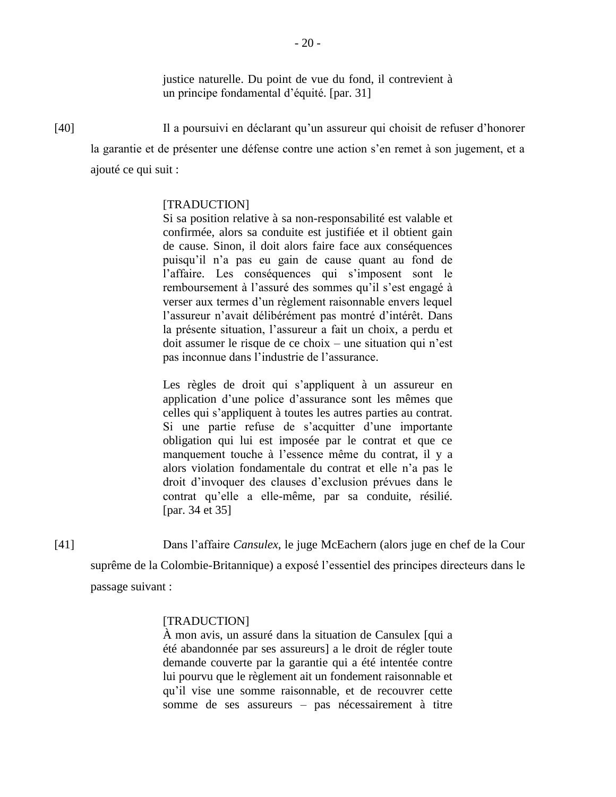justice naturelle. Du point de vue du fond, il contrevient à un principe fondamental d'équité. [par. 31]

[40] Il a poursuivi en déclarant qu'un assureur qui choisit de refuser d'honorer la garantie et de présenter une défense contre une action s'en remet à son jugement, et a ajouté ce qui suit :

# [TRADUCTION]

Si sa position relative à sa non-responsabilité est valable et confirmée, alors sa conduite est justifiée et il obtient gain de cause. Sinon, il doit alors faire face aux conséquences puisqu'il n'a pas eu gain de cause quant au fond de l'affaire. Les conséquences qui s'imposent sont le remboursement à l'assuré des sommes qu'il s'est engagé à verser aux termes d'un règlement raisonnable envers lequel l'assureur n'avait délibérément pas montré d'intérêt. Dans la présente situation, l'assureur a fait un choix, a perdu et doit assumer le risque de ce choix – une situation qui n'est pas inconnue dans l'industrie de l'assurance.

Les règles de droit qui s'appliquent à un assureur en application d'une police d'assurance sont les mêmes que celles qui s'appliquent à toutes les autres parties au contrat. Si une partie refuse de s'acquitter d'une importante obligation qui lui est imposée par le contrat et que ce manquement touche à l'essence même du contrat, il y a alors violation fondamentale du contrat et elle n'a pas le droit d'invoquer des clauses d'exclusion prévues dans le contrat qu'elle a elle-même, par sa conduite, résilié. [par. 34 et 35]

[41] Dans l'affaire *Cansulex*, le juge McEachern (alors juge en chef de la Cour suprême de la Colombie-Britannique) a exposé l'essentiel des principes directeurs dans le passage suivant :

### [TRADUCTION]

À mon avis, un assuré dans la situation de Cansulex [qui a été abandonnée par ses assureurs] a le droit de régler toute demande couverte par la garantie qui a été intentée contre lui pourvu que le règlement ait un fondement raisonnable et qu'il vise une somme raisonnable, et de recouvrer cette somme de ses assureurs – pas nécessairement à titre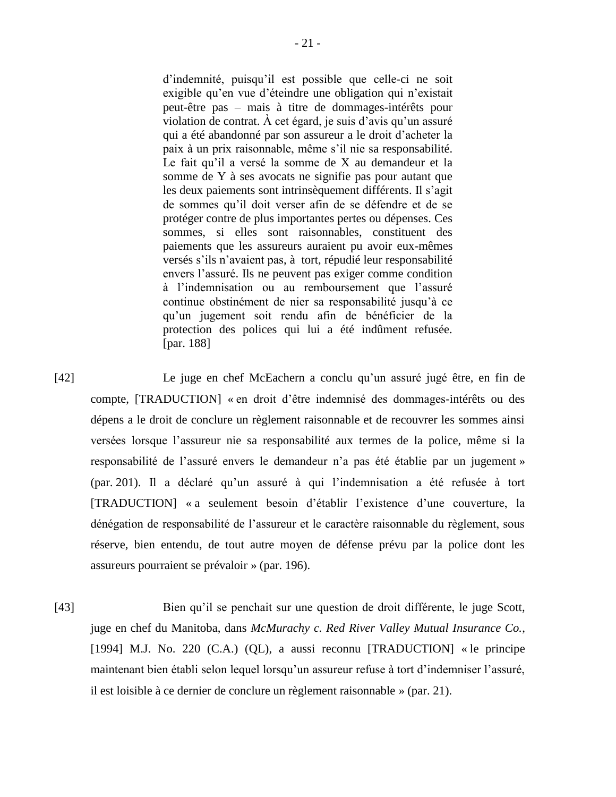d'indemnité, puisqu'il est possible que celle-ci ne soit exigible qu'en vue d'éteindre une obligation qui n'existait peut-être pas – mais à titre de dommages-intérêts pour violation de contrat. À cet égard, je suis d'avis qu'un assuré qui a été abandonné par son assureur a le droit d'acheter la paix à un prix raisonnable, même s'il nie sa responsabilité. Le fait qu'il a versé la somme de X au demandeur et la somme de Y à ses avocats ne signifie pas pour autant que les deux paiements sont intrinsèquement différents. Il s'agit de sommes qu'il doit verser afin de se défendre et de se protéger contre de plus importantes pertes ou dépenses. Ces sommes, si elles sont raisonnables, constituent des paiements que les assureurs auraient pu avoir eux-mêmes versés s'ils n'avaient pas, à tort, répudié leur responsabilité envers l'assuré. Ils ne peuvent pas exiger comme condition à l'indemnisation ou au remboursement que l'assuré continue obstinément de nier sa responsabilité jusqu'à ce qu'un jugement soit rendu afin de bénéficier de la protection des polices qui lui a été indûment refusée. [par. 188]

[42] Le juge en chef McEachern a conclu qu'un assuré jugé être, en fin de compte, [TRADUCTION] « en droit d'être indemnisé des dommages-intérêts ou des dépens a le droit de conclure un règlement raisonnable et de recouvrer les sommes ainsi versées lorsque l'assureur nie sa responsabilité aux termes de la police, même si la responsabilité de l'assuré envers le demandeur n'a pas été établie par un jugement » (par. 201). Il a déclaré qu'un assuré à qui l'indemnisation a été refusée à tort [TRADUCTION] « a seulement besoin d'établir l'existence d'une couverture, la dénégation de responsabilité de l'assureur et le caractère raisonnable du règlement, sous réserve, bien entendu, de tout autre moyen de défense prévu par la police dont les assureurs pourraient se prévaloir » (par. 196).

[43] Bien qu'il se penchait sur une question de droit différente, le juge Scott, juge en chef du Manitoba, dans *McMurachy c. Red River Valley Mutual Insurance Co.*, [1994] M.J. No. 220 (C.A.) (QL), a aussi reconnu [TRADUCTION] « le principe maintenant bien établi selon lequel lorsqu'un assureur refuse à tort d'indemniser l'assuré, il est loisible à ce dernier de conclure un règlement raisonnable » (par. 21).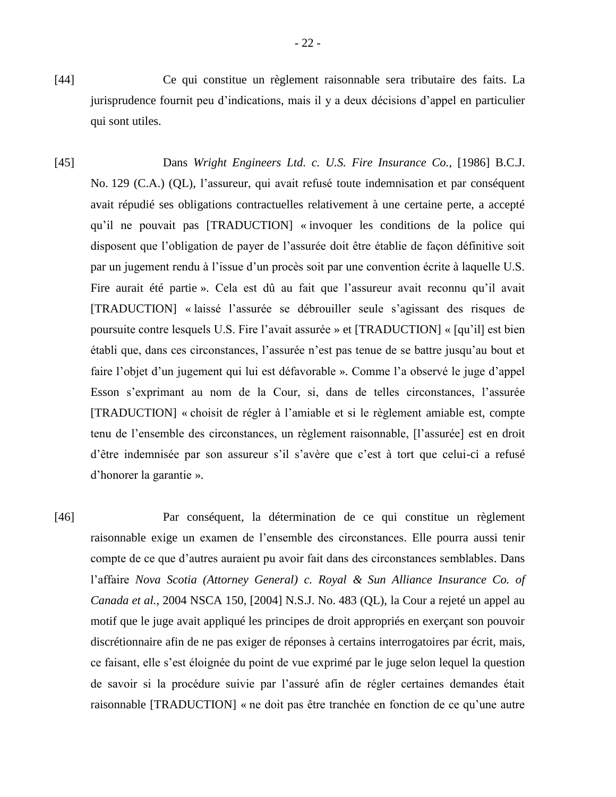- [44] Ce qui constitue un règlement raisonnable sera tributaire des faits. La jurisprudence fournit peu d'indications, mais il y a deux décisions d'appel en particulier qui sont utiles.
- [45] Dans *Wright Engineers Ltd. c. U.S. Fire Insurance Co.*, [1986] B.C.J. No. 129 (C.A.) (QL), l'assureur, qui avait refusé toute indemnisation et par conséquent avait répudié ses obligations contractuelles relativement à une certaine perte, a accepté qu'il ne pouvait pas [TRADUCTION] « invoquer les conditions de la police qui disposent que l'obligation de payer de l'assurée doit être établie de façon définitive soit par un jugement rendu à l'issue d'un procès soit par une convention écrite à laquelle U.S. Fire aurait été partie ». Cela est dû au fait que l'assureur avait reconnu qu'il avait [TRADUCTION] « laissé l'assurée se débrouiller seule s'agissant des risques de poursuite contre lesquels U.S. Fire l'avait assurée » et [TRADUCTION] « [qu'il] est bien établi que, dans ces circonstances, l'assurée n'est pas tenue de se battre jusqu'au bout et faire l'objet d'un jugement qui lui est défavorable ». Comme l'a observé le juge d'appel Esson s'exprimant au nom de la Cour, si, dans de telles circonstances, l'assurée [TRADUCTION] « choisit de régler à l'amiable et si le règlement amiable est, compte tenu de l'ensemble des circonstances, un règlement raisonnable, [l'assurée] est en droit d'être indemnisée par son assureur s'il s'avère que c'est à tort que celui-ci a refusé d'honorer la garantie ».

[46] Par conséquent, la détermination de ce qui constitue un règlement raisonnable exige un examen de l'ensemble des circonstances. Elle pourra aussi tenir compte de ce que d'autres auraient pu avoir fait dans des circonstances semblables. Dans l'affaire *Nova Scotia (Attorney General) c. Royal & Sun Alliance Insurance Co. of Canada et al.*, 2004 NSCA 150, [2004] N.S.J. No. 483 (QL), la Cour a rejeté un appel au motif que le juge avait appliqué les principes de droit appropriés en exerçant son pouvoir discrétionnaire afin de ne pas exiger de réponses à certains interrogatoires par écrit, mais, ce faisant, elle s'est éloignée du point de vue exprimé par le juge selon lequel la question de savoir si la procédure suivie par l'assuré afin de régler certaines demandes était raisonnable [TRADUCTION] « ne doit pas être tranchée en fonction de ce qu'une autre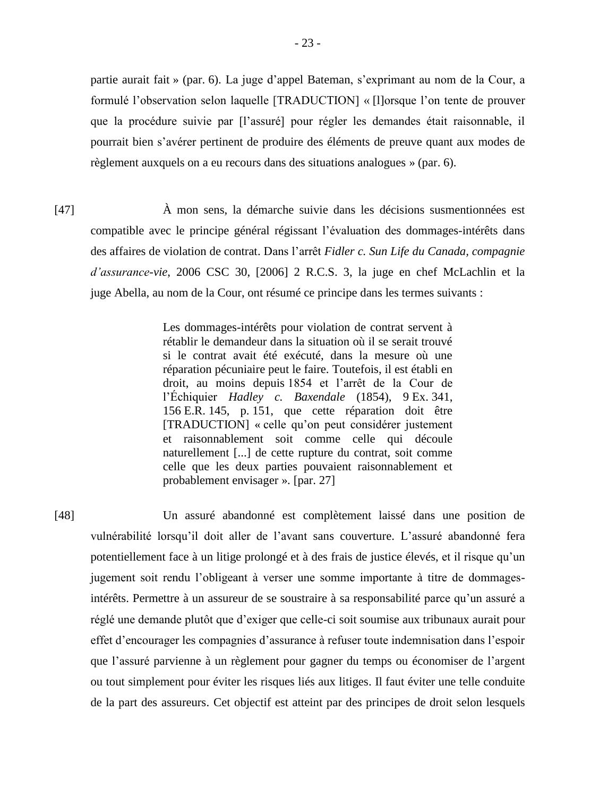partie aurait fait » (par. 6). La juge d'appel Bateman, s'exprimant au nom de la Cour, a formulé l'observation selon laquelle [TRADUCTION] « [l]orsque l'on tente de prouver que la procédure suivie par [l'assuré] pour régler les demandes était raisonnable, il pourrait bien s'avérer pertinent de produire des éléments de preuve quant aux modes de règlement auxquels on a eu recours dans des situations analogues » (par. 6).

[47] À mon sens, la démarche suivie dans les décisions susmentionnées est compatible avec le principe général régissant l'évaluation des dommages-intérêts dans des affaires de violation de contrat. Dans l'arrêt *Fidler c. Sun Life du Canada, compagnie d'assurance-vie*, 2006 CSC 30, [2006] 2 R.C.S. 3, la juge en chef McLachlin et la juge Abella, au nom de la Cour, ont résumé ce principe dans les termes suivants :

> Les dommages-intérêts pour violation de contrat servent à rétablir le demandeur dans la situation où il se serait trouvé si le contrat avait été exécuté, dans la mesure où une réparation pécuniaire peut le faire. Toutefois, il est établi en droit, au moins depuis 1854 et l'arrêt de la Cour de l'Échiquier *Hadley c. Baxendale* (1854), 9 Ex. 341, 156 E.R. 145, p. 151, que cette réparation doit être [TRADUCTION] « celle qu'on peut considérer justement et raisonnablement soit comme celle qui découle naturellement [...] de cette rupture du contrat, soit comme celle que les deux parties pouvaient raisonnablement et probablement envisager ». [par. 27]

[48] Un assuré abandonné est complètement laissé dans une position de vulnérabilité lorsqu'il doit aller de l'avant sans couverture. L'assuré abandonné fera potentiellement face à un litige prolongé et à des frais de justice élevés, et il risque qu'un jugement soit rendu l'obligeant à verser une somme importante à titre de dommagesintérêts. Permettre à un assureur de se soustraire à sa responsabilité parce qu'un assuré a réglé une demande plutôt que d'exiger que celle-ci soit soumise aux tribunaux aurait pour effet d'encourager les compagnies d'assurance à refuser toute indemnisation dans l'espoir que l'assuré parvienne à un règlement pour gagner du temps ou économiser de l'argent ou tout simplement pour éviter les risques liés aux litiges. Il faut éviter une telle conduite de la part des assureurs. Cet objectif est atteint par des principes de droit selon lesquels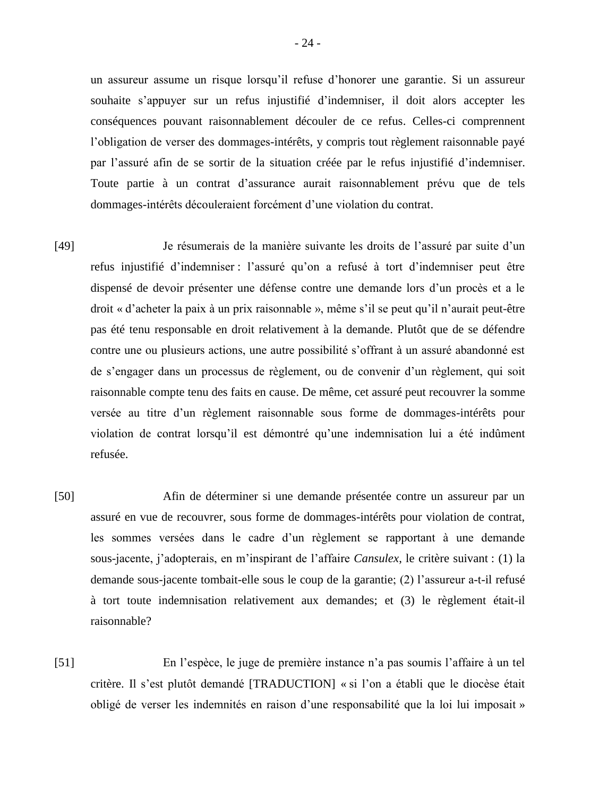un assureur assume un risque lorsqu'il refuse d'honorer une garantie. Si un assureur souhaite s'appuyer sur un refus injustifié d'indemniser, il doit alors accepter les conséquences pouvant raisonnablement découler de ce refus. Celles-ci comprennent l'obligation de verser des dommages-intérêts, y compris tout règlement raisonnable payé par l'assuré afin de se sortir de la situation créée par le refus injustifié d'indemniser. Toute partie à un contrat d'assurance aurait raisonnablement prévu que de tels dommages-intérêts découleraient forcément d'une violation du contrat.

- [49] Je résumerais de la manière suivante les droits de l'assuré par suite d'un refus injustifié d'indemniser : l'assuré qu'on a refusé à tort d'indemniser peut être dispensé de devoir présenter une défense contre une demande lors d'un procès et a le droit « d'acheter la paix à un prix raisonnable », même s'il se peut qu'il n'aurait peut-être pas été tenu responsable en droit relativement à la demande. Plutôt que de se défendre contre une ou plusieurs actions, une autre possibilité s'offrant à un assuré abandonné est de s'engager dans un processus de règlement, ou de convenir d'un règlement, qui soit raisonnable compte tenu des faits en cause. De même, cet assuré peut recouvrer la somme versée au titre d'un règlement raisonnable sous forme de dommages-intérêts pour violation de contrat lorsqu'il est démontré qu'une indemnisation lui a été indûment refusée.
- [50] Afin de déterminer si une demande présentée contre un assureur par un assuré en vue de recouvrer, sous forme de dommages-intérêts pour violation de contrat, les sommes versées dans le cadre d'un règlement se rapportant à une demande sous-jacente, j'adopterais, en m'inspirant de l'affaire *Cansulex*, le critère suivant : (1) la demande sous-jacente tombait-elle sous le coup de la garantie; (2) l'assureur a-t-il refusé à tort toute indemnisation relativement aux demandes; et (3) le règlement était-il raisonnable?
- [51] En l'espèce, le juge de première instance n'a pas soumis l'affaire à un tel critère. Il s'est plutôt demandé [TRADUCTION] « si l'on a établi que le diocèse était obligé de verser les indemnités en raison d'une responsabilité que la loi lui imposait »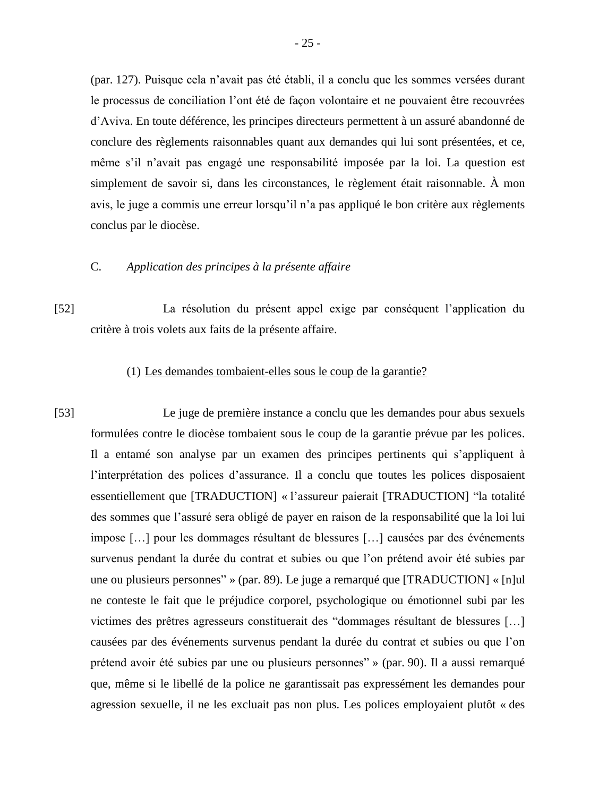(par. 127). Puisque cela n'avait pas été établi, il a conclu que les sommes versées durant le processus de conciliation l'ont été de façon volontaire et ne pouvaient être recouvrées d'Aviva. En toute déférence, les principes directeurs permettent à un assuré abandonné de conclure des règlements raisonnables quant aux demandes qui lui sont présentées, et ce, même s'il n'avait pas engagé une responsabilité imposée par la loi. La question est simplement de savoir si, dans les circonstances, le règlement était raisonnable. À mon avis, le juge a commis une erreur lorsqu'il n'a pas appliqué le bon critère aux règlements conclus par le diocèse.

# C. *Application des principes à la présente affaire*

[52] La résolution du présent appel exige par conséquent l'application du critère à trois volets aux faits de la présente affaire.

## (1) Les demandes tombaient-elles sous le coup de la garantie?

[53] Le juge de première instance a conclu que les demandes pour abus sexuels formulées contre le diocèse tombaient sous le coup de la garantie prévue par les polices. Il a entamé son analyse par un examen des principes pertinents qui s'appliquent à l'interprétation des polices d'assurance. Il a conclu que toutes les polices disposaient essentiellement que [TRADUCTION] « l'assureur paierait [TRADUCTION] "la totalité des sommes que l'assuré sera obligé de payer en raison de la responsabilité que la loi lui impose […] pour les dommages résultant de blessures […] causées par des événements survenus pendant la durée du contrat et subies ou que l'on prétend avoir été subies par une ou plusieurs personnes" » (par. 89). Le juge a remarqué que [TRADUCTION] « [n]ul ne conteste le fait que le préjudice corporel, psychologique ou émotionnel subi par les victimes des prêtres agresseurs constituerait des "dommages résultant de blessures […] causées par des événements survenus pendant la durée du contrat et subies ou que l'on prétend avoir été subies par une ou plusieurs personnes" » (par. 90). Il a aussi remarqué que, même si le libellé de la police ne garantissait pas expressément les demandes pour agression sexuelle, il ne les excluait pas non plus. Les polices employaient plutôt « des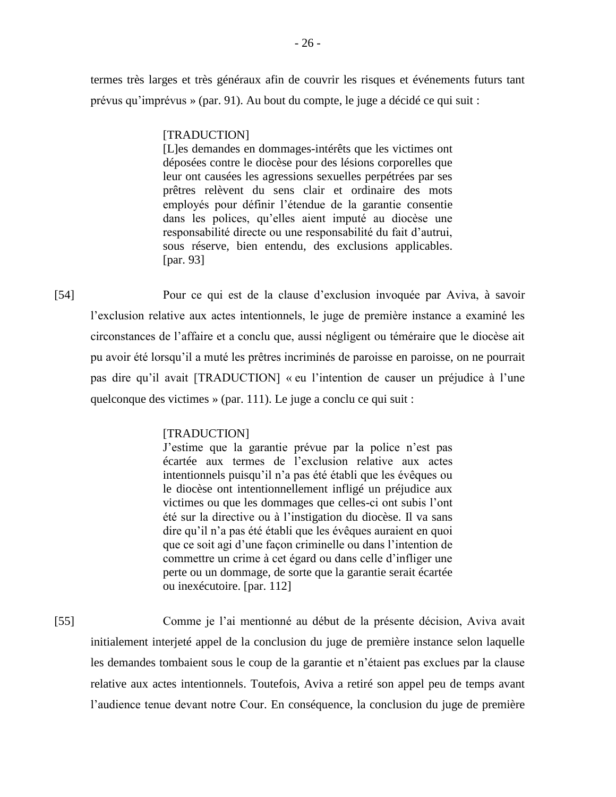termes très larges et très généraux afin de couvrir les risques et événements futurs tant prévus qu'imprévus » (par. 91). Au bout du compte, le juge a décidé ce qui suit :

#### [TRADUCTION]

[L]es demandes en dommages-intérêts que les victimes ont déposées contre le diocèse pour des lésions corporelles que leur ont causées les agressions sexuelles perpétrées par ses prêtres relèvent du sens clair et ordinaire des mots employés pour définir l'étendue de la garantie consentie dans les polices, qu'elles aient imputé au diocèse une responsabilité directe ou une responsabilité du fait d'autrui, sous réserve, bien entendu, des exclusions applicables. [par. 93]

[54] Pour ce qui est de la clause d'exclusion invoquée par Aviva, à savoir l'exclusion relative aux actes intentionnels, le juge de première instance a examiné les circonstances de l'affaire et a conclu que, aussi négligent ou téméraire que le diocèse ait pu avoir été lorsqu'il a muté les prêtres incriminés de paroisse en paroisse, on ne pourrait pas dire qu'il avait [TRADUCTION] « eu l'intention de causer un préjudice à l'une quelconque des victimes » (par. 111). Le juge a conclu ce qui suit :

## [TRADUCTION]

J'estime que la garantie prévue par la police n'est pas écartée aux termes de l'exclusion relative aux actes intentionnels puisqu'il n'a pas été établi que les évêques ou le diocèse ont intentionnellement infligé un préjudice aux victimes ou que les dommages que celles-ci ont subis l'ont été sur la directive ou à l'instigation du diocèse. Il va sans dire qu'il n'a pas été établi que les évêques auraient en quoi que ce soit agi d'une façon criminelle ou dans l'intention de commettre un crime à cet égard ou dans celle d'infliger une perte ou un dommage, de sorte que la garantie serait écartée ou inexécutoire. [par. 112]

[55] Comme je l'ai mentionné au début de la présente décision, Aviva avait initialement interjeté appel de la conclusion du juge de première instance selon laquelle les demandes tombaient sous le coup de la garantie et n'étaient pas exclues par la clause relative aux actes intentionnels. Toutefois, Aviva a retiré son appel peu de temps avant l'audience tenue devant notre Cour. En conséquence, la conclusion du juge de première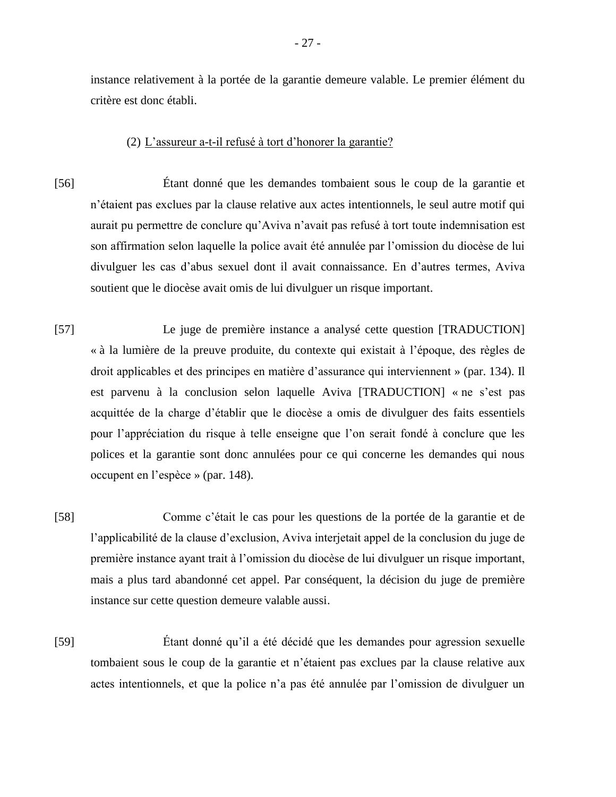instance relativement à la portée de la garantie demeure valable. Le premier élément du critère est donc établi.

#### (2) L'assureur a-t-il refusé à tort d'honorer la garantie?

- [56] Étant donné que les demandes tombaient sous le coup de la garantie et n'étaient pas exclues par la clause relative aux actes intentionnels, le seul autre motif qui aurait pu permettre de conclure qu'Aviva n'avait pas refusé à tort toute indemnisation est son affirmation selon laquelle la police avait été annulée par l'omission du diocèse de lui divulguer les cas d'abus sexuel dont il avait connaissance. En d'autres termes, Aviva soutient que le diocèse avait omis de lui divulguer un risque important.
- [57] Le juge de première instance a analysé cette question [TRADUCTION] « à la lumière de la preuve produite, du contexte qui existait à l'époque, des règles de droit applicables et des principes en matière d'assurance qui interviennent » (par. 134). Il est parvenu à la conclusion selon laquelle Aviva [TRADUCTION] « ne s'est pas acquittée de la charge d'établir que le diocèse a omis de divulguer des faits essentiels pour l'appréciation du risque à telle enseigne que l'on serait fondé à conclure que les polices et la garantie sont donc annulées pour ce qui concerne les demandes qui nous occupent en l'espèce » (par. 148).
- [58] Comme c'était le cas pour les questions de la portée de la garantie et de l'applicabilité de la clause d'exclusion, Aviva interjetait appel de la conclusion du juge de première instance ayant trait à l'omission du diocèse de lui divulguer un risque important, mais a plus tard abandonné cet appel. Par conséquent, la décision du juge de première instance sur cette question demeure valable aussi.
- [59] Étant donné qu'il a été décidé que les demandes pour agression sexuelle tombaient sous le coup de la garantie et n'étaient pas exclues par la clause relative aux actes intentionnels, et que la police n'a pas été annulée par l'omission de divulguer un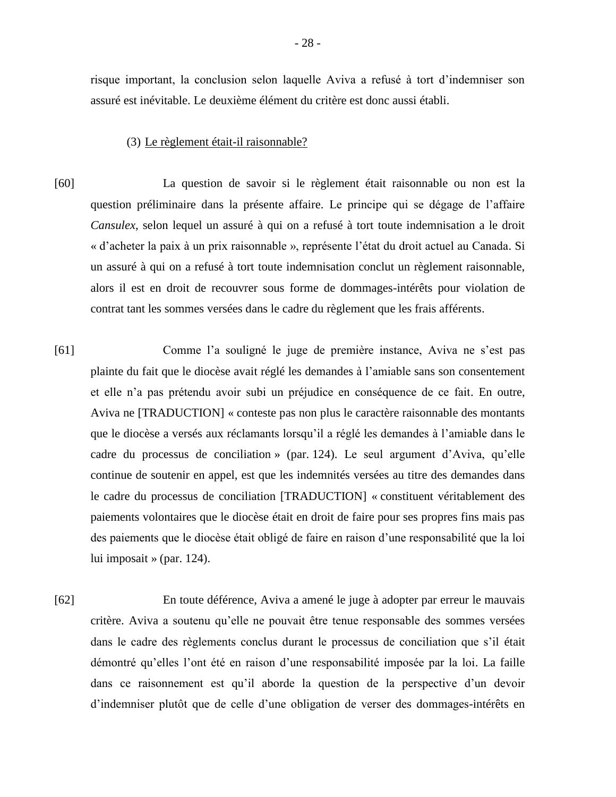risque important, la conclusion selon laquelle Aviva a refusé à tort d'indemniser son assuré est inévitable. Le deuxième élément du critère est donc aussi établi.

#### (3) Le règlement était-il raisonnable?

- [60] La question de savoir si le règlement était raisonnable ou non est la question préliminaire dans la présente affaire. Le principe qui se dégage de l'affaire *Cansulex*, selon lequel un assuré à qui on a refusé à tort toute indemnisation a le droit « d'acheter la paix à un prix raisonnable », représente l'état du droit actuel au Canada. Si un assuré à qui on a refusé à tort toute indemnisation conclut un règlement raisonnable, alors il est en droit de recouvrer sous forme de dommages-intérêts pour violation de contrat tant les sommes versées dans le cadre du règlement que les frais afférents.
- [61] Comme l'a souligné le juge de première instance, Aviva ne s'est pas plainte du fait que le diocèse avait réglé les demandes à l'amiable sans son consentement et elle n'a pas prétendu avoir subi un préjudice en conséquence de ce fait. En outre, Aviva ne [TRADUCTION] « conteste pas non plus le caractère raisonnable des montants que le diocèse a versés aux réclamants lorsqu'il a réglé les demandes à l'amiable dans le cadre du processus de conciliation » (par. 124). Le seul argument d'Aviva, qu'elle continue de soutenir en appel, est que les indemnités versées au titre des demandes dans le cadre du processus de conciliation [TRADUCTION] « constituent véritablement des paiements volontaires que le diocèse était en droit de faire pour ses propres fins mais pas des paiements que le diocèse était obligé de faire en raison d'une responsabilité que la loi lui imposait » (par. 124).
- [62] En toute déférence, Aviva a amené le juge à adopter par erreur le mauvais critère. Aviva a soutenu qu'elle ne pouvait être tenue responsable des sommes versées dans le cadre des règlements conclus durant le processus de conciliation que s'il était démontré qu'elles l'ont été en raison d'une responsabilité imposée par la loi. La faille dans ce raisonnement est qu'il aborde la question de la perspective d'un devoir d'indemniser plutôt que de celle d'une obligation de verser des dommages-intérêts en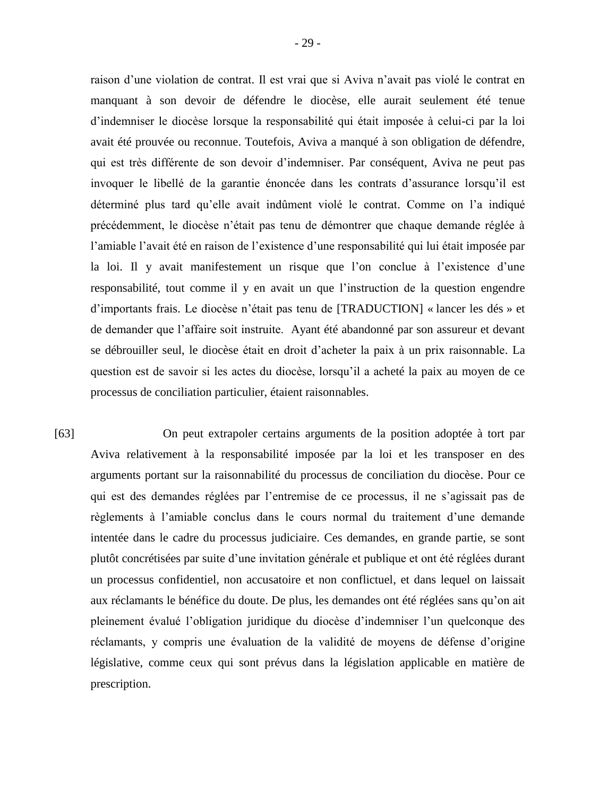raison d'une violation de contrat. Il est vrai que si Aviva n'avait pas violé le contrat en manquant à son devoir de défendre le diocèse, elle aurait seulement été tenue d'indemniser le diocèse lorsque la responsabilité qui était imposée à celui-ci par la loi avait été prouvée ou reconnue. Toutefois, Aviva a manqué à son obligation de défendre, qui est très différente de son devoir d'indemniser. Par conséquent, Aviva ne peut pas invoquer le libellé de la garantie énoncée dans les contrats d'assurance lorsqu'il est déterminé plus tard qu'elle avait indûment violé le contrat. Comme on l'a indiqué précédemment, le diocèse n'était pas tenu de démontrer que chaque demande réglée à l'amiable l'avait été en raison de l'existence d'une responsabilité qui lui était imposée par la loi. Il y avait manifestement un risque que l'on conclue à l'existence d'une responsabilité, tout comme il y en avait un que l'instruction de la question engendre d'importants frais. Le diocèse n'était pas tenu de [TRADUCTION] « lancer les dés » et de demander que l'affaire soit instruite. Ayant été abandonné par son assureur et devant se débrouiller seul, le diocèse était en droit d'acheter la paix à un prix raisonnable. La question est de savoir si les actes du diocèse, lorsqu'il a acheté la paix au moyen de ce processus de conciliation particulier, étaient raisonnables.

[63] On peut extrapoler certains arguments de la position adoptée à tort par Aviva relativement à la responsabilité imposée par la loi et les transposer en des arguments portant sur la raisonnabilité du processus de conciliation du diocèse. Pour ce qui est des demandes réglées par l'entremise de ce processus, il ne s'agissait pas de règlements à l'amiable conclus dans le cours normal du traitement d'une demande intentée dans le cadre du processus judiciaire. Ces demandes, en grande partie, se sont plutôt concrétisées par suite d'une invitation générale et publique et ont été réglées durant un processus confidentiel, non accusatoire et non conflictuel, et dans lequel on laissait aux réclamants le bénéfice du doute. De plus, les demandes ont été réglées sans qu'on ait pleinement évalué l'obligation juridique du diocèse d'indemniser l'un quelconque des réclamants, y compris une évaluation de la validité de moyens de défense d'origine législative, comme ceux qui sont prévus dans la législation applicable en matière de prescription.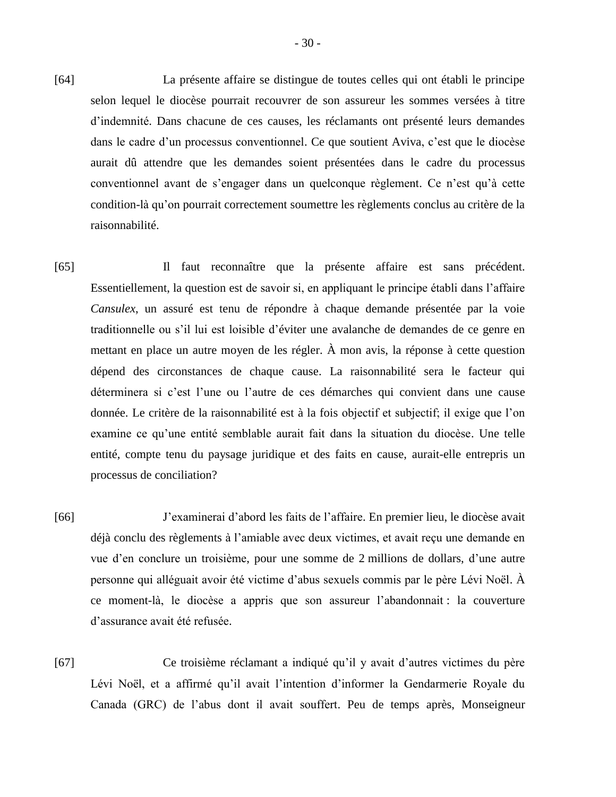- [64] La présente affaire se distingue de toutes celles qui ont établi le principe selon lequel le diocèse pourrait recouvrer de son assureur les sommes versées à titre d'indemnité. Dans chacune de ces causes, les réclamants ont présenté leurs demandes dans le cadre d'un processus conventionnel. Ce que soutient Aviva, c'est que le diocèse aurait dû attendre que les demandes soient présentées dans le cadre du processus conventionnel avant de s'engager dans un quelconque règlement. Ce n'est qu'à cette condition-là qu'on pourrait correctement soumettre les règlements conclus au critère de la raisonnabilité.
- [65] Il faut reconnaître que la présente affaire est sans précédent. Essentiellement, la question est de savoir si, en appliquant le principe établi dans l'affaire *Cansulex*, un assuré est tenu de répondre à chaque demande présentée par la voie traditionnelle ou s'il lui est loisible d'éviter une avalanche de demandes de ce genre en mettant en place un autre moyen de les régler. À mon avis, la réponse à cette question dépend des circonstances de chaque cause. La raisonnabilité sera le facteur qui déterminera si c'est l'une ou l'autre de ces démarches qui convient dans une cause donnée. Le critère de la raisonnabilité est à la fois objectif et subjectif; il exige que l'on examine ce qu'une entité semblable aurait fait dans la situation du diocèse. Une telle entité, compte tenu du paysage juridique et des faits en cause, aurait-elle entrepris un processus de conciliation?
- [66] J'examinerai d'abord les faits de l'affaire. En premier lieu, le diocèse avait déjà conclu des règlements à l'amiable avec deux victimes, et avait reçu une demande en vue d'en conclure un troisième, pour une somme de 2 millions de dollars, d'une autre personne qui alléguait avoir été victime d'abus sexuels commis par le père Lévi Noël. À ce moment-là, le diocèse a appris que son assureur l'abandonnait : la couverture d'assurance avait été refusée.
- [67] Ce troisième réclamant a indiqué qu'il y avait d'autres victimes du père Lévi Noël, et a affirmé qu'il avait l'intention d'informer la Gendarmerie Royale du Canada (GRC) de l'abus dont il avait souffert. Peu de temps après, Monseigneur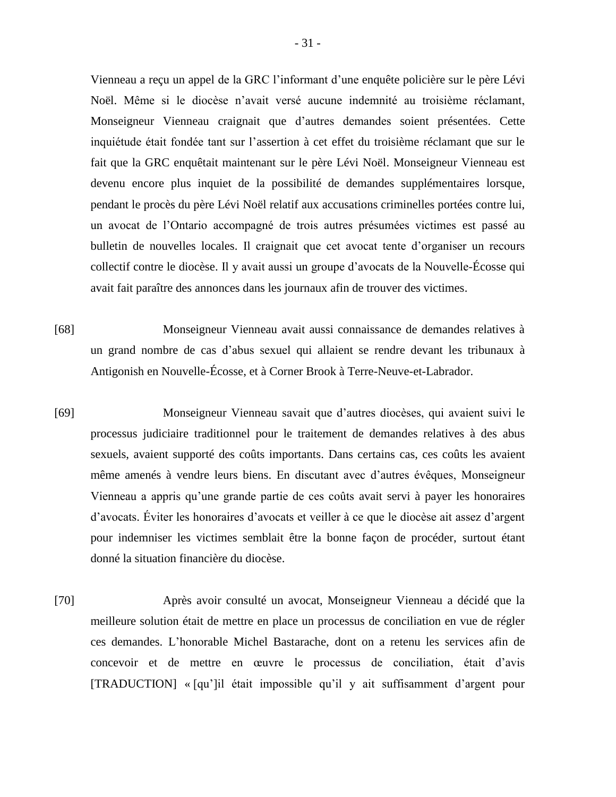Vienneau a reçu un appel de la GRC l'informant d'une enquête policière sur le père Lévi Noël. Même si le diocèse n'avait versé aucune indemnité au troisième réclamant, Monseigneur Vienneau craignait que d'autres demandes soient présentées. Cette inquiétude était fondée tant sur l'assertion à cet effet du troisième réclamant que sur le fait que la GRC enquêtait maintenant sur le père Lévi Noël. Monseigneur Vienneau est devenu encore plus inquiet de la possibilité de demandes supplémentaires lorsque, pendant le procès du père Lévi Noël relatif aux accusations criminelles portées contre lui, un avocat de l'Ontario accompagné de trois autres présumées victimes est passé au bulletin de nouvelles locales. Il craignait que cet avocat tente d'organiser un recours collectif contre le diocèse. Il y avait aussi un groupe d'avocats de la Nouvelle-Écosse qui avait fait paraître des annonces dans les journaux afin de trouver des victimes.

- [68] Monseigneur Vienneau avait aussi connaissance de demandes relatives à un grand nombre de cas d'abus sexuel qui allaient se rendre devant les tribunaux à Antigonish en Nouvelle-Écosse, et à Corner Brook à Terre-Neuve-et-Labrador.
- [69] Monseigneur Vienneau savait que d'autres diocèses, qui avaient suivi le processus judiciaire traditionnel pour le traitement de demandes relatives à des abus sexuels, avaient supporté des coûts importants. Dans certains cas, ces coûts les avaient même amenés à vendre leurs biens. En discutant avec d'autres évêques, Monseigneur Vienneau a appris qu'une grande partie de ces coûts avait servi à payer les honoraires d'avocats. Éviter les honoraires d'avocats et veiller à ce que le diocèse ait assez d'argent pour indemniser les victimes semblait être la bonne façon de procéder, surtout étant donné la situation financière du diocèse.
- [70] Après avoir consulté un avocat, Monseigneur Vienneau a décidé que la meilleure solution était de mettre en place un processus de conciliation en vue de régler ces demandes. L'honorable Michel Bastarache, dont on a retenu les services afin de concevoir et de mettre en œuvre le processus de conciliation, était d'avis [TRADUCTION] « [qu']il était impossible qu'il y ait suffisamment d'argent pour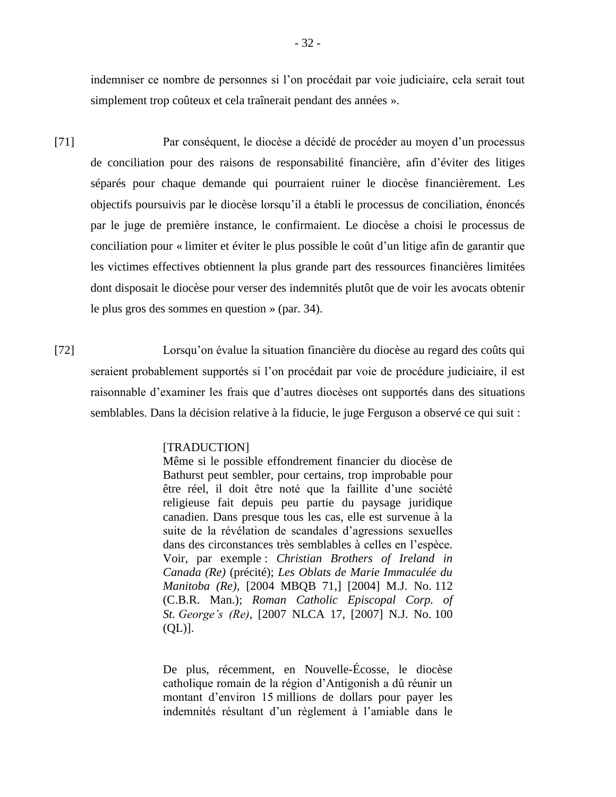indemniser ce nombre de personnes si l'on procédait par voie judiciaire, cela serait tout simplement trop coûteux et cela traînerait pendant des années ».

- [71] Par conséquent, le diocèse a décidé de procéder au moyen d'un processus de conciliation pour des raisons de responsabilité financière, afin d'éviter des litiges séparés pour chaque demande qui pourraient ruiner le diocèse financièrement. Les objectifs poursuivis par le diocèse lorsqu'il a établi le processus de conciliation, énoncés par le juge de première instance, le confirmaient. Le diocèse a choisi le processus de conciliation pour « limiter et éviter le plus possible le coût d'un litige afin de garantir que les victimes effectives obtiennent la plus grande part des ressources financières limitées dont disposait le diocèse pour verser des indemnités plutôt que de voir les avocats obtenir le plus gros des sommes en question » (par. 34).
- [72] Lorsqu'on évalue la situation financière du diocèse au regard des coûts qui seraient probablement supportés si l'on procédait par voie de procédure judiciaire, il est raisonnable d'examiner les frais que d'autres diocèses ont supportés dans des situations semblables. Dans la décision relative à la fiducie, le juge Ferguson a observé ce qui suit :

#### [TRADUCTION]

Même si le possible effondrement financier du diocèse de Bathurst peut sembler, pour certains, trop improbable pour être réel, il doit être noté que la faillite d'une société religieuse fait depuis peu partie du paysage juridique canadien. Dans presque tous les cas, elle est survenue à la suite de la révélation de scandales d'agressions sexuelles dans des circonstances très semblables à celles en l'espèce. Voir, par exemple : *Christian Brothers of Ireland in Canada (Re)* (précité); *Les Oblats de Marie Immaculée du Manitoba (Re)*, [2004 MBQB 71,] [2004] M.J. No. 112 (C.B.R. Man.); *Roman Catholic Episcopal Corp. of St. George's (Re)*, [2007 NLCA 17, [2007] N.J. No. 100  $(QL)$ ].

De plus, récemment, en Nouvelle-Écosse, le diocèse catholique romain de la région d'Antigonish a dû réunir un montant d'environ 15 millions de dollars pour payer les indemnités résultant d'un règlement à l'amiable dans le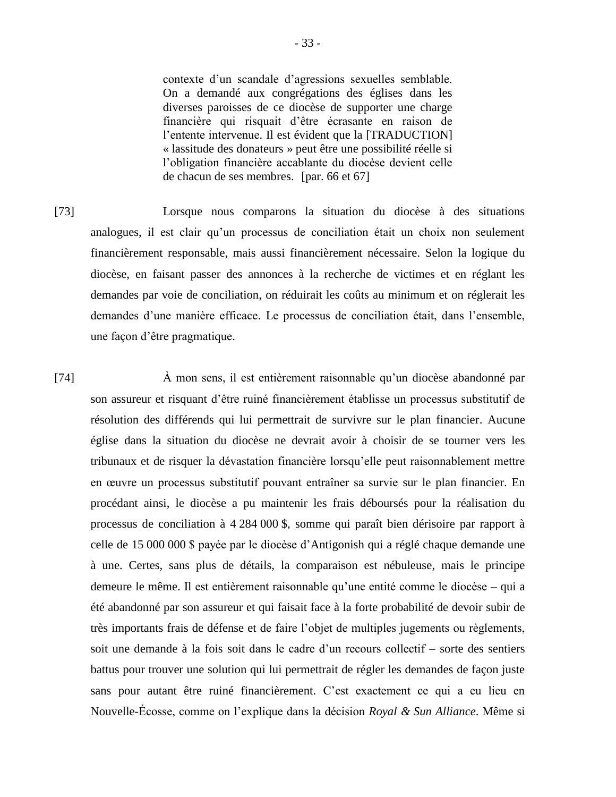contexte d'un scandale d'agressions sexuelles semblable. On a demandé aux congrégations des églises dans les diverses paroisses de ce diocèse de supporter une charge financière qui risquait d'être écrasante en raison de l'entente intervenue. Il est évident que la [TRADUCTION] « lassitude des donateurs » peut être une possibilité réelle si l'obligation financière accablante du diocèse devient celle de chacun de ses membres. [par. 66 et 67]

[73] Lorsque nous comparons la situation du diocèse à des situations analogues, il est clair qu'un processus de conciliation était un choix non seulement financièrement responsable, mais aussi financièrement nécessaire. Selon la logique du diocèse, en faisant passer des annonces à la recherche de victimes et en réglant les demandes par voie de conciliation, on réduirait les coûts au minimum et on réglerait les demandes d'une manière efficace. Le processus de conciliation était, dans l'ensemble, une façon d'être pragmatique.

[74] À mon sens, il est entièrement raisonnable qu'un diocèse abandonné par son assureur et risquant d'être ruiné financièrement établisse un processus substitutif de résolution des différends qui lui permettrait de survivre sur le plan financier. Aucune église dans la situation du diocèse ne devrait avoir à choisir de se tourner vers les tribunaux et de risquer la dévastation financière lorsqu'elle peut raisonnablement mettre en œuvre un processus substitutif pouvant entraîner sa survie sur le plan financier. En procédant ainsi, le diocèse a pu maintenir les frais déboursés pour la réalisation du processus de conciliation à 4 284 000 \$, somme qui paraît bien dérisoire par rapport à celle de 15 000 000 \$ payée par le diocèse d'Antigonish qui a réglé chaque demande une à une. Certes, sans plus de détails, la comparaison est nébuleuse, mais le principe demeure le même. Il est entièrement raisonnable qu'une entité comme le diocèse – qui a été abandonné par son assureur et qui faisait face à la forte probabilité de devoir subir de très importants frais de défense et de faire l'objet de multiples jugements ou règlements, soit une demande à la fois soit dans le cadre d'un recours collectif – sorte des sentiers battus pour trouver une solution qui lui permettrait de régler les demandes de façon juste sans pour autant être ruiné financièrement. C'est exactement ce qui a eu lieu en Nouvelle-Écosse, comme on l'explique dans la décision *Royal & Sun Alliance*. Même si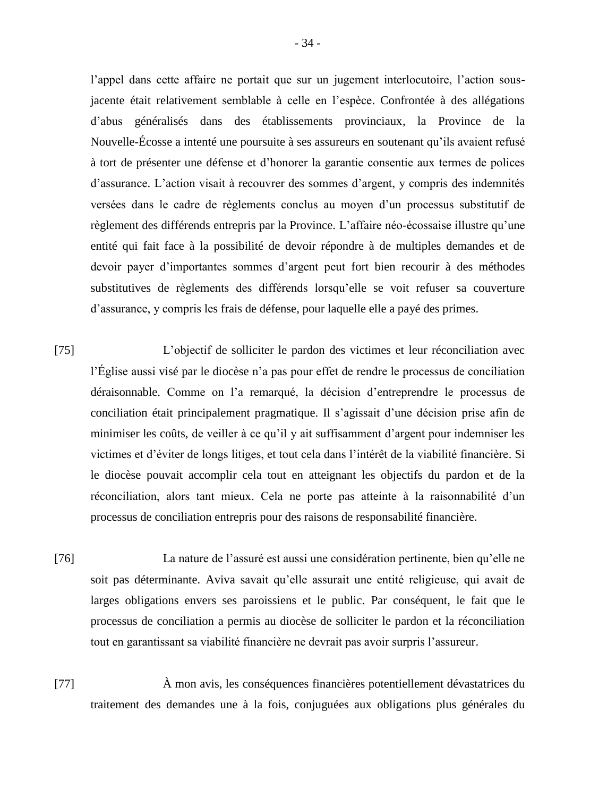l'appel dans cette affaire ne portait que sur un jugement interlocutoire, l'action sousjacente était relativement semblable à celle en l'espèce. Confrontée à des allégations d'abus généralisés dans des établissements provinciaux, la Province de la Nouvelle-Écosse a intenté une poursuite à ses assureurs en soutenant qu'ils avaient refusé à tort de présenter une défense et d'honorer la garantie consentie aux termes de polices d'assurance. L'action visait à recouvrer des sommes d'argent, y compris des indemnités versées dans le cadre de règlements conclus au moyen d'un processus substitutif de règlement des différends entrepris par la Province. L'affaire néo-écossaise illustre qu'une entité qui fait face à la possibilité de devoir répondre à de multiples demandes et de devoir payer d'importantes sommes d'argent peut fort bien recourir à des méthodes substitutives de règlements des différends lorsqu'elle se voit refuser sa couverture d'assurance, y compris les frais de défense, pour laquelle elle a payé des primes.

- [75] L'objectif de solliciter le pardon des victimes et leur réconciliation avec l'Église aussi visé par le diocèse n'a pas pour effet de rendre le processus de conciliation déraisonnable. Comme on l'a remarqué, la décision d'entreprendre le processus de conciliation était principalement pragmatique. Il s'agissait d'une décision prise afin de minimiser les coûts, de veiller à ce qu'il y ait suffisamment d'argent pour indemniser les victimes et d'éviter de longs litiges, et tout cela dans l'intérêt de la viabilité financière. Si le diocèse pouvait accomplir cela tout en atteignant les objectifs du pardon et de la réconciliation, alors tant mieux. Cela ne porte pas atteinte à la raisonnabilité d'un processus de conciliation entrepris pour des raisons de responsabilité financière.
- [76] La nature de l'assuré est aussi une considération pertinente, bien qu'elle ne soit pas déterminante. Aviva savait qu'elle assurait une entité religieuse, qui avait de larges obligations envers ses paroissiens et le public. Par conséquent, le fait que le processus de conciliation a permis au diocèse de solliciter le pardon et la réconciliation tout en garantissant sa viabilité financière ne devrait pas avoir surpris l'assureur.
- [77] À mon avis, les conséquences financières potentiellement dévastatrices du traitement des demandes une à la fois, conjuguées aux obligations plus générales du